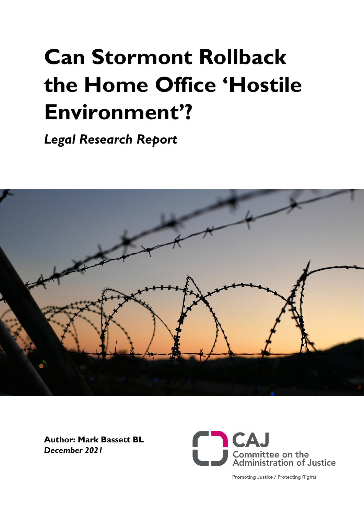# **Can Stormont Rollback the Home Office 'Hostile Environment'?**

*Legal Research Report* 



**Author: Mark Bassett BL**  *December 2021*



**Promoting Justice / Protecting Rights**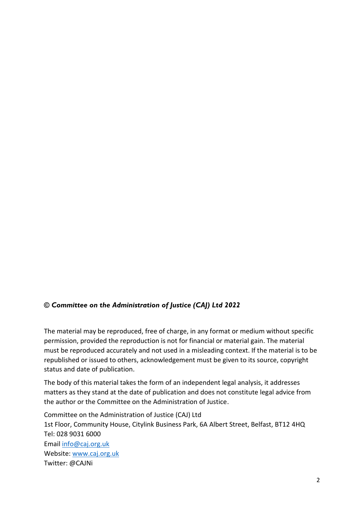## *© Committee on the Administration of Justice (CAJ) Ltd 2022*

The material may be reproduced, free of charge, in any format or medium without specific permission, provided the reproduction is not for financial or material gain. The material must be reproduced accurately and not used in a misleading context. If the material is to be republished or issued to others, acknowledgement must be given to its source, copyright status and date of publication.

The body of this material takes the form of an independent legal analysis, it addresses matters as they stand at the date of publication and does not constitute legal advice from the author or the Committee on the Administration of Justice.

Committee on the Administration of Justice (CAJ) Ltd 1st Floor, Community House, Citylink Business Park, 6A Albert Street, Belfast, BT12 4HQ Tel: 028 9031 6000 Email [info@caj.org.uk](mailto:info@caj.org.uk) Website: [www.caj.org.uk](https://caj.org.uk/) Twitter: @CAJNi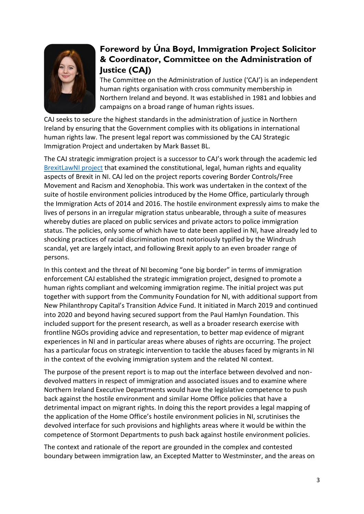

# **Foreword by Úna Boyd, Immigration Project Solicitor & Coordinator, Committee on the Administration of Justice (CAJ)**

The Committee on the Administration of Justice ('CAJ') is an independent human rights organisation with cross community membership in Northern Ireland and beyond. It was established in 1981 and lobbies and campaigns on a broad range of human rights issues.

CAJ seeks to secure the highest standards in the administration of justice in Northern Ireland by ensuring that the Government complies with its obligations in international human rights law. The present legal report was commissioned by the CAJ Strategic Immigration Project and undertaken by Mark Basset BL.

The CAJ strategic immigration project is a successor to CAJ's work through the academic led [BrexitLawNI project](https://brexitlawni.org/) that examined the constitutional, legal, human rights and equality aspects of Brexit in NI. CAJ led on the project reports covering Border Controls/Free Movement and Racism and Xenophobia. This work was undertaken in the context of the suite of hostile environment policies introduced by the Home Office, particularly through the Immigration Acts of 2014 and 2016. The hostile environment expressly aims to make the lives of persons in an irregular migration status unbearable, through a suite of measures whereby duties are placed on public services and private actors to police immigration status. The policies, only some of which have to date been applied in NI, have already led to shocking practices of racial discrimination most notoriously typified by the Windrush scandal, yet are largely intact, and following Brexit apply to an even broader range of persons.

In this context and the threat of NI becoming "one big border" in terms of immigration enforcement CAJ established the strategic immigration project, designed to promote a human rights compliant and welcoming immigration regime. The initial project was put together with support from the Community Foundation for NI, with additional support from New Philanthropy Capital's Transition Advice Fund. It initiated in March 2019 and continued into 2020 and beyond having secured support from the Paul Hamlyn Foundation. This included support for the present research, as well as a broader research exercise with frontline NGOs providing advice and representation, to better map evidence of migrant experiences in NI and in particular areas where abuses of rights are occurring. The project has a particular focus on strategic intervention to tackle the abuses faced by migrants in NI in the context of the evolving immigration system and the related NI context.

The purpose of the present report is to map out the interface between devolved and nondevolved matters in respect of immigration and associated issues and to examine where Northern Ireland Executive Departments would have the legislative competence to push back against the hostile environment and similar Home Office policies that have a detrimental impact on migrant rights. In doing this the report provides a legal mapping of the application of the Home Office's hostile environment policies in NI, scrutinises the devolved interface for such provisions and highlights areas where it would be within the competence of Stormont Departments to push back against hostile environment policies.

The context and rationale of the report are grounded in the complex and contested boundary between immigration law, an Excepted Matter to Westminster, and the areas on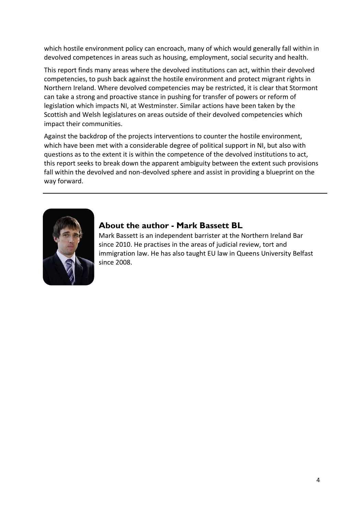which hostile environment policy can encroach, many of which would generally fall within in devolved competences in areas such as housing, employment, social security and health.

This report finds many areas where the devolved institutions can act, within their devolved competencies, to push back against the hostile environment and protect migrant rights in Northern Ireland. Where devolved competencies may be restricted, it is clear that Stormont can take a strong and proactive stance in pushing for transfer of powers or reform of legislation which impacts NI, at Westminster. Similar actions have been taken by the Scottish and Welsh legislatures on areas outside of their devolved competencies which impact their communities.

Against the backdrop of the projects interventions to counter the hostile environment, which have been met with a considerable degree of political support in NI, but also with questions as to the extent it is within the competence of the devolved institutions to act, this report seeks to break down the apparent ambiguity between the extent such provisions fall within the devolved and non-devolved sphere and assist in providing a blueprint on the way forward.



## **About the author - Mark Bassett BL**

Mark Bassett is an independent barrister at the Northern Ireland Bar since 2010. He practises in the areas of judicial review, tort and immigration law. He has also taught EU law in Queens University Belfast since 2008.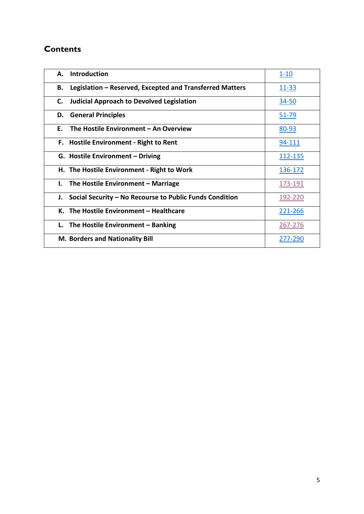## **Contents**

| <b>Introduction</b><br>А.                                      | $1 - 10$     |
|----------------------------------------------------------------|--------------|
| Legislation - Reserved, Excepted and Transferred Matters<br>В. | 11-33        |
| <b>Judicial Approach to Devolved Legislation</b><br>C.         | <u>34-50</u> |
| <b>General Principles</b><br>D.                                | $51 - 79$    |
| The Hostile Environment – An Overview<br>F.                    | 80-93        |
| F. Hostile Environment - Right to Rent                         | 94-111       |
| G. Hostile Environment - Driving                               | 112-135      |
| H. The Hostile Environment - Right to Work                     | 136-172      |
| The Hostile Environment - Marriage<br>Ι.                       | 173-191      |
| Social Security – No Recourse to Public Funds Condition<br>J.  | 192-220      |
| K. The Hostile Environment – Healthcare                        | 221-266      |
| L. The Hostile Environment - Banking                           | 267-276      |
| <b>M. Borders and Nationality Bill</b>                         | 277-290      |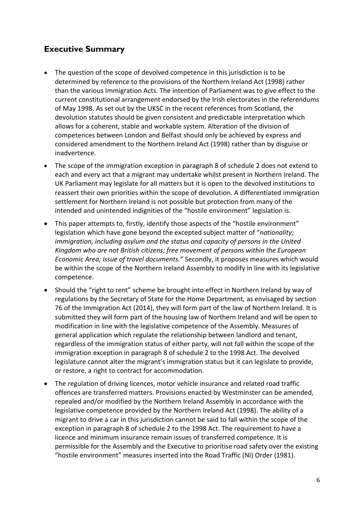# **Executive Summary**

- The question of the scope of devolved competence in this jurisdiction is to be determined by reference to the provisions of the Northern Ireland Act (1998) rather than the various Immigration Acts. The intention of Parliament was to give effect to the current constitutional arrangement endorsed by the Irish electorates in the referendums of May 1998. As set out by the UKSC in the recent references from Scotland, the devolution statutes should be given consistent and predictable interpretation which allows for a coherent, stable and workable system. Alteration of the division of competences between London and Belfast should only be achieved by express and considered amendment to the Northern Ireland Act (1998) rather than by disguise or inadvertence.
- The scope of the immigration exception in paragraph 8 of schedule 2 does not extend to each and every act that a migrant may undertake whilst present in Northern Ireland. The UK Parliament may legislate for all matters but it is open to the devolved institutions to reassert their own priorities within the scope of devolution. A differentiated immigration settlement for Northern Ireland is not possible but protection from many of the intended and unintended indignities of the "hostile environment" legislation is.
- This paper attempts to, firstly, identify those aspects of the "hostile environment" legislation which have gone beyond the excepted subject matter of "*nationality; immigration, including asylum and the status and capacity of persons in the United Kingdom who are not British citizens; free movement of persons within the European Economic Area; issue of travel documents."* Secondly, it proposes measures which would be within the scope of the Northern Ireland Assembly to modify in line with its legislative competence.
- Should the "right to rent" scheme be brought into effect in Northern Ireland by way of regulations by the Secretary of State for the Home Department, as envisaged by section 76 of the Immigration Act (2014), they will form part of the law of Northern Ireland. It is submitted they will form part of the housing law of Northern Ireland and will be open to modification in line with the legislative competence of the Assembly. Measures of general application which regulate the relationship between landlord and tenant, regardless of the immigration status of either party, will not fall within the scope of the immigration exception in paragraph 8 of schedule 2 to the 1998 Act. The devolved legislature cannot alter the migrant's immigration status but it can legislate to provide, or restore, a right to contract for accommodation.
- The regulation of driving licences, motor vehicle insurance and related road traffic offences are transferred matters. Provisions enacted by Westminster can be amended, repealed and/or modified by the Northern Ireland Assembly in accordance with the legislative competence provided by the Northern Ireland Act (1998). The ability of a migrant to drive a car in this jurisdiction cannot be said to fall within the scope of the exception in paragraph 8 of schedule 2 to the 1998 Act. The requirement to have a licence and minimum insurance remain issues of transferred competence. It is permissible for the Assembly and the Executive to prioritise road safety over the existing "hostile environment" measures inserted into the Road Traffic (NI) Order (1981).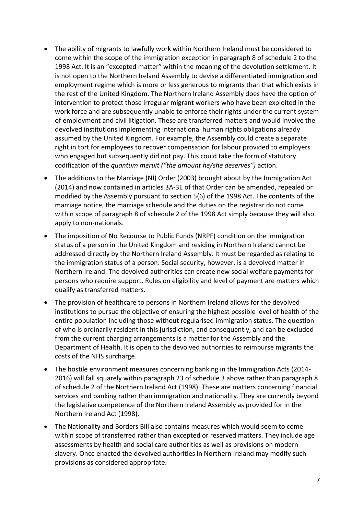- The ability of migrants to lawfully work within Northern Ireland must be considered to come within the scope of the immigration exception in paragraph 8 of schedule 2 to the 1998 Act. It is an "excepted matter" within the meaning of the devolution settlement. It is not open to the Northern Ireland Assembly to devise a differentiated immigration and employment regime which is more or less generous to migrants than that which exists in the rest of the United Kingdom. The Northern Ireland Assembly does have the option of intervention to protect those irregular migrant workers who have been exploited in the work force and are subsequently unable to enforce their rights under the current system of employment and civil litigation. These are transferred matters and would involve the devolved institutions implementing international human rights obligations already assumed by the United Kingdom. For example, the Assembly could create a separate right in tort for employees to recover compensation for labour provided to employers who engaged but subsequently did not pay. This could take the form of statutory codification of the *quantum meruit ("the amount he/she deserves")* action.
- The additions to the Marriage (NI) Order (2003) brought about by the Immigration Act (2014) and now contained in articles 3A-3E of that Order can be amended, repealed or modified by the Assembly pursuant to section 5(6) of the 1998 Act. The contents of the marriage notice, the marriage schedule and the duties on the registrar do not come within scope of paragraph 8 of schedule 2 of the 1998 Act simply because they will also apply to non-nationals.
- The imposition of No Recourse to Public Funds (NRPF) condition on the immigration status of a person in the United Kingdom and residing in Northern Ireland cannot be addressed directly by the Northern Ireland Assembly. It must be regarded as relating to the immigration status of a person. Social security, however, is a devolved matter in Northern Ireland. The devolved authorities can create new social welfare payments for persons who require support. Rules on eligibility and level of payment are matters which qualify as transferred matters.
- The provision of healthcare to persons in Northern Ireland allows for the devolved institutions to pursue the objective of ensuring the highest possible level of health of the entire population including those without regularised immigration status. The question of who is ordinarily resident in this jurisdiction, and consequently, and can be excluded from the current charging arrangements is a matter for the Assembly and the Department of Health. It is open to the devolved authorities to reimburse migrants the costs of the NHS surcharge.
- The hostile environment measures concerning banking in the Immigration Acts (2014- 2016) will fall squarely within paragraph 23 of schedule 3 above rather than paragraph 8 of schedule 2 of the Northern Ireland Act (1998). These are matters concerning financial services and banking rather than immigration and nationality. They are currently beyond the legislative competence of the Northern Ireland Assembly as provided for in the Northern Ireland Act (1998).
- The Nationality and Borders Bill also contains measures which would seem to come within scope of transferred rather than excepted or reserved matters. They include age assessments by health and social care authorities as well as provisions on modern slavery. Once enacted the devolved authorities in Northern Ireland may modify such provisions as considered appropriate.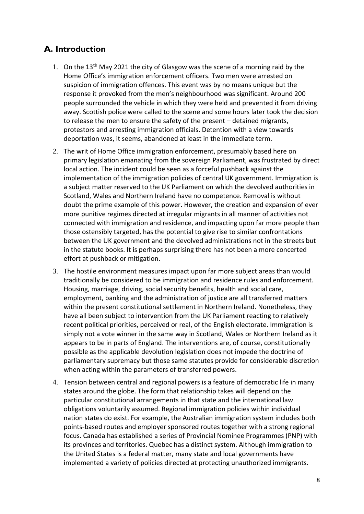## <span id="page-7-0"></span>**A. Introduction**

- 1. On the  $13<sup>th</sup>$  May 2021 the city of Glasgow was the scene of a morning raid by the Home Office's immigration enforcement officers. Two men were arrested on suspicion of immigration offences. This event was by no means unique but the response it provoked from the men's neighbourhood was significant. Around 200 people surrounded the vehicle in which they were held and prevented it from driving away. Scottish police were called to the scene and some hours later took the decision to release the men to ensure the safety of the present – detained migrants, protestors and arresting immigration officials. Detention with a view towards deportation was, it seems, abandoned at least in the immediate term.
- 2. The writ of Home Office immigration enforcement, presumably based here on primary legislation emanating from the sovereign Parliament, was frustrated by direct local action. The incident could be seen as a forceful pushback against the implementation of the immigration policies of central UK government. Immigration is a subject matter reserved to the UK Parliament on which the devolved authorities in Scotland, Wales and Northern Ireland have no competence. Removal is without doubt the prime example of this power. However, the creation and expansion of ever more punitive regimes directed at irregular migrants in all manner of activities not connected with immigration and residence, and impacting upon far more people than those ostensibly targeted, has the potential to give rise to similar confrontations between the UK government and the devolved administrations not in the streets but in the statute books. It is perhaps surprising there has not been a more concerted effort at pushback or mitigation.
- 3. The hostile environment measures impact upon far more subject areas than would traditionally be considered to be immigration and residence rules and enforcement. Housing, marriage, driving, social security benefits, health and social care, employment, banking and the administration of justice are all transferred matters within the present constitutional settlement in Northern Ireland. Nonetheless, they have all been subject to intervention from the UK Parliament reacting to relatively recent political priorities, perceived or real, of the English electorate. Immigration is simply not a vote winner in the same way in Scotland, Wales or Northern Ireland as it appears to be in parts of England. The interventions are, of course, constitutionally possible as the applicable devolution legislation does not impede the doctrine of parliamentary supremacy but those same statutes provide for considerable discretion when acting within the parameters of transferred powers.
- 4. Tension between central and regional powers is a feature of democratic life in many states around the globe. The form that relationship takes will depend on the particular constitutional arrangements in that state and the international law obligations voluntarily assumed. Regional immigration policies within individual nation states do exist. For example, the Australian immigration system includes both points-based routes and employer sponsored routes together with a strong regional focus. Canada has established a series of Provincial Nominee Programmes (PNP) with its provinces and territories. Quebec has a distinct system. Although immigration to the United States is a federal matter, many state and local governments have implemented a variety of policies directed at protecting unauthorized immigrants.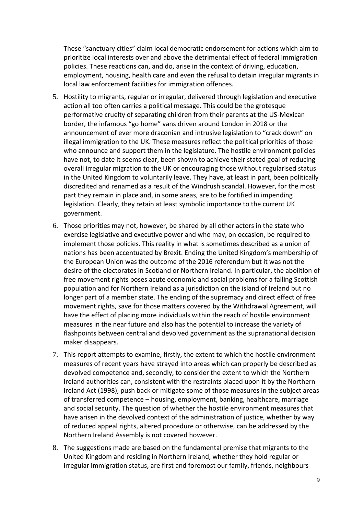These "sanctuary cities" claim local democratic endorsement for actions which aim to prioritize local interests over and above the detrimental effect of federal immigration policies. These reactions can, and do, arise in the context of driving, education, employment, housing, health care and even the refusal to detain irregular migrants in local law enforcement facilities for immigration offences.

- 5. Hostility to migrants, regular or irregular, delivered through legislation and executive action all too often carries a political message. This could be the grotesque performative cruelty of separating children from their parents at the US-Mexican border, the infamous "go home" vans driven around London in 2018 or the announcement of ever more draconian and intrusive legislation to "crack down" on illegal immigration to the UK. These measures reflect the political priorities of those who announce and support them in the legislature. The hostile environment policies have not, to date it seems clear, been shown to achieve their stated goal of reducing overall irregular migration to the UK or encouraging those without regularised status in the United Kingdom to voluntarily leave. They have, at least in part, been politically discredited and renamed as a result of the Windrush scandal. However, for the most part they remain in place and, in some areas, are to be fortified in impending legislation. Clearly, they retain at least symbolic importance to the current UK government.
- 6. Those priorities may not, however, be shared by all other actors in the state who exercise legislative and executive power and who may, on occasion, be required to implement those policies. This reality in what is sometimes described as a union of nations has been accentuated by Brexit. Ending the United Kingdom's membership of the European Union was the outcome of the 2016 referendum but it was not the desire of the electorates in Scotland or Northern Ireland. In particular, the abolition of free movement rights poses acute economic and social problems for a falling Scottish population and for Northern Ireland as a jurisdiction on the island of Ireland but no longer part of a member state. The ending of the supremacy and direct effect of free movement rights, save for those matters covered by the Withdrawal Agreement, will have the effect of placing more individuals within the reach of hostile environment measures in the near future and also has the potential to increase the variety of flashpoints between central and devolved government as the supranational decision maker disappears.
- 7. This report attempts to examine, firstly, the extent to which the hostile environment measures of recent years have strayed into areas which can properly be described as devolved competence and, secondly, to consider the extent to which the Northern Ireland authorities can, consistent with the restraints placed upon it by the Northern Ireland Act (1998), push back or mitigate some of those measures in the subject areas of transferred competence – housing, employment, banking, healthcare, marriage and social security. The question of whether the hostile environment measures that have arisen in the devolved context of the administration of justice, whether by way of reduced appeal rights, altered procedure or otherwise, can be addressed by the Northern Ireland Assembly is not covered however.
- 8. The suggestions made are based on the fundamental premise that migrants to the United Kingdom and residing in Northern Ireland, whether they hold regular or irregular immigration status, are first and foremost our family, friends, neighbours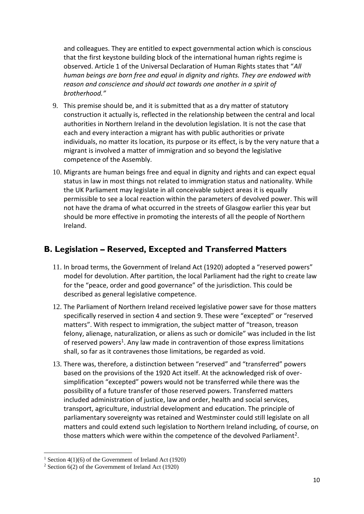and colleagues. They are entitled to expect governmental action which is conscious that the first keystone building block of the international human rights regime is observed. Article 1 of the Universal Declaration of Human Rights states that "*All human beings are born free and equal in dignity and rights. They are endowed with reason and conscience and should act towards one another in a spirit of brotherhood."*

- 9. This premise should be, and it is submitted that as a dry matter of statutory construction it actually is, reflected in the relationship between the central and local authorities in Northern Ireland in the devolution legislation. It is not the case that each and every interaction a migrant has with public authorities or private individuals, no matter its location, its purpose or its effect, is by the very nature that a migrant is involved a matter of immigration and so beyond the legislative competence of the Assembly.
- 10. Migrants are human beings free and equal in dignity and rights and can expect equal status in law in most things not related to immigration status and nationality. While the UK Parliament may legislate in all conceivable subject areas it is equally permissible to see a local reaction within the parameters of devolved power. This will not have the drama of what occurred in the streets of Glasgow earlier this year but should be more effective in promoting the interests of all the people of Northern Ireland.

# <span id="page-9-0"></span>**B. Legislation – Reserved, Excepted and Transferred Matters**

- 11. In broad terms, the Government of Ireland Act (1920) adopted a "reserved powers" model for devolution. After partition, the local Parliament had the right to create law for the "peace, order and good governance" of the jurisdiction. This could be described as general legislative competence.
- 12. The Parliament of Northern Ireland received legislative power save for those matters specifically reserved in section 4 and section 9. These were "excepted" or "reserved matters". With respect to immigration, the subject matter of "treason, treason felony, alienage, naturalization, or aliens as such or domicile" was included in the list of reserved powers<sup>1</sup>. Any law made in contravention of those express limitations shall, so far as it contravenes those limitations, be regarded as void.
- 13. There was, therefore, a distinction between "reserved" and "transferred" powers based on the provisions of the 1920 Act itself. At the acknowledged risk of oversimplification "excepted" powers would not be transferred while there was the possibility of a future transfer of those reserved powers. Transferred matters included administration of justice, law and order, health and social services, transport, agriculture, industrial development and education. The principle of parliamentary sovereignty was retained and Westminster could still legislate on all matters and could extend such legislation to Northern Ireland including, of course, on those matters which were within the competence of the devolved Parliament<sup>2</sup>.

<sup>&</sup>lt;sup>1</sup> Section 4(1)(6) of the Government of Ireland Act (1920)

<sup>&</sup>lt;sup>2</sup> Section  $6(2)$  of the Government of Ireland Act (1920)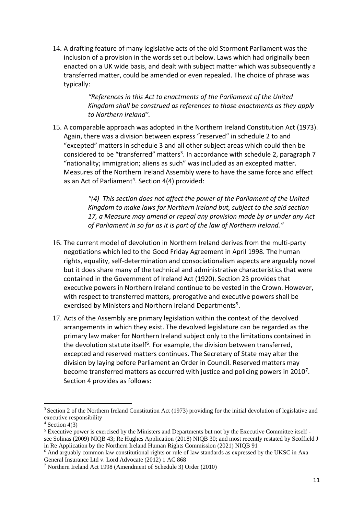14. A drafting feature of many legislative acts of the old Stormont Parliament was the inclusion of a provision in the words set out below. Laws which had originally been enacted on a UK wide basis, and dealt with subject matter which was subsequently a transferred matter, could be amended or even repealed. The choice of phrase was typically:

> *"References in this Act to enactments of the Parliament of the United Kingdom shall be construed as references to those enactments as they apply to Northern Ireland".*

15. A comparable approach was adopted in the Northern Ireland Constitution Act (1973). Again, there was a division between express "reserved" in schedule 2 to and "excepted" matters in schedule 3 and all other subject areas which could then be considered to be "transferred" matters<sup>3</sup>. In accordance with schedule 2, paragraph 7 "nationality; immigration; aliens as such" was included as an excepted matter. Measures of the Northern Ireland Assembly were to have the same force and effect as an Act of Parliament<sup>4</sup>. Section  $4(4)$  provided:

> *"(4) This section does not affect the power of the Parliament of the United Kingdom to make laws for Northern Ireland but, subject to the said section 17, a Measure may amend or repeal any provision made by or under any Act of Parliament in so far as it is part of the law of Northern Ireland."*

- 16. The current model of devolution in Northern Ireland derives from the multi-party negotiations which led to the Good Friday Agreement in April 1998. The human rights, equality, self-determination and consociationalism aspects are arguably novel but it does share many of the technical and administrative characteristics that were contained in the Government of Ireland Act (1920). Section 23 provides that executive powers in Northern Ireland continue to be vested in the Crown. However, with respect to transferred matters, prerogative and executive powers shall be exercised by Ministers and Northern Ireland Departments<sup>5</sup>.
- 17. Acts of the Assembly are primary legislation within the context of the devolved arrangements in which they exist. The devolved legislature can be regarded as the primary law maker for Northern Ireland subject only to the limitations contained in the devolution statute itself<sup>6</sup>. For example, the division between transferred, excepted and reserved matters continues. The Secretary of State may alter the division by laying before Parliament an Order in Council. Reserved matters may become transferred matters as occurred with justice and policing powers in 2010<sup>7</sup>. Section 4 provides as follows:

<sup>3</sup> Section 2 of the Northern Ireland Constitution Act (1973) providing for the initial devolution of legislative and executive responsibility

 $4$  Section 4(3)

<sup>5</sup> Executive power is exercised by the Ministers and Departments but not by the Executive Committee itself see Solinas (2009) NIQB 43; Re Hughes Application (2018) NIQB 30; and most recently restated by Scoffield J in Re Application by the Northern Ireland Human Rights Commission (2021) NIQB 91

<sup>6</sup> And arguably common law constitutional rights or rule of law standards as expressed by the UKSC in Axa General Insurance Ltd v. Lord Advocate (2012) 1 AC 868

<sup>7</sup> Northern Ireland Act 1998 (Amendment of Schedule 3) Order (2010)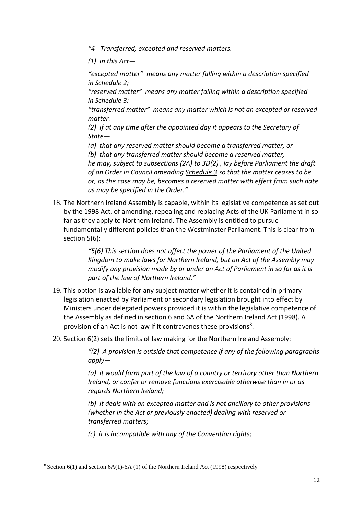*"4 - Transferred, excepted and reserved matters.*

*(1) In this Act—*

*"excepted matter" means any matter falling within a description specified in [Schedule](https://uk.westlaw.com/Document/I2F106090E45011DA8D70A0E70A78ED65/View/FullText.html?originationContext=document&transitionType=DocumentItem&ppcid=d2a247c2d94e4d46970e9bb372386e95&contextData=(sc.DocLink)) 2;*

*"reserved matter" means any matter falling within a description specified in [Schedule](https://uk.westlaw.com/Document/I2F1BD240E45011DA8D70A0E70A78ED65/View/FullText.html?originationContext=document&transitionType=DocumentItem&ppcid=d2a247c2d94e4d46970e9bb372386e95&contextData=(sc.DocLink)) 3;*

*"transferred matter" means any matter which is not an excepted or reserved matter.*

*(2) If at any time after the appointed day it appears to the Secretary of State—*

*(a) that any reserved matter should become a transferred matter; or (b) that any transferred matter should become a reserved matter, he may, subject to subsections (2A) to 3D(2) , lay before Parliament the draft of an Order in Council amending [Schedule](https://uk.westlaw.com/Document/I2F1BD240E45011DA8D70A0E70A78ED65/View/FullText.html?originationContext=document&transitionType=DocumentItem&ppcid=d2a247c2d94e4d46970e9bb372386e95&contextData=(sc.DocLink)) 3 so that the matter ceases to be or, as the case may be, becomes a reserved matter with effect from such date as may be specified in the Order."*

18. The Northern Ireland Assembly is capable, within its legislative competence as set out by the 1998 Act, of amending, repealing and replacing Acts of the UK Parliament in so far as they apply to Northern Ireland. The Assembly is entitled to pursue fundamentally different policies than the Westminster Parliament. This is clear from section 5(6):

> *"5(6) This section does not affect the power of the Parliament of the United Kingdom to make laws for Northern Ireland, but an Act of the Assembly may modify any provision made by or under an Act of Parliament in so far as it is part of the law of Northern Ireland."*

- 19. This option is available for any subject matter whether it is contained in primary legislation enacted by Parliament or secondary legislation brought into effect by Ministers under delegated powers provided it is within the legislative competence of the Assembly as defined in section 6 and 6A of the Northern Ireland Act (1998). A provision of an Act is not law if it contravenes these provisions<sup>8</sup>.
- 20. Section 6(2) sets the limits of law making for the Northern Ireland Assembly:

*"(2) A provision is outside that competence if any of the following paragraphs apply—*

*(a) it would form part of the law of a country or territory other than Northern Ireland, or confer or remove functions exercisable otherwise than in or as regards Northern Ireland;*

*(b) it deals with an excepted matter and is not ancillary to other provisions (whether in the Act or previously enacted) dealing with reserved or transferred matters;*

*(c) it is incompatible with any of the Convention rights;*

 $8$  Section 6(1) and section 6A(1)-6A (1) of the Northern Ireland Act (1998) respectively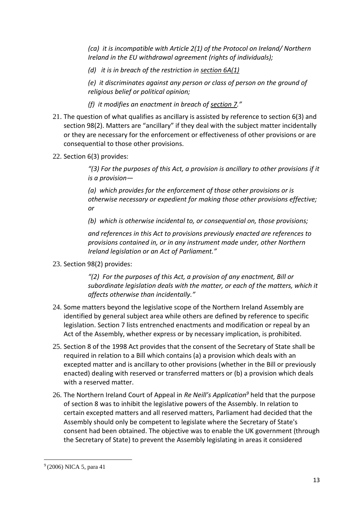*(ca) it is incompatible with Article 2(1) of the Protocol on Ireland/ Northern Ireland in the EU withdrawal agreement (rights of individuals);*

*(d) it is in breach of the restriction in [section](https://uk.westlaw.com/Document/IE93492005E3E11E89DC2C8960E2C86C8/View/FullText.html?originationContext=document&transitionType=DocumentItem&ppcid=ec35334738f74822ae0c248b72b2503c&contextData=(sc.DocLink)) 6A(1)*

*(e) it discriminates against any person or class of person on the ground of religious belief or political opinion;*

*(f) it modifies an enactment in breach of [section](https://uk.westlaw.com/Document/I1EDEBBB0E44911DA8D70A0E70A78ED65/View/FullText.html?originationContext=document&transitionType=DocumentItem&ppcid=ec35334738f74822ae0c248b72b2503c&contextData=(sc.DocLink)) 7."*

- 21. The question of what qualifies as ancillary is assisted by reference to section 6(3) and section 98(2). Matters are "ancillary" if they deal with the subject matter incidentally or they are necessary for the enforcement or effectiveness of other provisions or are consequential to those other provisions.
- 22. Section 6(3) provides:

*"(3) For the purposes of this Act, a provision is ancillary to other provisions if it is a provision—*

*(a) which provides for the enforcement of those other provisions or is otherwise necessary or expedient for making those other provisions effective; or*

*(b) which is otherwise incidental to, or consequential on, those provisions;*

*and references in this Act to provisions previously enacted are references to provisions contained in, or in any instrument made under, other Northern Ireland legislation or an Act of Parliament."*

23. Section 98(2) provides:

*"(2) For the purposes of this Act, a provision of any enactment, Bill or subordinate legislation deals with the matter, or each of the matters, which it affects otherwise than incidentally."*

- 24. Some matters beyond the legislative scope of the Northern Ireland Assembly are identified by general subject area while others are defined by reference to specific legislation. Section 7 lists entrenched enactments and modification or repeal by an Act of the Assembly, whether express or by necessary implication, is prohibited.
- 25. Section 8 of the 1998 Act provides that the consent of the Secretary of State shall be required in relation to a Bill which contains (a) a provision which deals with an excepted matter and is ancillary to other provisions (whether in the Bill or previously enacted) dealing with reserved or transferred matters or (b) a provision which deals with a reserved matter.
- 26. The Northern Ireland Court of Appeal in *Re Neill's Application<sup>9</sup>* held that the purpose of section 8 was to inhibit the legislative powers of the Assembly. In relation to certain excepted matters and all reserved matters, Parliament had decided that the Assembly should only be competent to legislate where the Secretary of State's consent had been obtained. The objective was to enable the UK government (through the Secretary of State) to prevent the Assembly legislating in areas it considered

<sup>&</sup>lt;sup>9</sup> (2006) NICA 5, para 41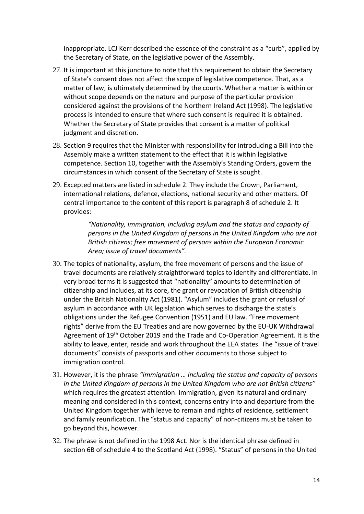inappropriate. LCJ Kerr described the essence of the constraint as a "curb", applied by the Secretary of State, on the legislative power of the Assembly.

- 27. It is important at this juncture to note that this requirement to obtain the Secretary of State's consent does not affect the scope of legislative competence. That, as a matter of law, is ultimately determined by the courts. Whether a matter is within or without scope depends on the nature and purpose of the particular provision considered against the provisions of the Northern Ireland Act (1998). The legislative process is intended to ensure that where such consent is required it is obtained. Whether the Secretary of State provides that consent is a matter of political judgment and discretion.
- 28. Section 9 requires that the Minister with responsibility for introducing a Bill into the Assembly make a written statement to the effect that it is within legislative competence. Section 10, together with the Assembly's Standing Orders, govern the circumstances in which consent of the Secretary of State is sought.
- 29. Excepted matters are listed in schedule 2. They include the Crown, Parliament, international relations, defence, elections, national security and other matters. Of central importance to the content of this report is paragraph 8 of schedule 2. It provides:

*"Nationality, immigration, including asylum and the status and capacity of persons in the United Kingdom of persons in the United Kingdom who are not British citizens; free movement of persons within the European Economic Area; issue of travel documents".* 

- 30. The topics of nationality, asylum, the free movement of persons and the issue of travel documents are relatively straightforward topics to identify and differentiate. In very broad terms it is suggested that "nationality" amounts to determination of citizenship and includes, at its core, the grant or revocation of British citizenship under the British Nationality Act (1981). "Asylum" includes the grant or refusal of asylum in accordance with UK legislation which serves to discharge the state's obligations under the Refugee Convention (1951) and EU law. "Free movement rights" derive from the EU Treaties and are now governed by the EU-UK Withdrawal Agreement of 19<sup>th</sup> October 2019 and the Trade and Co-Operation Agreement. It is the ability to leave, enter, reside and work throughout the EEA states. The "issue of travel documents" consists of passports and other documents to those subject to immigration control.
- 31. However, it is the phrase *"immigration … including the status and capacity of persons in the United Kingdom of persons in the United Kingdom who are not British citizens" w*hich requires the greatest attention. Immigration, given its natural and ordinary meaning and considered in this context, concerns entry into and departure from the United Kingdom together with leave to remain and rights of residence, settlement and family reunification. The "status and capacity" of non-citizens must be taken to go beyond this, however.
- 32. The phrase is not defined in the 1998 Act. Nor is the identical phrase defined in section 6B of schedule 4 to the Scotland Act (1998). "Status" of persons in the United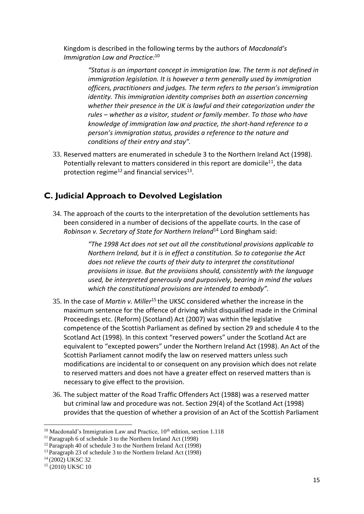Kingdom is described in the following terms by the authors of *Macdonald's Immigration Law and Practice:* 10

> *"Status is an important concept in immigration law. The term is not defined in immigration legislation. It is however a term generally used by immigration officers, practitioners and judges. The term refers to the person's immigration identity. This immigration identity comprises both an assertion concerning whether their presence in the UK is lawful and their categorization under the rules – whether as a visitor, student or family member. To those who have knowledge of immigration law and practice, the short-hand reference to a person's immigration status, provides a reference to the nature and conditions of their entry and stay".*

33. Reserved matters are enumerated in schedule 3 to the Northern Ireland Act (1998). Potentially relevant to matters considered in this report are domicile<sup>11</sup>, the data protection regime<sup>12</sup> and financial services<sup>13</sup>.

# <span id="page-14-0"></span>**C. Judicial Approach to Devolved Legislation**

34. The approach of the courts to the interpretation of the devolution settlements has been considered in a number of decisions of the appellate courts. In the case of *Robinson v. Secretary of State for Northern Ireland*<sup>14</sup> Lord Bingham said:

> *"The 1998 Act does not set out all the constitutional provisions applicable to Northern Ireland, but it is in effect a constitution. So to categorise the Act does not relieve the courts of their duty to interpret the constitutional provisions in issue. But the provisions should, consistently with the language used, be interpreted generously and purposively, bearing in mind the values which the constitutional provisions are intended to embody".*

- 35. In the case of *Martin v. Miller*<sup>15</sup> the UKSC considered whether the increase in the maximum sentence for the offence of driving whilst disqualified made in the Criminal Proceedings etc. (Reform) (Scotland) Act (2007) was within the legislative competence of the Scottish Parliament as defined by section 29 and schedule 4 to the Scotland Act (1998). In this context "reserved powers" under the Scotland Act are equivalent to "excepted powers" under the Northern Ireland Act (1998). An Act of the Scottish Parliament cannot modify the law on reserved matters unless such modifications are incidental to or consequent on any provision which does not relate to reserved matters and does not have a greater effect on reserved matters than is necessary to give effect to the provision.
- 36. The subject matter of the Road Traffic Offenders Act (1988) was a reserved matter but criminal law and procedure was not. Section 29(4) of the Scotland Act (1998) provides that the question of whether a provision of an Act of the Scottish Parliament

 $10$  Macdonald's Immigration Law and Practice,  $10<sup>th</sup>$  edition, section 1.118

<sup>&</sup>lt;sup>11</sup> Paragraph 6 of schedule 3 to the Northern Ireland Act (1998)

<sup>&</sup>lt;sup>12</sup> Paragraph 40 of schedule 3 to the Northern Ireland Act (1998)

<sup>&</sup>lt;sup>13</sup> Paragraph 23 of schedule 3 to the Northern Ireland Act (1998)

 $14(2002)$  UKSC 32

 $15$  (2010) UKSC 10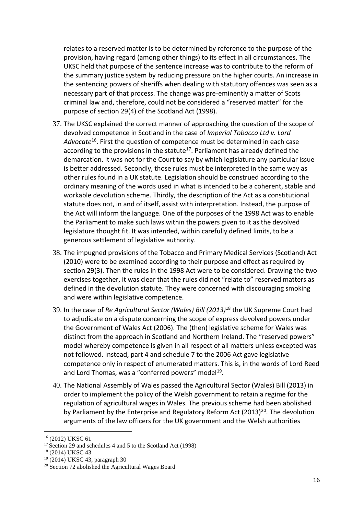relates to a reserved matter is to be determined by reference to the purpose of the provision, having regard (among other things) to its effect in all circumstances. The UKSC held that purpose of the sentence increase was to contribute to the reform of the summary justice system by reducing pressure on the higher courts. An increase in the sentencing powers of sheriffs when dealing with statutory offences was seen as a necessary part of that process. The change was pre-eminently a matter of Scots criminal law and, therefore, could not be considered a "reserved matter" for the purpose of section 29(4) of the Scotland Act (1998).

- 37. The UKSC explained the correct manner of approaching the question of the scope of devolved competence in Scotland in the case of *Imperial Tobacco Ltd v. Lord Advocate*<sup>16</sup>. First the question of competence must be determined in each case according to the provisions in the statute<sup>17</sup>. Parliament has already defined the demarcation. It was not for the Court to say by which legislature any particular issue is better addressed. Secondly, those rules must be interpreted in the same way as other rules found in a UK statute. Legislation should be construed according to the ordinary meaning of the words used in what is intended to be a coherent, stable and workable devolution scheme. Thirdly, the description of the Act as a constitutional statute does not, in and of itself, assist with interpretation. Instead, the purpose of the Act will inform the language. One of the purposes of the 1998 Act was to enable the Parliament to make such laws within the powers given to it as the devolved legislature thought fit. It was intended, within carefully defined limits, to be a generous settlement of legislative authority.
- 38. The impugned provisions of the Tobacco and Primary Medical Services (Scotland) Act (2010) were to be examined according to their purpose and effect as required by section 29(3). Then the rules in the 1998 Act were to be considered. Drawing the two exercises together, it was clear that the rules did not "relate to" reserved matters as defined in the devolution statute. They were concerned with discouraging smoking and were within legislative competence.
- 39. In the case of *Re Agricultural Sector (Wales) Bill (2013)*<sup>18</sup> the UK Supreme Court had to adjudicate on a dispute concerning the scope of express devolved powers under the Government of Wales Act (2006). The (then) legislative scheme for Wales was distinct from the approach in Scotland and Northern Ireland. The "reserved powers" model whereby competence is given in all respect of all matters unless excepted was not followed. Instead, part 4 and schedule 7 to the 2006 Act gave legislative competence only in respect of enumerated matters. This is, in the words of Lord Reed and Lord Thomas, was a "conferred powers" model<sup>19</sup>.
- 40. The National Assembly of Wales passed the Agricultural Sector (Wales) Bill (2013) in order to implement the policy of the Welsh government to retain a regime for the regulation of agricultural wages in Wales. The previous scheme had been abolished by Parliament by the Enterprise and Regulatory Reform Act  $(2013)^{20}$ . The devolution arguments of the law officers for the UK government and the Welsh authorities

<sup>16</sup> (2012) UKSC 61

<sup>&</sup>lt;sup>17</sup> Section 29 and schedules 4 and 5 to the Scotland Act (1998)

<sup>18</sup> (2014) UKSC 43

<sup>19</sup> (2014) UKSC 43, paragraph 30

<sup>20</sup> Section 72 abolished the Agricultural Wages Board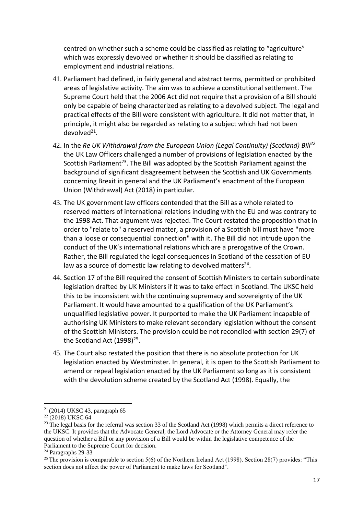centred on whether such a scheme could be classified as relating to "agriculture" which was expressly devolved or whether it should be classified as relating to employment and industrial relations.

- 41. Parliament had defined, in fairly general and abstract terms, permitted or prohibited areas of legislative activity. The aim was to achieve a constitutional settlement. The Supreme Court held that the 2006 Act did not require that a provision of a Bill should only be capable of being characterized as relating to a devolved subject. The legal and practical effects of the Bill were consistent with agriculture. It did not matter that, in principle, it might also be regarded as relating to a subject which had not been devolved<sup>21</sup>.
- 42. In the *Re UK Withdrawal from the European Union (Legal Continuity) (Scotland) Bill<sup>22</sup>* the UK Law Officers challenged a number of provisions of legislation enacted by the Scottish Parliament<sup>23</sup>. The Bill was adopted by the Scottish Parliament against the background of significant disagreement between the Scottish and UK Governments concerning Brexit in general and the UK Parliament's enactment of the European Union (Withdrawal) Act (2018) in particular.
- 43. The UK government law officers contended that the Bill as a whole related to reserved matters of international relations including with the EU and was contrary to the 1998 Act. That argument was rejected. The Court restated the proposition that in order to "relate to" a reserved matter, a provision of a Scottish bill must have "more than a loose or consequential connection" with it. The Bill did not intrude upon the conduct of the UK's international relations which are a prerogative of the Crown. Rather, the Bill regulated the legal consequences in Scotland of the cessation of EU law as a source of domestic law relating to devolved matters<sup>24</sup>.
- 44. Section 17 of the Bill required the consent of Scottish Ministers to certain subordinate legislation drafted by UK Ministers if it was to take effect in Scotland. The UKSC held this to be inconsistent with the continuing supremacy and sovereignty of the UK Parliament. It would have amounted to a qualification of the UK Parliament's unqualified legislative power. It purported to make the UK Parliament incapable of authorising UK Ministers to make relevant secondary legislation without the consent of the Scottish Ministers. The provision could be not reconciled with section 29(7) of the Scotland Act  $(1998)^{25}$ .
- 45. The Court also restated the position that there is no absolute protection for UK legislation enacted by Westminster. In general, it is open to the Scottish Parliament to amend or repeal legislation enacted by the UK Parliament so long as it is consistent with the devolution scheme created by the Scotland Act (1998). Equally, the

 $21$  (2014) UKSC 43, paragraph 65

 $22 (2018)$  UKSC 64

<sup>&</sup>lt;sup>23</sup> The legal basis for the referral was section 33 of the Scotland Act (1998) which permits a direct reference to the UKSC. It provides that the Advocate General, the Lord Advocate or the Attorney General may refer the question of whether a Bill or any provision of a Bill would be within the legislative competence of the Parliament to the Supreme Court for decision.

<sup>&</sup>lt;sup>24</sup> Paragraphs 29-33

<sup>&</sup>lt;sup>25</sup> The provision is comparable to section 5(6) of the Northern Ireland Act (1998). Section 28(7) provides: "This section does not affect the power of Parliament to make laws for Scotland".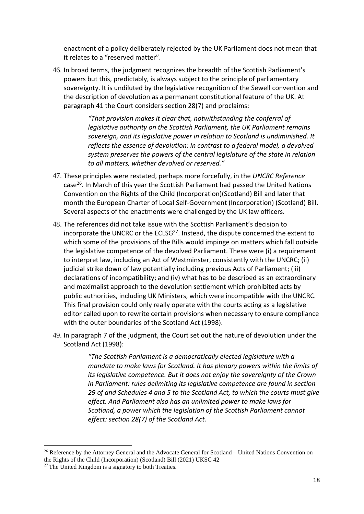enactment of a policy deliberately rejected by the UK Parliament does not mean that it relates to a "reserved matter".

46. In broad terms, the judgment recognizes the breadth of the Scottish Parliament's powers but this, predictably, is always subject to the principle of parliamentary sovereignty. It is undiluted by the legislative recognition of the Sewell convention and the description of devolution as a permanent constitutional feature of the UK. At paragraph 41 the Court considers section 28(7) and proclaims:

> *"That provision makes it clear that, notwithstanding the conferral of legislative authority on the Scottish Parliament, the UK Parliament remains sovereign, and its legislative power in relation to Scotland is undiminished. It reflects the essence of devolution: in contrast to a federal model, a devolved system preserves the powers of the central legislature of the state in relation to all matters, whether devolved or reserved."*

- 47. These principles were restated, perhaps more forcefully, in the *UNCRC Reference* case<sup>26</sup>. In March of this year the Scottish Parliament had passed the United Nations Convention on the Rights of the Child (Incorporation)(Scotland) Bill and later that month the European Charter of Local Self-Government (Incorporation) (Scotland) Bill. Several aspects of the enactments were challenged by the UK law officers.
- 48. The references did not take issue with the Scottish Parliament's decision to incorporate the UNCRC or the ECLSG<sup>27</sup>. Instead, the dispute concerned the extent to which some of the provisions of the Bills would impinge on matters which fall outside the legislative competence of the devolved Parliament. These were (i) a requirement to interpret law, including an Act of Westminster, consistently with the UNCRC; (ii) judicial strike down of law potentially including previous Acts of Parliament; (iii) declarations of incompatibility; and (iv) what has to be described as an extraordinary and maximalist approach to the devolution settlement which prohibited acts by public authorities, including UK Ministers, which were incompatible with the UNCRC. This final provision could only really operate with the courts acting as a legislative editor called upon to rewrite certain provisions when necessary to ensure compliance with the outer boundaries of the Scotland Act (1998).
- 49. In paragraph 7 of the judgment, the Court set out the nature of devolution under the Scotland Act (1998):

*"The Scottish Parliament is a democratically elected legislature with a mandate to make laws for Scotland. It has plenary powers within the limits of its legislative competence. But it does not enjoy the sovereignty of the Crown in Parliament: rules delimiting its legislative competence are found in section 29 of and Schedules 4 and 5 to the Scotland Act, to which the courts must give effect. And Parliament also has an unlimited power to make laws for Scotland, a power which the legislation of the Scottish Parliament cannot effect: section 28(7) of the Scotland Act.* 

 $26$  Reference by the Attorney General and the Advocate General for Scotland – United Nations Convention on the Rights of the Child (Incorporation) (Scotland) Bill (2021) UKSC 42

 $27$  The United Kingdom is a signatory to both Treaties.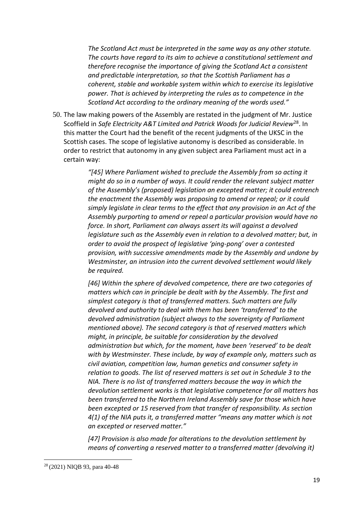*The Scotland Act must be interpreted in the same way as any other statute. The courts have regard to its aim to achieve a constitutional settlement and therefore recognise the importance of giving the Scotland Act a consistent and predictable interpretation, so that the Scottish Parliament has a coherent, stable and workable system within which to exercise its legislative power. That is achieved by interpreting the rules as to competence in the Scotland Act according to the ordinary meaning of the words used."*

50. The law making powers of the Assembly are restated in the judgment of Mr. Justice Scoffield in *Safe Electricity A&T Limited and Patrick Woods for Judicial Review*<sup>28</sup>. In this matter the Court had the benefit of the recent judgments of the UKSC in the Scottish cases. The scope of legislative autonomy is described as considerable. In order to restrict that autonomy in any given subject area Parliament must act in a certain way:

> *"[45] Where Parliament wished to preclude the Assembly from so acting it might do so in a number of ways. It could render the relevant subject matter of the Assembly's (proposed) legislation an excepted matter; it could entrench the enactment the Assembly was proposing to amend or repeal; or it could simply legislate in clear terms to the effect that any provision in an Act of the Assembly purporting to amend or repeal a particular provision would have no force. In short, Parliament can always assert its will against a devolved legislature such as the Assembly even in relation to a devolved matter; but, in order to avoid the prospect of legislative 'ping-pong' over a contested provision, with successive amendments made by the Assembly and undone by Westminster, an intrusion into the current devolved settlement would likely be required.*

> *[46] Within the sphere of devolved competence, there are two categories of matters which can in principle be dealt with by the Assembly. The first and simplest category is that of transferred matters. Such matters are fully devolved and authority to deal with them has been 'transferred' to the devolved administration (subject always to the sovereignty of Parliament mentioned above). The second category is that of reserved matters which might, in principle, be suitable for consideration by the devolved administration but which, for the moment, have been 'reserved' to be dealt with by Westminster. These include, by way of example only, matters such as civil aviation, competition law, human genetics and consumer safety in relation to goods. The list of reserved matters is set out in Schedule 3 to the NIA. There is no list of transferred matters because the way in which the devolution settlement works is that legislative competence for all matters has been transferred to the Northern Ireland Assembly save for those which have been excepted or 15 reserved from that transfer of responsibility. As section 4(1) of the NIA puts it, a transferred matter "means any matter which is not an excepted or reserved matter."*

*[47] Provision is also made for alterations to the devolution settlement by means of converting a reserved matter to a transferred matter (devolving it)* 

<sup>28</sup> (2021) NIQB 93, para 40-48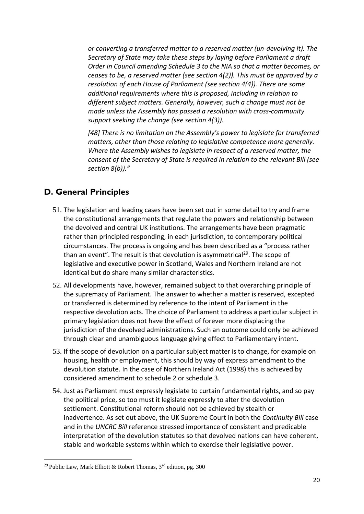*or converting a transferred matter to a reserved matter (un-devolving it). The Secretary of State may take these steps by laying before Parliament a draft Order in Council amending Schedule 3 to the NIA so that a matter becomes, or ceases to be, a reserved matter (see section 4(2)). This must be approved by a resolution of each House of Parliament (see section 4(4)). There are some additional requirements where this is proposed, including in relation to different subject matters. Generally, however, such a change must not be made unless the Assembly has passed a resolution with cross-community support seeking the change (see section 4(3)).* 

*[48] There is no limitation on the Assembly's power to legislate for transferred matters, other than those relating to legislative competence more generally. Where the Assembly wishes to legislate in respect of a reserved matter, the consent of the Secretary of State is required in relation to the relevant Bill (see section 8(b))."*

# <span id="page-19-0"></span>**D. General Principles**

- 51. The legislation and leading cases have been set out in some detail to try and frame the constitutional arrangements that regulate the powers and relationship between the devolved and central UK institutions. The arrangements have been pragmatic rather than principled responding, in each jurisdiction, to contemporary political circumstances. The process is ongoing and has been described as a "process rather than an event". The result is that devolution is asymmetrical<sup>29</sup>. The scope of legislative and executive power in Scotland, Wales and Northern Ireland are not identical but do share many similar characteristics.
- 52. All developments have, however, remained subject to that overarching principle of the supremacy of Parliament. The answer to whether a matter is reserved, excepted or transferred is determined by reference to the intent of Parliament in the respective devolution acts. The choice of Parliament to address a particular subject in primary legislation does not have the effect of forever more displacing the jurisdiction of the devolved administrations. Such an outcome could only be achieved through clear and unambiguous language giving effect to Parliamentary intent.
- 53. If the scope of devolution on a particular subject matter is to change, for example on housing, health or employment, this should by way of express amendment to the devolution statute. In the case of Northern Ireland Act (1998) this is achieved by considered amendment to schedule 2 or schedule 3.
- 54. Just as Parliament must expressly legislate to curtain fundamental rights, and so pay the political price, so too must it legislate expressly to alter the devolution settlement. Constitutional reform should not be achieved by stealth or inadvertence. As set out above, the UK Supreme Court in both the *Continuity Bill* case and in the *UNCRC Bill* reference stressed importance of consistent and predicable interpretation of the devolution statutes so that devolved nations can have coherent, stable and workable systems within which to exercise their legislative power.

<sup>&</sup>lt;sup>29</sup> Public Law, Mark Elliott & Robert Thomas,  $3<sup>rd</sup>$  edition, pg. 300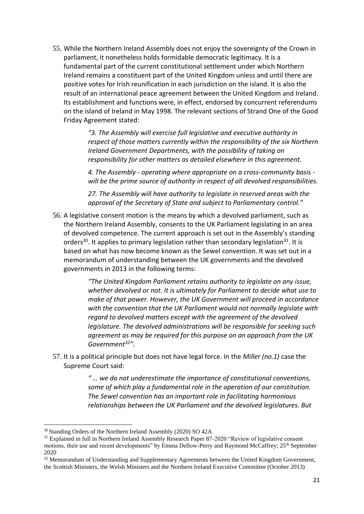55. While the Northern Ireland Assembly does not enjoy the sovereignty of the Crown in parliament, it nonetheless holds formidable democratic legitimacy. It is a fundamental part of the current constitutional settlement under which Northern Ireland remains a constituent part of the United Kingdom unless and until there are positive votes for Irish reunification in each jurisdiction on the island. It is also the result of an international peace agreement between the United Kingdom and Ireland. Its establishment and functions were, in effect, endorsed by concurrent referendums on the island of Ireland in May 1998. The relevant sections of Strand One of the Good Friday Agreement stated:

> *"3. The Assembly will exercise full legislative and executive authority in respect of those matters currently within the responsibility of the six Northern Ireland Government Departments, with the possibility of taking on responsibility for other matters as detailed elsewhere in this agreement.*

> *4. The Assembly - operating where appropriate on a cross-community basis will be the prime source of authority in respect of all devolved responsibilities.*

*27. The Assembly will have authority to legislate in reserved areas with the approval of the Secretary of State and subject to Parliamentary control."*

56. A legislative consent motion is the means by which a devolved parliament, such as the Northern Ireland Assembly, consents to the UK Parliament legislating in an area of devolved competence. The current approach is set out in the Assembly's standing orders<sup>30</sup>. It applies to primary legislation rather than secondary legislation<sup>31</sup>. It is based on what has now become known as the Sewel convention. It was set out in a memorandum of understanding between the UK governments and the devolved governments in 2013 in the following terms:

> *"The United Kingdom Parliament retains authority to legislate on any issue, whether devolved or not. It is ultimately for Parliament to decide what use to make of that power. However, the UK Government will proceed in accordance with the convention that the UK Parliament would not normally legislate with regard to devolved matters except with the agreement of the devolved legislature. The devolved administrations will be responsible for seeking such agreement as may be required for this purpose on an approach from the UK Government<sup>32</sup>".*

57. It is a political principle but does not have legal force. In the *Miller (no.1)* case the Supreme Court said:

> *" … we do not underestimate the importance of constitutional conventions, some of which play a fundamental role in the operation of our constitution. The Sewel convention has an important role in facilitating harmonious relationships between the UK Parliament and the devolved legislatures. But*

<sup>30</sup> Standing Orders of the Northern Ireland Assembly (2020) SO 42A

<sup>&</sup>lt;sup>31</sup> Explained in full in Northern Ireland Assembly Research Paper 87-2020 "Review of legislative consent motions, their use and recent developments" by Emma Dellow-Perry and Raymond McCaffrey; 25<sup>th</sup> September 2020

<sup>&</sup>lt;sup>32</sup> Memorandum of Understanding and Supplementary Agreements between the United Kingdom Government, the Scottish Ministers, the Welsh Ministers and the Northern Ireland Executive Committee (October 2013)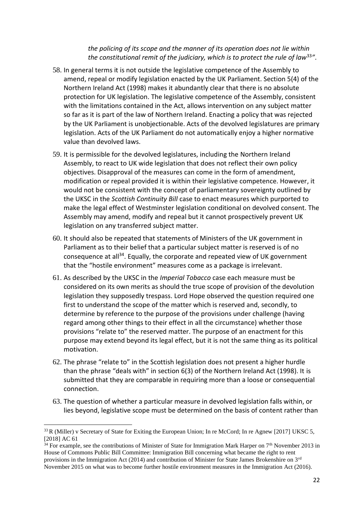#### *the policing of its scope and the manner of its operation does not lie within the constitutional remit of the judiciary, which is to protect the rule of law*<sup>33</sup> *"*.

- 58. In general terms it is not outside the legislative competence of the Assembly to amend, repeal or modify legislation enacted by the UK Parliament. Section 5(4) of the Northern Ireland Act (1998) makes it abundantly clear that there is no absolute protection for UK legislation. The legislative competence of the Assembly, consistent with the limitations contained in the Act, allows intervention on any subject matter so far as it is part of the law of Northern Ireland. Enacting a policy that was rejected by the UK Parliament is unobjectionable. Acts of the devolved legislatures are primary legislation. Acts of the UK Parliament do not automatically enjoy a higher normative value than devolved laws.
- 59. It is permissible for the devolved legislatures, including the Northern Ireland Assembly, to react to UK wide legislation that does not reflect their own policy objectives. Disapproval of the measures can come in the form of amendment, modification or repeal provided it is within their legislative competence. However, it would not be consistent with the concept of parliamentary sovereignty outlined by the UKSC in the *Scottish Continuity Bill* case to enact measures which purported to make the legal effect of Westminster legislation conditional on devolved consent. The Assembly may amend, modify and repeal but it cannot prospectively prevent UK legislation on any transferred subject matter.
- 60. It should also be repeated that statements of Ministers of the UK government in Parliament as to their belief that a particular subject matter is reserved is of no consequence at all<sup>34</sup>. Equally, the corporate and repeated view of UK government that the "hostile environment" measures come as a package is irrelevant.
- 61. As described by the UKSC in the *Imperial Tobacco* case each measure must be considered on its own merits as should the true scope of provision of the devolution legislation they supposedly trespass. Lord Hope observed the question required one first to understand the scope of the matter which is reserved and, secondly, to determine by reference to the purpose of the provisions under challenge (having regard among other things to their effect in all the circumstance) whether those provisions "relate to" the reserved matter. The purpose of an enactment for this purpose may extend beyond its legal effect, but it is not the same thing as its political motivation.
- 62. The phrase "relate to" in the Scottish legislation does not present a higher hurdle than the phrase "deals with" in section 6(3) of the Northern Ireland Act (1998). It is submitted that they are comparable in requiring more than a loose or consequential connection.
- 63. The question of whether a particular measure in devolved legislation falls within, or lies beyond, legislative scope must be determined on the basis of content rather than

<sup>&</sup>lt;sup>33</sup> R (Miller) v Secretary of State for Exiting the European Union; In re McCord; In re Agnew [2017] UKSC 5, [2018] AC 61

 $34$  For example, see the contributions of Minister of State for Immigration Mark Harper on  $7<sup>th</sup>$  November 2013 in House of Commons Public Bill Committee: Immigration Bill concerning what became the right to rent provisions in the Immigration Act (2014) and contribution of Minister for State James Brokenshire on 3<sup>rd</sup> November 2015 on what was to become further hostile environment measures in the Immigration Act (2016).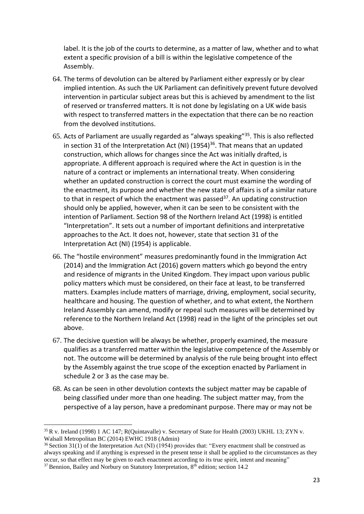label. It is the job of the courts to determine, as a matter of law, whether and to what extent a specific provision of a bill is within the legislative competence of the Assembly.

- 64. The terms of devolution can be altered by Parliament either expressly or by clear implied intention. As such the UK Parliament can definitively prevent future devolved intervention in particular subject areas but this is achieved by amendment to the list of reserved or transferred matters. It is not done by legislating on a UK wide basis with respect to transferred matters in the expectation that there can be no reaction from the devolved institutions.
- 65. Acts of Parliament are usually regarded as "always speaking"<sup>35</sup>. This is also reflected in section 31 of the Interpretation Act (NI)  $(1954)^{36}$ . That means that an updated construction, which allows for changes since the Act was initially drafted, is appropriate. A different approach is required where the Act in question is in the nature of a contract or implements an international treaty. When considering whether an updated construction is correct the court must examine the wording of the enactment, its purpose and whether the new state of affairs is of a similar nature to that in respect of which the enactment was passed $37$ . An updating construction should only be applied, however, when it can be seen to be consistent with the intention of Parliament. Section 98 of the Northern Ireland Act (1998) is entitled "Interpretation". It sets out a number of important definitions and interpretative approaches to the Act. It does not, however, state that section 31 of the Interpretation Act (NI) (1954) is applicable.
- 66. The "hostile environment" measures predominantly found in the Immigration Act (2014) and the Immigration Act (2016) govern matters which go beyond the entry and residence of migrants in the United Kingdom. They impact upon various public policy matters which must be considered, on their face at least, to be transferred matters. Examples include matters of marriage, driving, employment, social security, healthcare and housing. The question of whether, and to what extent, the Northern Ireland Assembly can amend, modify or repeal such measures will be determined by reference to the Northern Ireland Act (1998) read in the light of the principles set out above.
- 67. The decisive question will be always be whether, properly examined, the measure qualifies as a transferred matter within the legislative competence of the Assembly or not. The outcome will be determined by analysis of the rule being brought into effect by the Assembly against the true scope of the exception enacted by Parliament in schedule 2 or 3 as the case may be.
- 68. As can be seen in other devolution contexts the subject matter may be capable of being classified under more than one heading. The subject matter may, from the perspective of a lay person, have a predominant purpose. There may or may not be

23

<sup>35</sup> R v. Ireland (1998) 1 AC 147; R(Quintavalle) v. Secretary of State for Health (2003) UKHL 13; ZYN v. Walsall Metropolitan BC (2014) EWHC 1918 (Admin)

<sup>36</sup> Section 31(1) of the Interpretation Act (NI) (1954) provides that: "Every enactment shall be construed as always speaking and if anything is expressed in the present tense it shall be applied to the circumstances as they occur, so that effect may be given to each enactment according to its true spirit, intent and meaning"  $37$  Bennion, Bailey and Norbury on Statutory Interpretation,  $8<sup>th</sup>$  edition; section 14.2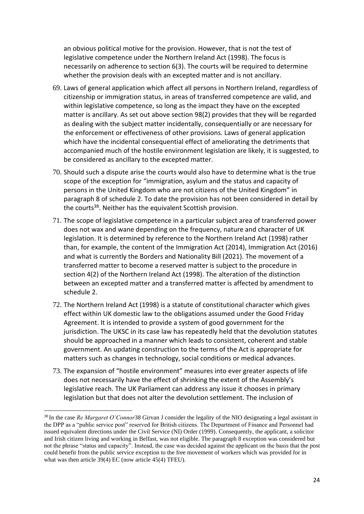an obvious political motive for the provision. However, that is not the test of legislative competence under the Northern Ireland Act (1998). The focus is necessarily on adherence to section 6(3). The courts will be required to determine whether the provision deals with an excepted matter and is not ancillary.

- 69. Laws of general application which affect all persons in Northern Ireland, regardless of citizenship or immigration status, in areas of transferred competence are valid, and within legislative competence, so long as the impact they have on the excepted matter is ancillary. As set out above section 98(2) provides that they will be regarded as dealing with the subject matter incidentally, consequentially or are necessary for the enforcement or effectiveness of other provisions. Laws of general application which have the incidental consequential effect of ameliorating the detriments that accompanied much of the hostile environment legislation are likely, it is suggested, to be considered as ancillary to the excepted matter.
- 70. Should such a dispute arise the courts would also have to determine what is the true scope of the exception for "immigration, asylum and the status and capacity of persons in the United Kingdom who are not citizens of the United Kingdom" in paragraph 8 of schedule 2. To date the provision has not been considered in detail by the courts<sup>38</sup>. Neither has the equivalent Scottish provision.
- 71. The scope of legislative competence in a particular subject area of transferred power does not wax and wane depending on the frequency, nature and character of UK legislation. It is determined by reference to the Northern Ireland Act (1998) rather than, for example, the content of the Immigration Act (2014), Immigration Act (2016) and what is currently the Borders and Nationality Bill (2021). The movement of a transferred matter to become a reserved matter is subject to the procedure in section 4(2) of the Northern Ireland Act (1998). The alteration of the distinction between an excepted matter and a transferred matter is affected by amendment to schedule 2.
- 72. The Northern Ireland Act (1998) is a statute of constitutional character which gives effect within UK domestic law to the obligations assumed under the Good Friday Agreement. It is intended to provide a system of good government for the jurisdiction. The UKSC in its case law has repeatedly held that the devolution statutes should be approached in a manner which leads to consistent, coherent and stable government. An updating construction to the terms of the Act is appropriate for matters such as changes in technology, social conditions or medical advances.
- 73. The expansion of "hostile environment" measures into ever greater aspects of life does not necessarily have the effect of shrinking the extent of the Assembly's legislative reach. The UK Parliament can address any issue it chooses in primary legislation but that does not alter the devolution settlement. The inclusion of

<sup>38</sup> In the case *Re Margaret O'Connor*38 Girvan J consider the legality of the NIO designating a legal assistant in the DPP as a "public service post" reserved for British citizens. The Department of Finance and Personnel had issued equivalent directions under the Civil Service (NI) Order (1999). Consequently, the applicant, a solicitor and Irish citizen living and working in Belfast, was not eligible. The paragraph 8 exception was considered but not the phrase "status and capacity". Instead, the case was decided against the applicant on the basis that the post could benefit from the public service exception to the free movement of workers which was provided for in what was then article 39(4) EC (now article 45(4) TFEU).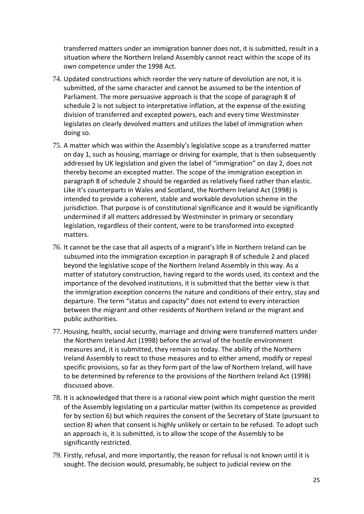transferred matters under an immigration banner does not, it is submitted, result in a situation where the Northern Ireland Assembly cannot react within the scope of its own competence under the 1998 Act.

- 74. Updated constructions which reorder the very nature of devolution are not, it is submitted, of the same character and cannot be assumed to be the intention of Parliament. The more persuasive approach is that the scope of paragraph 8 of schedule 2 is not subject to interpretative inflation, at the expense of the existing division of transferred and excepted powers, each and every time Westminster legislates on clearly devolved matters and utilizes the label of immigration when doing so.
- 75. A matter which was within the Assembly's legislative scope as a transferred matter on day 1, such as housing, marriage or driving for example, that is then subsequently addressed by UK legislation and given the label of "immigration" on day 2, does not thereby become an excepted matter. The scope of the immigration exception in paragraph 8 of schedule 2 should be regarded as relatively fixed rather than elastic. Like it's counterparts in Wales and Scotland, the Northern Ireland Act (1998) is intended to provide a coherent, stable and workable devolution scheme in the jurisdiction. That purpose is of constitutional significance and it would be significantly undermined if all matters addressed by Westminster in primary or secondary legislation, regardless of their content, were to be transformed into excepted matters.
- 76. It cannot be the case that all aspects of a migrant's life in Northern Ireland can be subsumed into the immigration exception in paragraph 8 of schedule 2 and placed beyond the legislative scope of the Northern Ireland Assembly in this way. As a matter of statutory construction, having regard to the words used, its context and the importance of the devolved institutions, it is submitted that the better view is that the immigration exception concerns the nature and conditions of their entry, stay and departure. The term "status and capacity" does not extend to every interaction between the migrant and other residents of Northern Ireland or the migrant and public authorities.
- 77. Housing, health, social security, marriage and driving were transferred matters under the Northern Ireland Act (1998) before the arrival of the hostile environment measures and, it is submitted, they remain so today. The ability of the Northern Ireland Assembly to react to those measures and to either amend, modify or repeal specific provisions, so far as they form part of the law of Northern Ireland, will have to be determined by reference to the provisions of the Northern Ireland Act (1998) discussed above.
- 78. It is acknowledged that there is a rational view point which might question the merit of the Assembly legislating on a particular matter (within its competence as provided for by section 6) but which requires the consent of the Secretary of State (pursuant to section 8) when that consent is highly unlikely or certain to be refused. To adopt such an approach is, it is submitted, is to allow the scope of the Assembly to be significantly restricted.
- 79. Firstly, refusal, and more importantly, the reason for refusal is not known until it is sought. The decision would, presumably, be subject to judicial review on the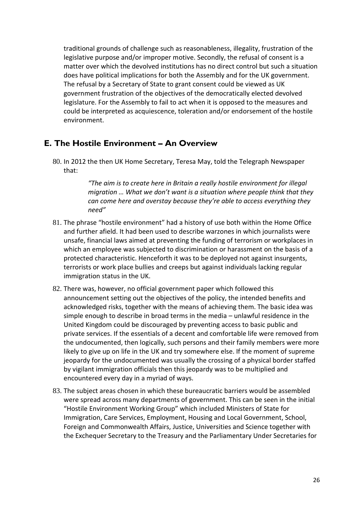traditional grounds of challenge such as reasonableness, illegality, frustration of the legislative purpose and/or improper motive. Secondly, the refusal of consent is a matter over which the devolved institutions has no direct control but such a situation does have political implications for both the Assembly and for the UK government. The refusal by a Secretary of State to grant consent could be viewed as UK government frustration of the objectives of the democratically elected devolved legislature. For the Assembly to fail to act when it is opposed to the measures and could be interpreted as acquiescence, toleration and/or endorsement of the hostile environment.

## <span id="page-25-0"></span>**E. The Hostile Environment – An Overview**

80. In 2012 the then UK Home Secretary, Teresa May, told the Telegraph Newspaper that:

> *"The aim is to create here in Britain a really hostile environment for illegal migration … What we don't want is a situation where people think that they can come here and overstay because they're able to access everything they need"*

- 81. The phrase "hostile environment" had a history of use both within the Home Office and further afield. It had been used to describe warzones in which journalists were unsafe, financial laws aimed at preventing the funding of terrorism or workplaces in which an employee was subjected to discrimination or harassment on the basis of a protected characteristic. Henceforth it was to be deployed not against insurgents, terrorists or work place bullies and creeps but against individuals lacking regular immigration status in the UK.
- 82. There was, however, no official government paper which followed this announcement setting out the objectives of the policy, the intended benefits and acknowledged risks, together with the means of achieving them. The basic idea was simple enough to describe in broad terms in the media – unlawful residence in the United Kingdom could be discouraged by preventing access to basic public and private services. If the essentials of a decent and comfortable life were removed from the undocumented, then logically, such persons and their family members were more likely to give up on life in the UK and try somewhere else. If the moment of supreme jeopardy for the undocumented was usually the crossing of a physical border staffed by vigilant immigration officials then this jeopardy was to be multiplied and encountered every day in a myriad of ways.
- 83. The subject areas chosen in which these bureaucratic barriers would be assembled were spread across many departments of government. This can be seen in the initial "Hostile Environment Working Group" which included Ministers of State for Immigration, Care Services, Employment, Housing and Local Government, School, Foreign and Commonwealth Affairs, Justice, Universities and Science together with the Exchequer Secretary to the Treasury and the Parliamentary Under Secretaries for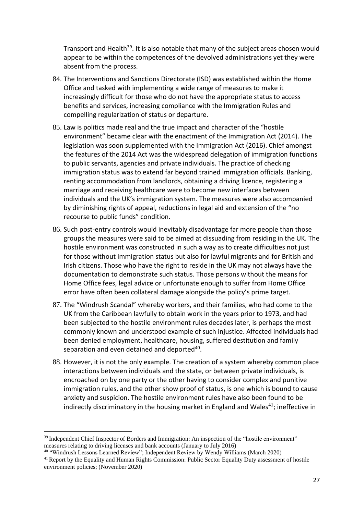Transport and Health<sup>39</sup>. It is also notable that many of the subject areas chosen would appear to be within the competences of the devolved administrations yet they were absent from the process.

- 84. The Interventions and Sanctions Directorate (ISD) was established within the Home Office and tasked with implementing a wide range of measures to make it increasingly difficult for those who do not have the appropriate status to access benefits and services, increasing compliance with the Immigration Rules and compelling regularization of status or departure.
- 85. Law is politics made real and the true impact and character of the "hostile environment" became clear with the enactment of the Immigration Act (2014). The legislation was soon supplemented with the Immigration Act (2016). Chief amongst the features of the 2014 Act was the widespread delegation of immigration functions to public servants, agencies and private individuals. The practice of checking immigration status was to extend far beyond trained immigration officials. Banking, renting accommodation from landlords, obtaining a driving licence, registering a marriage and receiving healthcare were to become new interfaces between individuals and the UK's immigration system. The measures were also accompanied by diminishing rights of appeal, reductions in legal aid and extension of the "no recourse to public funds" condition.
- 86. Such post-entry controls would inevitably disadvantage far more people than those groups the measures were said to be aimed at dissuading from residing in the UK. The hostile environment was constructed in such a way as to create difficulties not just for those without immigration status but also for lawful migrants and for British and Irish citizens. Those who have the right to reside in the UK may not always have the documentation to demonstrate such status. Those persons without the means for Home Office fees, legal advice or unfortunate enough to suffer from Home Office error have often been collateral damage alongside the policy's prime target.
- 87. The "Windrush Scandal" whereby workers, and their families, who had come to the UK from the Caribbean lawfully to obtain work in the years prior to 1973, and had been subjected to the hostile environment rules decades later, is perhaps the most commonly known and understood example of such injustice. Affected individuals had been denied employment, healthcare, housing, suffered destitution and family separation and even detained and deported<sup>40</sup>.
- 88. However, it is not the only example. The creation of a system whereby common place interactions between individuals and the state, or between private individuals, is encroached on by one party or the other having to consider complex and punitive immigration rules, and the other show proof of status, is one which is bound to cause anxiety and suspicion. The hostile environment rules have also been found to be indirectly discriminatory in the housing market in England and Wales<sup>41</sup>; ineffective in

<sup>&</sup>lt;sup>39</sup> Independent Chief Inspector of Borders and Immigration: An inspection of the "hostile environment" measures relating to driving licenses and bank accounts (January to July 2016)

<sup>40</sup> "Windrush Lessons Learned Review"; Independent Review by Wendy Williams (March 2020)

<sup>&</sup>lt;sup>41</sup> Report by the Equality and Human Rights Commission: Public Sector Equality Duty assessment of hostile environment policies; (November 2020)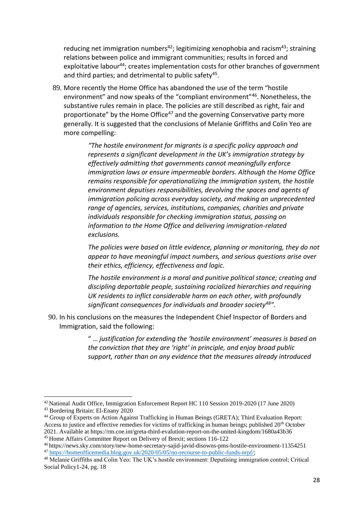reducing net immigration numbers<sup>42</sup>; legitimizing xenophobia and racism<sup>43</sup>; straining relations between police and immigrant communities; results in forced and exploitative labour<sup>44</sup>; creates implementation costs for other branches of government and third parties; and detrimental to public safety<sup>45</sup>.

89. More recently the Home Office has abandoned the use of the term "hostile environment" and now speaks of the "compliant environment"<sup>46</sup>. Nonetheless, the substantive rules remain in place. The policies are still described as right, fair and proportionate" by the Home Office<sup>47</sup> and the governing Conservative party more generally. It is suggested that the conclusions of Melanie Griffiths and Colin Yeo are more compelling:

> *"The hostile environment for migrants is a specific policy approach and represents a significant development in the UK's immigration strategy by effectively admitting that governments cannot meaningfully enforce immigration laws or ensure impermeable borders. Although the Home Office remains responsible for operationalizing the immigration system, the hostile environment deputises responsibilities, devolving the spaces and agents of immigration policing across everyday society, and making an unprecedented range of agencies, services, institutions, companies, charities and private individuals responsible for checking immigration status, passing on information to the Home Office and delivering immigration-related exclusions.*

*The policies were based on little evidence, planning or monitoring, they do not appear to have meaningful impact numbers, and serious questions arise over their ethics, efficiency, effectiveness and logic.* 

*The hostile environment is a moral and punitive political stance; creating and discipling deportable people, sustaining racialized hierarchies and requiring UK residents to inflict considerable harm on each other, with profoundly significant consequences for individuals and broader society<sup>48</sup>".* 

90. In his conclusions on the measures the Independent Chief Inspector of Borders and Immigration, said the following:

> " … *justification for extending the 'hostile environment' measures is based on the conviction that they are 'right' in principle, and enjoy broad public support, rather than on any evidence that the measures already introduced*

<sup>42</sup> National Audit Office, Immigration Enforcement Report HC 110 Session 2019-2020 (17 June 2020)

<sup>43</sup> Bordering Britain: El-Enany 2020

<sup>&</sup>lt;sup>44</sup> Group of Experts on Action Against Trafficking in Human Beings (GRETA); Third Evaluation Report: Access to justice and effective remedies for victims of trafficking in human beings; published 20<sup>th</sup> October 2021. Available at https://rm.coe.int/greta-third-evalution-report-on-the-united-kingdom/1680a43b36 <sup>45</sup> Home Affairs Committee Report on Delivery of Brexit; sections 116-122

<sup>46</sup> https://news.sky.com/story/new-home-secretary-sajid-javid-disowns-pms-hostile-environment-11354251 <sup>47</sup> [https://homeofficemedia.blog.gov.uk/2020/05/05/no-recourse-to-public-funds-nrpf/;](https://homeofficemedia.blog.gov.uk/2020/05/05/no-recourse-to-public-funds-nrpf/)

<sup>48</sup> Melanie Griffiths and Colin Yeo: The UK's hostile environment: Deputising immigration control; Critical Social Policy1-24, pg. 18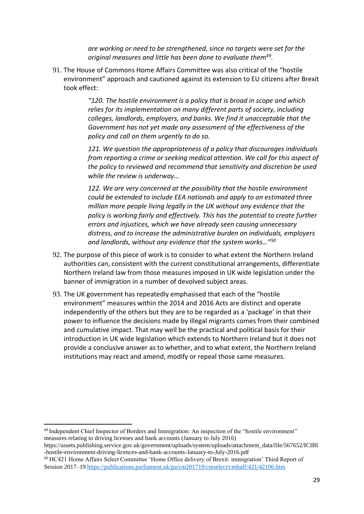*are working or need to be strengthened, since no targets were set for the original measures and little has been done to evaluate them<sup>49</sup> .*

91. The House of Commons Home Affairs Committee was also critical of the "hostile environment" approach and cautioned against its extension to EU citizens after Brexit took effect:

> *"120. The hostile environment is a policy that is broad in scope and which relies for its implementation on many different parts of society, including colleges, landlords, employers, and banks. We find it unacceptable that the Government has not yet made any assessment of the effectiveness of the policy and call on them urgently to do so.*

*121. We question the appropriateness of a policy that discourages individuals from reporting a crime or seeking medical attention. We call for this aspect of the policy to reviewed and recommend that sensitivity and discretion be used while the review is underway…*

*122. We are very concerned at the possibility that the hostile environment could be extended to include EEA nationals and apply to an estimated three million more people living legally in the UK without any evidence that the policy is working fairly and effectively. This has the potential to create further errors and injustices, which we have already seen causing unnecessary distress, and to increase the administrative burden on individuals, employers and landlords, without any evidence that the system works…"<sup>50</sup>*

- 92. The purpose of this piece of work is to consider to what extent the Northern Ireland authorities can, consistent with the current constitutional arrangements, differentiate Northern Ireland law from those measures imposed in UK wide legislation under the banner of immigration in a number of devolved subject areas.
- 93. The UK government has repeatedly emphasised that each of the "hostile environment" measures within the 2014 and 2016 Acts are distinct and operate independently of the others but they are to be regarded as a 'package' in that their power to influence the decisions made by illegal migrants comes from their combined and cumulative impact. That may well be the practical and political basis for their introduction in UK wide legislation which extends to Northern Ireland but it does not provide a conclusive answer as to whether, and to what extent, the Northern Ireland institutions may react and amend, modify or repeal those same measures.

<sup>49</sup> Independent Chief Inspector of Borders and Immigration: An inspection of the "hostile environment" measures relating to driving licenses and bank accounts (January to July 2016)

https://assets.publishing.service.gov.uk/government/uploads/system/uploads/attachment\_data/file/567652/ICIBI -hostile-environment-driving-licences-and-bank-accounts-January-to-July-2016.pdf

<sup>50</sup> HC421 Home Affairs Select Committee 'Home Office delivery of Brexit: immigration' Third Report of Session 2017–1[9 https://publications.parliament.uk/pa/cm201719/cmselect/cmhaff/421/42106.htm](https://publications.parliament.uk/pa/cm201719/cmselect/cmhaff/421/42106.htm)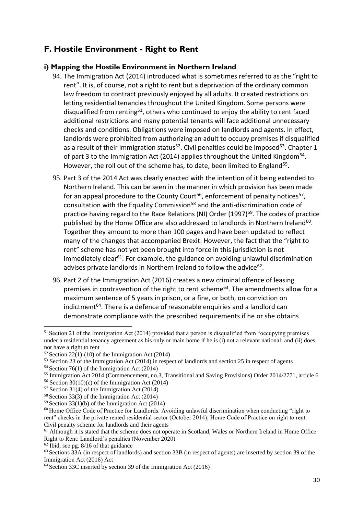# <span id="page-29-0"></span>**F. Hostile Environment - Right to Rent**

### **i) Mapping the Hostile Environment in Northern Ireland**

- 94. The Immigration Act (2014) introduced what is sometimes referred to as the "right to rent". It is, of course, not a right to rent but a deprivation of the ordinary common law freedom to contract previously enjoyed by all adults. It created restrictions on letting residential tenancies throughout the United Kingdom. Some persons were disqualified from renting<sup>51</sup>, others who continued to enjoy the ability to rent faced additional restrictions and many potential tenants will face additional unnecessary checks and conditions. Obligations were imposed on landlords and agents. In effect, landlords were prohibited from authorizing an adult to occupy premises if disqualified as a result of their immigration status<sup>52</sup>. Civil penalties could be imposed<sup>53</sup>. Chapter 1 of part 3 to the Immigration Act (2014) applies throughout the United Kingdom<sup>54</sup>. However, the roll out of the scheme has, to date, been limited to England<sup>55</sup>.
- 95. Part 3 of the 2014 Act was clearly enacted with the intention of it being extended to Northern Ireland. This can be seen in the manner in which provision has been made for an appeal procedure to the County Court<sup>56</sup>, enforcement of penalty notices<sup>57</sup>, consultation with the Equality Commission<sup>58</sup> and the anti-discrimination code of practice having regard to the Race Relations (NI) Order (1997)<sup>59</sup>. The codes of practice published by the Home Office are also addressed to landlords in Northern Ireland<sup>60</sup>. Together they amount to more than 100 pages and have been updated to reflect many of the changes that accompanied Brexit. However, the fact that the "right to rent" scheme has not yet been brought into force in this jurisdiction is not immediately clear<sup>61</sup>. For example, the guidance on avoiding unlawful discrimination advises private landlords in Northern Ireland to follow the advice $^{62}$ .
- 96. Part 2 of the Immigration Act (2016) creates a new criminal offence of leasing premises in contravention of the right to rent scheme<sup>63</sup>. The amendments allow for a maximum sentence of 5 years in prison, or a fine, or both, on conviction on indictment<sup>64</sup>. There is a defence of reasonable enquiries and a landlord can demonstrate compliance with the prescribed requirements if he or she obtains

<sup>55</sup> Immigration Act 2014 (Commencement, no.3, Transitional and Saving Provisions) Order 2014/2771, article 6

 $62$  Ibid, see pg.  $8/16$  of that guidance

<sup>&</sup>lt;sup>51</sup> Section 21 of the Immigration Act (2014) provided that a person is disqualified from "occupying premises under a residential tenancy agreement as his only or main home if he is (i) not a relevant national; and (ii) does not have a right to rent

 $52$  Section 22(1)-(10) of the Immigration Act (2014)

<sup>53</sup> Section 23 of the Immigration Act (2014) in respect of landlords and section 25 in respect of agents

 $54$  Section 76(1) of the Immigration Act (2014)

<sup>&</sup>lt;sup>56</sup> Section 30(10)(c) of the Immigration Act (2014)

<sup>57</sup> Section 31(4) of the Immigration Act (2014)

<sup>58</sup> Section 33(3) of the Immigration Act (2014)

 $59$  Section 33(1)(b) of the Immigration Act (2014)

<sup>60</sup> Home Office Code of Practice for Landlords: Avoiding unlawful discrimination when conducting "right to rent" checks in the private rented residential sector (October 2014); Home Code of Practice on right to rent: Civil penalty scheme for landlords and their agents

<sup>&</sup>lt;sup>61</sup> Although it is stated that the scheme does not operate in Scotland, Wales or Northern Ireland in Home Office Right to Rent: Landlord's penalties (November 2020)

<sup>63</sup> Sections 33A (in respect of landlords) and section 33B (in respect of agents) are inserted by section 39 of the Immigration Act (2016) Act

<sup>64</sup> Section 33C inserted by section 39 of the Immigration Act (2016)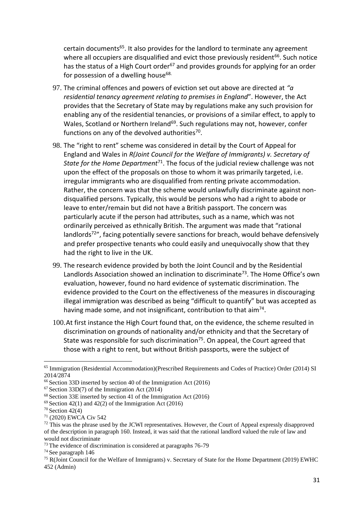certain documents<sup>65</sup>. It also provides for the landlord to terminate any agreement where all occupiers are disqualified and evict those previously resident<sup>66</sup>. Such notice has the status of a High Court order<sup>67</sup> and provides grounds for applying for an order for possession of a dwelling house<sup>68.</sup>

- 97. The criminal offences and powers of eviction set out above are directed at *"a residential tenancy agreement relating to premises in England*". However, the Act provides that the Secretary of State may by regulations make any such provision for enabling any of the residential tenancies, or provisions of a similar effect, to apply to Wales, Scotland or Northern Ireland<sup>69</sup>. Such regulations may not, however, confer functions on any of the devolved authorities<sup>70</sup>.
- 98. The "right to rent" scheme was considered in detail by the Court of Appeal for England and Wales in *R(Joint Council for the Welfare of Immigrants) v. Secretary of State for the Home Department*<sup>71</sup>. The focus of the judicial review challenge was not upon the effect of the proposals on those to whom it was primarily targeted, i.e. irregular immigrants who are disqualified from renting private accommodation. Rather, the concern was that the scheme would unlawfully discriminate against nondisqualified persons. Typically, this would be persons who had a right to abode or leave to enter/remain but did not have a British passport. The concern was particularly acute if the person had attributes, such as a name, which was not ordinarily perceived as ethnically British. The argument was made that "rational landlords<sup>72</sup>", facing potentially severe sanctions for breach, would behave defensively and prefer prospective tenants who could easily and unequivocally show that they had the right to live in the UK.
- 99. The research evidence provided by both the Joint Council and by the Residential Landlords Association showed an inclination to discriminate<sup>73</sup>. The Home Office's own evaluation, however, found no hard evidence of systematic discrimination. The evidence provided to the Court on the effectiveness of the measures in discouraging illegal immigration was described as being "difficult to quantify" but was accepted as having made some, and not insignificant, contribution to that aim<sup>74</sup>.
- 100.At first instance the High Court found that, on the evidence, the scheme resulted in discrimination on grounds of nationality and/or ethnicity and that the Secretary of State was responsible for such discrimination<sup>75</sup>. On appeal, the Court agreed that those with a right to rent, but without British passports, were the subject of

<sup>65</sup> Immigration (Residential Accommodation)(Prescribed Requirements and Codes of Practice) Order (2014) SI 2014/2874

<sup>66</sup> Section 33D inserted by section 40 of the Immigration Act (2016)

<sup>67</sup> Section 33D(7) of the Immigration Act (2014)

<sup>68</sup> Section 33E inserted by section 41 of the Immigration Act (2016)

 $69$  Section 42(1) and 42(2) of the Immigration Act (2016)

 $70$  Section 42(4)

<sup>71</sup> (2020) EWCA Civ 542

<sup>&</sup>lt;sup>72</sup> This was the phrase used by the JCWI representatives. However, the Court of Appeal expressly disapproved of the description in paragraph 160. Instead, it was said that the rational landlord valued the rule of law and would not discriminate

<sup>73</sup> The evidence of discrimination is considered at paragraphs 76-79

<sup>74</sup> See paragraph 146

<sup>&</sup>lt;sup>75</sup> R(Joint Council for the Welfare of Immigrants) v. Secretary of State for the Home Department (2019) EWHC 452 (Admin)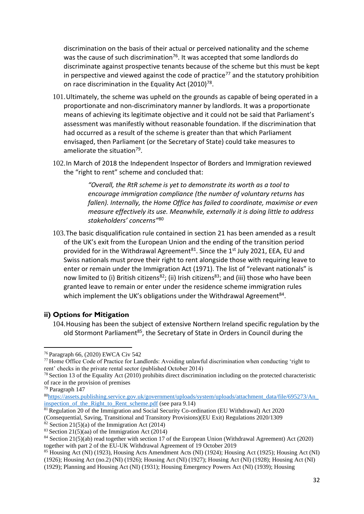discrimination on the basis of their actual or perceived nationality and the scheme was the cause of such discrimination<sup>76</sup>. It was accepted that some landlords do discriminate against prospective tenants because of the scheme but this must be kept in perspective and viewed against the code of practice<sup>77</sup> and the statutory prohibition on race discrimination in the Equality Act  $(2010)^{78}$ .

- 101.Ultimately, the scheme was upheld on the grounds as capable of being operated in a proportionate and non-discriminatory manner by landlords. It was a proportionate means of achieving its legitimate objective and it could not be said that Parliament's assessment was manifestly without reasonable foundation. If the discrimination that had occurred as a result of the scheme is greater than that which Parliament envisaged, then Parliament (or the Secretary of State) could take measures to ameliorate the situation<sup>79</sup>.
- 102.In March of 2018 the Independent Inspector of Borders and Immigration reviewed the "right to rent" scheme and concluded that:

*"Overall, the RtR scheme is yet to demonstrate its worth as a tool to encourage immigration compliance (the number of voluntary returns has fallen). Internally, the Home Office has failed to coordinate, maximise or even measure effectively its use. Meanwhile, externally it is doing little to address stakeholders' concerns"*<sup>80</sup>

103.The basic disqualification rule contained in section 21 has been amended as a result of the UK's exit from the European Union and the ending of the transition period provided for in the Withdrawal Agreement $81$ . Since the 1st July 2021, EEA, EU and Swiss nationals must prove their right to rent alongside those with requiring leave to enter or remain under the Immigration Act (1971). The list of "relevant nationals" is now limited to (i) British citizens<sup>82</sup>; (ii) Irish citizens<sup>83</sup>; and (iii) those who have been granted leave to remain or enter under the residence scheme immigration rules which implement the UK's obligations under the Withdrawal Agreement<sup>84</sup>.

#### **ii) Options for Mitigation**

104.Housing has been the subject of extensive Northern Ireland specific regulation by the old Stormont Parliament<sup>85</sup>, the Secretary of State in Orders in Council during the

<sup>76</sup> Paragraph 66, (2020) EWCA Civ 542

<sup>77</sup> Home Office Code of Practice for Landlords: Avoiding unlawful discrimination when conducting 'right to rent' checks in the private rental sector (published October 2014)

 $^{78}$  Section 13 of the Equality Act (2010) prohibits direct discrimination including on the protected characteristic of race in the provision of premises

<sup>79</sup> Paragraph 147

<sup>80</sup>[https://assets.publishing.service.gov.uk/government/uploads/system/uploads/attachment\\_data/file/695273/An\\_](https://assets.publishing.service.gov.uk/government/uploads/system/uploads/attachment_data/file/695273/An_inspection_of_the_Right_to_Rent_scheme.pdf) [inspection\\_of\\_the\\_Right\\_to\\_Rent\\_scheme.pdf](https://assets.publishing.service.gov.uk/government/uploads/system/uploads/attachment_data/file/695273/An_inspection_of_the_Right_to_Rent_scheme.pdf) (see para 9.14)

<sup>&</sup>lt;sup>81</sup> Regulation 20 of the Immigration and Social Security Co-ordination (EU Withdrawal) Act 2020 (Consequential, Saving, Transitional and Transitory Provisions)(EU Exit) Regulations 2020/1309  $\frac{82}{2}$  Section 21(5)(a) of the Immigration Act (2014)

 $83$  Section 21(5)(aa) of the Immigration Act (2014)

<sup>84</sup> Section 21(5)(ab) read together with section 17 of the European Union (Withdrawal Agreement) Act (2020) together with part 2 of the EU-UK Withdrawal Agreement of 19 October 2019

<sup>85</sup> Housing Act (NI) (1923), Housing Acts Amendment Acts (NI) (1924); Housing Act (1925); Housing Act (NI) (1926); Housing Act (no.2) (NI) (1926); Housing Act (NI) (1927); Housing Act (NI) (1928); Housing Act (NI)

<sup>(1929);</sup> Planning and Housing Act (NI) (1931); Housing Emergency Powers Act (NI) (1939); Housing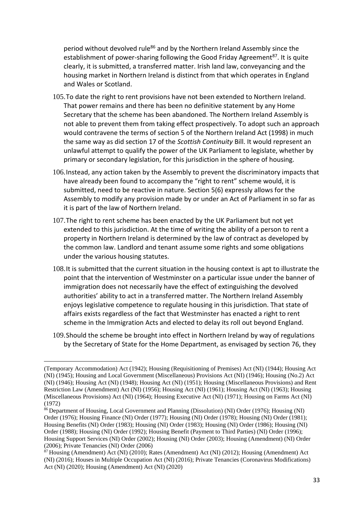period without devolved rule<sup>86</sup> and by the Northern Ireland Assembly since the establishment of power-sharing following the Good Friday Agreement<sup>87</sup>. It is quite clearly, it is submitted, a transferred matter. Irish land law, conveyancing and the housing market in Northern Ireland is distinct from that which operates in England and Wales or Scotland.

- 105.To date the right to rent provisions have not been extended to Northern Ireland. That power remains and there has been no definitive statement by any Home Secretary that the scheme has been abandoned. The Northern Ireland Assembly is not able to prevent them from taking effect prospectively. To adopt such an approach would contravene the terms of section 5 of the Northern Ireland Act (1998) in much the same way as did section 17 of the *Scottish Continuity* Bill. It would represent an unlawful attempt to qualify the power of the UK Parliament to legislate, whether by primary or secondary legislation, for this jurisdiction in the sphere of housing.
- 106.Instead, any action taken by the Assembly to prevent the discriminatory impacts that have already been found to accompany the "right to rent" scheme would, it is submitted, need to be reactive in nature. Section 5(6) expressly allows for the Assembly to modify any provision made by or under an Act of Parliament in so far as it is part of the law of Northern Ireland.
- 107.The right to rent scheme has been enacted by the UK Parliament but not yet extended to this jurisdiction. At the time of writing the ability of a person to rent a property in Northern Ireland is determined by the law of contract as developed by the common law. Landlord and tenant assume some rights and some obligations under the various housing statutes.
- 108.It is submitted that the current situation in the housing context is apt to illustrate the point that the intervention of Westminster on a particular issue under the banner of immigration does not necessarily have the effect of extinguishing the devolved authorities' ability to act in a transferred matter. The Northern Ireland Assembly enjoys legislative competence to regulate housing in this jurisdiction. That state of affairs exists regardless of the fact that Westminster has enacted a right to rent scheme in the Immigration Acts and elected to delay its roll out beyond England.
- 109.Should the scheme be brought into effect in Northern Ireland by way of regulations by the Secretary of State for the Home Department, as envisaged by section 76, they

<sup>(</sup>Temporary Accommodation) Act (1942); Housing (Requisitioning of Premises) Act (NI) (1944); Housing Act (NI) (1945); Housing and Local Government (Miscellaneous) Provisions Act (NI) (1946); Housing (No.2) Act (NI) (1946); Housing Act (NI) (1948); Housing Act (NI) (1951); Housing (Miscellaneous Provisions) and Rent Restriction Law (Amendment) Act (NI) (1956); Housing Act (NI) (1961); Housing Act (NI) (1963); Housing (Miscellaneous Provisions) Act (NI) (1964); Housing Executive Act (NI) (1971); Housing on Farms Act (NI) (1972)

<sup>86</sup> Department of Housing, Local Government and Planning (Dissolution) (NI) Order (1976); Housing (NI) Order (1976); Housing Finance (NI) Order (1977); Housing (NI) Order (1978); Housing (NI) Order (1981); Housing Benefits (NI) Order (1983); Housing (NI) Order (1983); Housing (NI) Order (1986); Housing (NI) Order (1988); Housing (NI) Order (1992); Housing Benefit (Payment to Third Parties) (NI) Order (1996); Housing Support Services (NI) Order (2002); Housing (NI) Order (2003); Housing (Amendment) (NI) Order (2006); Private Tenancies (NI) Order (2006)

<sup>87</sup> Housing (Amendment) Act (NI) (2010); Rates (Amendment) Act (NI) (2012); Housing (Amendment) Act (NI) (2016); Houses in Multiple Occupation Act (NI) (2016); Private Tenancies (Coronavirus Modifications) Act (NI) (2020); Housing (Amendment) Act (NI) (2020)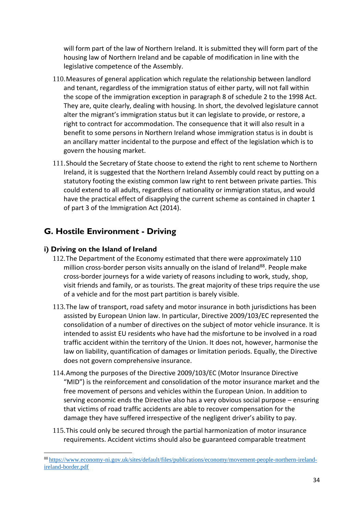will form part of the law of Northern Ireland. It is submitted they will form part of the housing law of Northern Ireland and be capable of modification in line with the legislative competence of the Assembly.

- 110.Measures of general application which regulate the relationship between landlord and tenant, regardless of the immigration status of either party, will not fall within the scope of the immigration exception in paragraph 8 of schedule 2 to the 1998 Act. They are, quite clearly, dealing with housing. In short, the devolved legislature cannot alter the migrant's immigration status but it can legislate to provide, or restore, a right to contract for accommodation. The consequence that it will also result in a benefit to some persons in Northern Ireland whose immigration status is in doubt is an ancillary matter incidental to the purpose and effect of the legislation which is to govern the housing market.
- 111.Should the Secretary of State choose to extend the right to rent scheme to Northern Ireland, it is suggested that the Northern Ireland Assembly could react by putting on a statutory footing the existing common law right to rent between private parties. This could extend to all adults, regardless of nationality or immigration status, and would have the practical effect of disapplying the current scheme as contained in chapter 1 of part 3 of the Immigration Act (2014).

## <span id="page-33-0"></span>**G. Hostile Environment - Driving**

#### **i) Driving on the Island of Ireland**

- 112.The Department of the Economy estimated that there were approximately 110 million cross-border person visits annually on the island of Ireland<sup>88</sup>. People make cross-border journeys for a wide variety of reasons including to work, study, shop, visit friends and family, or as tourists. The great majority of these trips require the use of a vehicle and for the most part partition is barely visible.
- 113.The law of transport, road safety and motor insurance in both jurisdictions has been assisted by European Union law. In particular, Directive 2009/103/EC represented the consolidation of a number of directives on the subject of motor vehicle insurance. It is intended to assist EU residents who have had the misfortune to be involved in a road traffic accident within the territory of the Union. It does not, however, harmonise the law on liability, quantification of damages or limitation periods. Equally, the Directive does not govern comprehensive insurance.
- 114.Among the purposes of the Directive 2009/103/EC (Motor Insurance Directive "MID") is the reinforcement and consolidation of the motor insurance market and the free movement of persons and vehicles within the European Union. In addition to serving economic ends the Directive also has a very obvious social purpose – ensuring that victims of road traffic accidents are able to recover compensation for the damage they have suffered irrespective of the negligent driver's ability to pay.
- 115.This could only be secured through the partial harmonization of motor insurance requirements. Accident victims should also be guaranteed comparable treatment

<sup>88</sup> [https://www.economy-ni.gov.uk/sites/default/files/publications/economy/movement-people-northern-ireland](https://www.economy-ni.gov.uk/sites/default/files/publications/economy/movement-people-northern-ireland-ireland-border.pdf)[ireland-border.pdf](https://www.economy-ni.gov.uk/sites/default/files/publications/economy/movement-people-northern-ireland-ireland-border.pdf)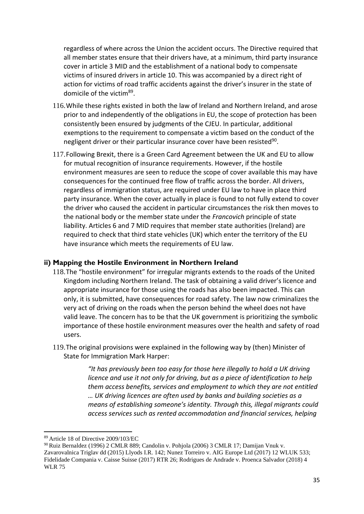regardless of where across the Union the accident occurs. The Directive required that all member states ensure that their drivers have, at a minimum, third party insurance cover in article 3 MID and the establishment of a national body to compensate victims of insured drivers in article 10. This was accompanied by a direct right of action for victims of road traffic accidents against the driver's insurer in the state of domicile of the victim<sup>89</sup>.

- 116.While these rights existed in both the law of Ireland and Northern Ireland, and arose prior to and independently of the obligations in EU, the scope of protection has been consistently been ensured by judgments of the CJEU. In particular, additional exemptions to the requirement to compensate a victim based on the conduct of the negligent driver or their particular insurance cover have been resisted<sup>90</sup>.
- 117.Following Brexit, there is a Green Card Agreement between the UK and EU to allow for mutual recognition of insurance requirements. However, if the hostile environment measures are seen to reduce the scope of cover available this may have consequences for the continued free flow of traffic across the border. All drivers, regardless of immigration status, are required under EU law to have in place third party insurance. When the cover actually in place is found to not fully extend to cover the driver who caused the accident in particular circumstances the risk then moves to the national body or the member state under the *Francovich* principle of state liability. Articles 6 and 7 MID requires that member state authorities (Ireland) are required to check that third state vehicles (UK) which enter the territory of the EU have insurance which meets the requirements of EU law.

#### **ii) Mapping the Hostile Environment in Northern Ireland**

- 118.The "hostile environment" for irregular migrants extends to the roads of the United Kingdom including Northern Ireland. The task of obtaining a valid driver's licence and appropriate insurance for those using the roads has also been impacted. This can only, it is submitted, have consequences for road safety. The law now criminalizes the very act of driving on the roads when the person behind the wheel does not have valid leave. The concern has to be that the UK government is prioritizing the symbolic importance of these hostile environment measures over the health and safety of road users.
- 119.The original provisions were explained in the following way by (then) Minister of State for Immigration Mark Harper:

*"It has previously been too easy for those here illegally to hold a UK driving licence and use it not only for driving, but as a piece of identification to help them access benefits, services and employment to which they are not entitled … UK driving licences are often used by banks and building societies as a means of establishing someone's identity. Through this, illegal migrants could access services such as rented accommodation and financial services, helping* 

<sup>89</sup> Article 18 of Directive 2009/103/EC

<sup>90</sup> Ruiz Bernaldez (1996) 2 CMLR 889; Candolin v. Pohjola (2006) 3 CMLR 17; Damijan Vnuk v. Zavarovalnica Triglav dd (2015) Llyods I.R. 142; Nunez Torreiro v. AIG Europe Ltd (2017) 12 WLUK 533; Fidelidade Compania v. Caisse Suisse (2017) RTR 26; Rodrigues de Andrade v. Proenca Salvador (2018) 4 WLR 75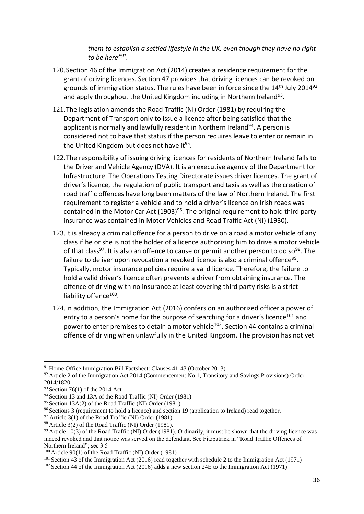*them to establish a settled lifestyle in the UK, even though they have no right to be here"<sup>91</sup> .*

- 120.Section 46 of the Immigration Act (2014) creates a residence requirement for the grant of driving licences. Section 47 provides that driving licences can be revoked on grounds of immigration status. The rules have been in force since the  $14<sup>th</sup>$  July 2014<sup>92</sup> and apply throughout the United Kingdom including in Northern Ireland<sup>93</sup>.
- 121.The legislation amends the Road Traffic (NI) Order (1981) by requiring the Department of Transport only to issue a licence after being satisfied that the applicant is normally and lawfully resident in Northern Ireland<sup>94</sup>. A person is considered not to have that status if the person requires leave to enter or remain in the United Kingdom but does not have it<sup>95</sup>.
- 122.The responsibility of issuing driving licences for residents of Northern Ireland falls to the Driver and Vehicle Agency (DVA). It is an executive agency of the Department for Infrastructure. The Operations Testing Directorate issues driver licences. The grant of driver's licence, the regulation of public transport and taxis as well as the creation of road traffic offences have long been matters of the law of Northern Ireland. The first requirement to register a vehicle and to hold a driver's licence on Irish roads was contained in the Motor Car Act  $(1903)^{96}$ . The original requirement to hold third party insurance was contained in Motor Vehicles and Road Traffic Act (NI) (1930).
- 123.It is already a criminal offence for a person to drive on a road a motor vehicle of any class if he or she is not the holder of a licence authorizing him to drive a motor vehicle of that class<sup>97</sup>. It is also an offence to cause or permit another person to do so<sup>98</sup>. The failure to deliver upon revocation a revoked licence is also a criminal offence<sup>99</sup>. Typically, motor insurance policies require a valid licence. Therefore, the failure to hold a valid driver's licence often prevents a driver from obtaining insurance. The offence of driving with no insurance at least covering third party risks is a strict liability offence<sup>100</sup>.
- 124.In addition, the Immigration Act (2016) confers on an authorized officer a power of entry to a person's home for the purpose of searching for a driver's licence<sup>101</sup> and power to enter premises to detain a motor vehicle<sup>102</sup>. Section 44 contains a criminal offence of driving when unlawfully in the United Kingdom. The provision has not yet

<sup>91</sup> Home Office Immigration Bill Factsheet: Clauses 41-43 (October 2013)

 $92$  Article 2 of the Immigration Act 2014 (Commencement No.1, Transitory and Savings Provisions) Order 2014/1820

<sup>93</sup> Section 76(1) of the 2014 Act

<sup>94</sup> Section 13 and 13A of the Road Traffic (NI) Order (1981)

<sup>95</sup> Section 13A(2) of the Road Traffic (NI) Order (1981)

<sup>96</sup> Sections 3 (requirement to hold a licence) and section 19 (application to Ireland) read together.

<sup>&</sup>lt;sup>97</sup> Article 3(1) of the Road Traffic (NI) Order (1981)

<sup>98</sup> Article 3(2) of the Road Traffic (NI) Order (1981).

<sup>99</sup> Article 10(3) of the Road Traffic (NI) Order (1981). Ordinarily, it must be shown that the driving licence was indeed revoked and that notice was served on the defendant. See Fitzpatrick in "Road Traffic Offences of Northern Ireland"; sec 3.5

<sup>100</sup> Article 90(1) of the Road Traffic (NI) Order (1981)

<sup>101</sup> Section 43 of the Immigration Act (2016) read together with schedule 2 to the Immigration Act (1971)

<sup>102</sup> Section 44 of the Immigration Act (2016) adds a new section 24E to the Immigration Act (1971)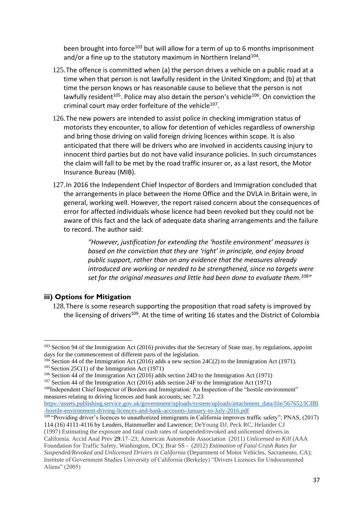been brought into force<sup>103</sup> but will allow for a term of up to 6 months imprisonment and/or a fine up to the statutory maximum in Northern Ireland<sup>104</sup>.

- 125.The offence is committed when (a) the person drives a vehicle on a public road at a time when that person is not lawfully resident in the United Kingdom; and (b) at that time the person knows or has reasonable cause to believe that the person is not lawfully resident<sup>105</sup>. Police may also detain the person's vehicle<sup>106</sup>. On conviction the criminal court may order forfeiture of the vehicle<sup>107</sup>.
- 126.The new powers are intended to assist police in checking immigration status of motorists they encounter, to allow for detention of vehicles regardless of ownership and bring those driving on valid foreign driving licences within scope. It is also anticipated that there will be drivers who are involved in accidents causing injury to innocent third parties but do not have valid insurance policies. In such circumstances the claim will fall to be met by the road traffic insurer or, as a last resort, the Motor Insurance Bureau (MIB).
- 127.In 2016 the Independent Chief Inspector of Borders and Immigration concluded that the arrangements in place between the Home Office and the DVLA in Britain were, in general, working well. However, the report raised concern about the consequences of error for affected individuals whose licence had been revoked but they could not be aware of this fact and the lack of adequate data sharing arrangements and the failure to record. The author said:

*"However, justification for extending the 'hostile environment' measures is based on the conviction that they are 'right' in principle, and enjoy broad public support, rather than on any evidence that the measures already introduced are working or needed to be strengthened, since no targets were set for the original measures and little had been done to evaluate them.<sup>108</sup> "*

## **iii) Options for Mitigation**

128.There is some research supporting the proposition that road safety is improved by the licensing of drivers<sup>109</sup>. At the time of writing 16 states and the District of Colombia

[https://assets.publishing.service.gov.uk/government/uploads/system/uploads/attachment\\_data/file/567652/ICIBI](https://assets.publishing.service.gov.uk/government/uploads/system/uploads/attachment_data/file/567652/ICIBI-hostile-environment-driving-licences-and-bank-accounts-January-to-July-2016.pdf) [-hostile-environment-driving-licences-and-bank-accounts-January-to-July-2016.pdf](https://assets.publishing.service.gov.uk/government/uploads/system/uploads/attachment_data/file/567652/ICIBI-hostile-environment-driving-licences-and-bank-accounts-January-to-July-2016.pdf)

 $109$  "Providing driver's licences to unauthorized immigrants in California improves traffic safety"; PNAS, (2017) 114 (16) 4111-4116 by Leuders, Hainmueller and Lawrence; DeYoung DJ, Peck RC, Helander CJ (1997) Estimating the exposure and fatal crash rates of suspended/revoked and unlicensed drivers in

California. Accid Anal Prev **29**:17–23; American Automobile Association (2011) *Unlicensed to Kill* (AAA Foundation for Traffic Safety, Washington, DC); Brar SS - (2012) *Estimation of Fatal Crash Rates for Suspended/Revoked and Unlicensed Drivers in California* (Department of Motor Vehicles, Sacramento, CA); Institute of Government Studies University of California (Berkeley) "Drivers Licences for Undocumented Aliens" (2005)

<sup>&</sup>lt;sup>103</sup> Section 94 of the Immigration Act (2016) provides that the Secretary of State may, by regulations, appoint days for the commencement of different parts of the legislation.

 $104$  Section 44 of the Immigration Act (2016) adds a new section 24C(2) to the Immigration Act (1971).  $105$  Section 25C(1) of the Immigration Act (1971)

<sup>106</sup> Section 44 of the Immigration Act (2016) adds section 24D to the Immigration Act (1971)

<sup>107</sup> Section 44 of the Immigration Act (2016) adds section 24F to the Immigration Act (1971)

<sup>108</sup>Independent Chief Inspector of Borders and Immigration: An Inspection of the "hostile environment" measures relating to driving licences and bank accounts; sec 7.23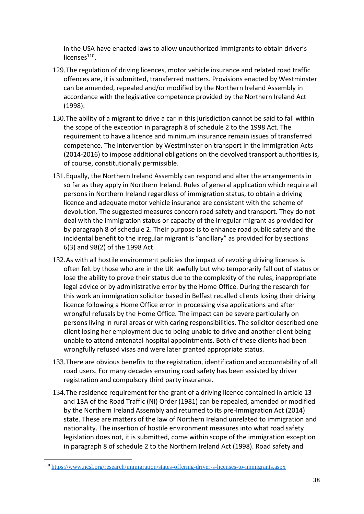in the USA have enacted laws to allow unauthorized immigrants to obtain driver's licenses<sup>110</sup>.

- 129.The regulation of driving licences, motor vehicle insurance and related road traffic offences are, it is submitted, transferred matters. Provisions enacted by Westminster can be amended, repealed and/or modified by the Northern Ireland Assembly in accordance with the legislative competence provided by the Northern Ireland Act (1998).
- 130.The ability of a migrant to drive a car in this jurisdiction cannot be said to fall within the scope of the exception in paragraph 8 of schedule 2 to the 1998 Act. The requirement to have a licence and minimum insurance remain issues of transferred competence. The intervention by Westminster on transport in the Immigration Acts (2014-2016) to impose additional obligations on the devolved transport authorities is, of course, constitutionally permissible.
- 131.Equally, the Northern Ireland Assembly can respond and alter the arrangements in so far as they apply in Northern Ireland. Rules of general application which require all persons in Northern Ireland regardless of immigration status, to obtain a driving licence and adequate motor vehicle insurance are consistent with the scheme of devolution. The suggested measures concern road safety and transport. They do not deal with the immigration status or capacity of the irregular migrant as provided for by paragraph 8 of schedule 2. Their purpose is to enhance road public safety and the incidental benefit to the irregular migrant is "ancillary" as provided for by sections 6(3) and 98(2) of the 1998 Act.
- 132.As with all hostile environment policies the impact of revoking driving licences is often felt by those who are in the UK lawfully but who temporarily fall out of status or lose the ability to prove their status due to the complexity of the rules, inappropriate legal advice or by administrative error by the Home Office. During the research for this work an immigration solicitor based in Belfast recalled clients losing their driving licence following a Home Office error in processing visa applications and after wrongful refusals by the Home Office. The impact can be severe particularly on persons living in rural areas or with caring responsibilities. The solicitor described one client losing her employment due to being unable to drive and another client being unable to attend antenatal hospital appointments. Both of these clients had been wrongfully refused visas and were later granted appropriate status.
- 133.There are obvious benefits to the registration, identification and accountability of all road users. For many decades ensuring road safety has been assisted by driver registration and compulsory third party insurance.
- 134.The residence requirement for the grant of a driving licence contained in article 13 and 13A of the Road Traffic (NI) Order (1981) can be repealed, amended or modified by the Northern Ireland Assembly and returned to its pre-Immigration Act (2014) state. These are matters of the law of Northern Ireland unrelated to immigration and nationality. The insertion of hostile environment measures into what road safety legislation does not, it is submitted, come within scope of the immigration exception in paragraph 8 of schedule 2 to the Northern Ireland Act (1998). Road safety and

<sup>110</sup> <https://www.ncsl.org/research/immigration/states-offering-driver-s-licenses-to-immigrants.aspx>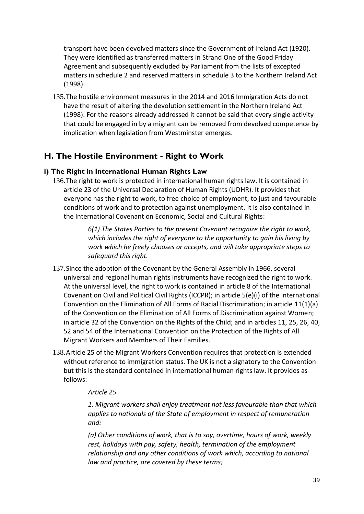transport have been devolved matters since the Government of Ireland Act (1920). They were identified as transferred matters in Strand One of the Good Friday Agreement and subsequently excluded by Parliament from the lists of excepted matters in schedule 2 and reserved matters in schedule 3 to the Northern Ireland Act (1998).

135.The hostile environment measures in the 2014 and 2016 Immigration Acts do not have the result of altering the devolution settlement in the Northern Ireland Act (1998). For the reasons already addressed it cannot be said that every single activity that could be engaged in by a migrant can be removed from devolved competence by implication when legislation from Westminster emerges.

# **H. The Hostile Environment - Right to Work**

## **i) The Right in International Human Rights Law**

136.The right to work is protected in international human rights law. It is contained in article 23 of the Universal Declaration of Human Rights (UDHR). It provides that everyone has the right to work, to free choice of employment, to just and favourable conditions of work and to protection against unemployment. It is also contained in the International Covenant on Economic, Social and Cultural Rights:

> *6(1) The States Parties to the present Covenant recognize the right to work, which includes the right of everyone to the opportunity to gain his living by work which he freely chooses or accepts, and will take appropriate steps to safeguard this right.*

- 137.Since the adoption of the Covenant by the General Assembly in 1966, several universal and regional human rights instruments have recognized the right to work. At the universal level, the right to work is contained in article 8 of the International Covenant on Civil and Political Civil Rights (ICCPR); in article 5(e)(i) of the International Convention on the Elimination of All Forms of Racial Discrimination; in article 11(1)(a) of the Convention on the Elimination of All Forms of Discrimination against Women; in article 32 of the Convention on the Rights of the Child; and in articles 11, 25, 26, 40, 52 and 54 of the International Convention on the Protection of the Rights of All Migrant Workers and Members of Their Families.
- 138.Article 25 of the Migrant Workers Convention requires that protection is extended without reference to immigration status. The UK is not a signatory to the Convention but this is the standard contained in international human rights law. It provides as follows:

## *Article 25*

*1. Migrant workers shall enjoy treatment not less favourable than that which applies to nationals of the State of employment in respect of remuneration and:*

*(a) Other conditions of work, that is to say, overtime, hours of work, weekly rest, holidays with pay, safety, health, termination of the employment relationship and any other conditions of work which, according to national law and practice, are covered by these terms;*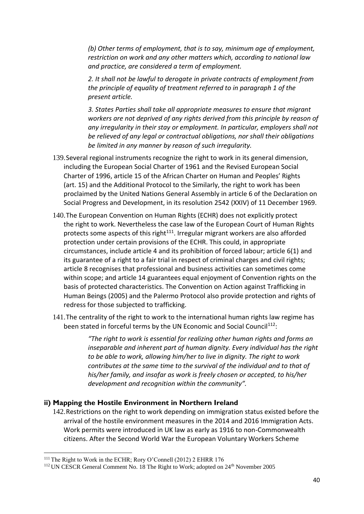*(b) Other terms of employment, that is to say, minimum age of employment, restriction on work and any other matters which, according to national law and practice, are considered a term of employment.*

*2. It shall not be lawful to derogate in private contracts of employment from the principle of equality of treatment referred to in paragraph 1 of the present article.*

*3. States Parties shall take all appropriate measures to ensure that migrant workers are not deprived of any rights derived from this principle by reason of any irregularity in their stay or employment. In particular, employers shall not be relieved of any legal or contractual obligations, nor shall their obligations be limited in any manner by reason of such irregularity.*

- 139.Several regional instruments recognize the right to work in its general dimension, including the European Social Charter of 1961 and the Revised European Social Charter of 1996, article 15 of the African Charter on Human and Peoples' Rights (art. 15) and the Additional Protocol to the Similarly, the right to work has been proclaimed by the United Nations General Assembly in article 6 of the Declaration on Social Progress and Development, in its resolution 2542 (XXIV) of 11 December 1969.
- 140.The European Convention on Human Rights (ECHR) does not explicitly protect the right to work. Nevertheless the case law of the European Court of Human Rights protects some aspects of this right<sup>111</sup>. Irregular migrant workers are also afforded protection under certain provisions of the ECHR. This could, in appropriate circumstances, include article 4 and its prohibition of forced labour; article 6(1) and its guarantee of a right to a fair trial in respect of criminal charges and civil rights; article 8 recognises that professional and business activities can sometimes come within scope; and article 14 guarantees equal enjoyment of Convention rights on the basis of protected characteristics. The Convention on Action against Trafficking in Human Beings (2005) and the Palermo Protocol also provide protection and rights of redress for those subjected to trafficking.
- 141.The centrality of the right to work to the international human rights law regime has been stated in forceful terms by the UN Economic and Social Council<sup>112</sup>:

*"The right to work is essential for realizing other human rights and forms an inseparable and inherent part of human dignity. Every individual has the right to be able to work, allowing him/her to live in dignity. The right to work contributes at the same time to the survival of the individual and to that of his/her family, and insofar as work is freely chosen or accepted, to his/her development and recognition within the community".* 

#### **ii) Mapping the Hostile Environment in Northern Ireland**

142.Restrictions on the right to work depending on immigration status existed before the arrival of the hostile environment measures in the 2014 and 2016 Immigration Acts. Work permits were introduced in UK law as early as 1916 to non-Commonwealth citizens. After the Second World War the European Voluntary Workers Scheme

<sup>111</sup> The Right to Work in the ECHR; Rory O'Connell (2012) 2 EHRR 176

<sup>&</sup>lt;sup>112</sup> UN CESCR General Comment No. 18 The Right to Work; adopted on 24<sup>th</sup> November 2005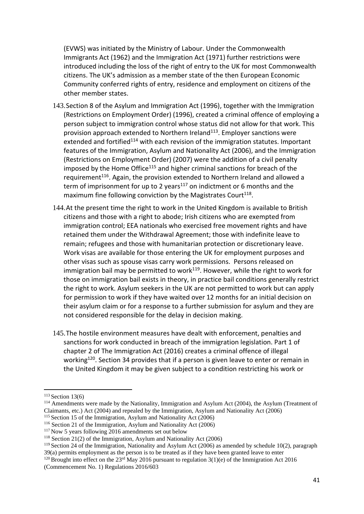(EVWS) was initiated by the Ministry of Labour. Under the Commonwealth Immigrants Act (1962) and the Immigration Act (1971) further restrictions were introduced including the loss of the right of entry to the UK for most Commonwealth citizens. The UK's admission as a member state of the then European Economic Community conferred rights of entry, residence and employment on citizens of the other member states.

- 143.Section 8 of the Asylum and Immigration Act (1996), together with the Immigration (Restrictions on Employment Order) (1996), created a criminal offence of employing a person subject to immigration control whose status did not allow for that work. This provision approach extended to Northern Ireland<sup>113</sup>. Employer sanctions were extended and fortified<sup>114</sup> with each revision of the immigration statutes. Important features of the Immigration, Asylum and Nationality Act (2006), and the Immigration (Restrictions on Employment Order) (2007) were the addition of a civil penalty imposed by the Home Office<sup>115</sup> and higher criminal sanctions for breach of the requirement<sup>116</sup>. Again, the provision extended to Northern Ireland and allowed a term of imprisonment for up to 2 years<sup>117</sup> on indictment or 6 months and the maximum fine following conviction by the Magistrates Court<sup>118</sup>.
- 144.At the present time the right to work in the United Kingdom is available to British citizens and those with a right to abode; Irish citizens who are exempted from immigration control; EEA nationals who exercised free movement rights and have retained them under the Withdrawal Agreement; those with indefinite leave to remain; refugees and those with humanitarian protection or discretionary leave. Work visas are available for those entering the UK for employment purposes and other visas such as spouse visas carry work permissions. Persons released on immigration bail may be permitted to work $119$ . However, while the right to work for those on immigration bail exists in theory, in practice bail conditions generally restrict the right to work. Asylum seekers in the UK are not permitted to work but can apply for permission to work if they have waited over 12 months for an initial decision on their asylum claim or for a response to a further submission for asylum and they are not considered responsible for the delay in decision making.
- 145.The hostile environment measures have dealt with enforcement, penalties and sanctions for work conducted in breach of the immigration legislation. Part 1 of chapter 2 of The Immigration Act (2016) creates a criminal offence of illegal working<sup>120</sup>. Section 34 provides that if a person is given leave to enter or remain in the United Kingdom it may be given subject to a condition restricting his work or

39(a) permits employment as the person is to be treated as if they have been granted leave to enter

 $113$  Section 13(6)

<sup>&</sup>lt;sup>114</sup> Amendments were made by the Nationality, Immigration and Asylum Act (2004), the Asylum (Treatment of Claimants, etc.) Act (2004) and repealed by the Immigration, Asylum and Nationality Act (2006)

 $115$  Section 15 of the Immigration, Asylum and Nationality Act (2006) <sup>116</sup> Section 21 of the Immigration, Asylum and Nationality Act (2006)

<sup>&</sup>lt;sup>117</sup> Now 5 years following 2016 amendments set out below

<sup>118</sup> Section 21(2) of the Immigration, Asylum and Nationality Act (2006)

<sup>119</sup> Section 24 of the Immigration, Nationality and Asylum Act (2006) as amended by schedule 10(2), paragraph

<sup>&</sup>lt;sup>120</sup> Brought into effect on the 23<sup>rd</sup> May 2016 pursuant to regulation 3(1)(e) of the Immigration Act 2016 (Commencement No. 1) Regulations 2016/603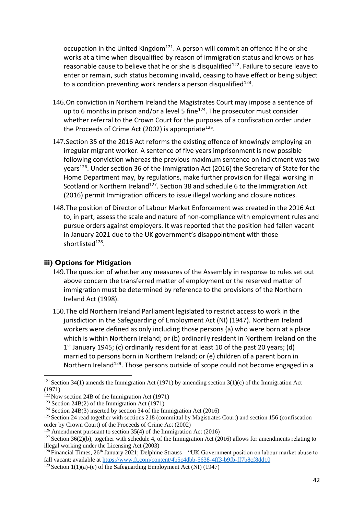occupation in the United Kingdom<sup>121</sup>. A person will commit an offence if he or she works at a time when disqualified by reason of immigration status and knows or has reasonable cause to believe that he or she is disqualified<sup>122</sup>. Failure to secure leave to enter or remain, such status becoming invalid, ceasing to have effect or being subject to a condition preventing work renders a person disqualified $^{123}$ .

- 146.On conviction in Northern Ireland the Magistrates Court may impose a sentence of up to 6 months in prison and/or a level 5 fine<sup>124</sup>. The prosecutor must consider whether referral to the Crown Court for the purposes of a confiscation order under the Proceeds of Crime Act (2002) is appropriate<sup>125</sup>.
- 147.Section 35 of the 2016 Act reforms the existing offence of knowingly employing an irregular migrant worker. A sentence of five years imprisonment is now possible following conviction whereas the previous maximum sentence on indictment was two years<sup>126</sup>. Under section 36 of the Immigration Act (2016) the Secretary of State for the Home Department may, by regulations, make further provision for illegal working in Scotland or Northern Ireland<sup>127</sup>. Section 38 and schedule 6 to the Immigration Act (2016) permit Immigration officers to issue illegal working and closure notices.
- 148.The position of Director of Labour Market Enforcement was created in the 2016 Act to, in part, assess the scale and nature of non-compliance with employment rules and pursue orders against employers. It was reported that the position had fallen vacant in January 2021 due to the UK government's disappointment with those shortlisted<sup>128</sup>.

## **iii) Options for Mitigation**

- 149.The question of whether any measures of the Assembly in response to rules set out above concern the transferred matter of employment or the reserved matter of immigration must be determined by reference to the provisions of the Northern Ireland Act (1998).
- 150.The old Northern Ireland Parliament legislated to restrict access to work in the jurisdiction in the Safeguarding of Employment Act (NI) (1947). Northern Ireland workers were defined as only including those persons (a) who were born at a place which is within Northern Ireland; or (b) ordinarily resident in Northern Ireland on the 1<sup>st</sup> January 1945; (c) ordinarily resident for at least 10 of the past 20 years; (d) married to persons born in Northern Ireland; or (e) children of a parent born in Northern Ireland<sup>129</sup>. Those persons outside of scope could not become engaged in a

 $121$  Section 34(1) amends the Immigration Act (1971) by amending section 3(1)(c) of the Immigration Act (1971)

 $122$  Now section 24B of the Immigration Act (1971)

<sup>&</sup>lt;sup>123</sup> Section 24B(2) of the Immigration Act (1971)

<sup>&</sup>lt;sup>124</sup> Section 24B(3) inserted by section 34 of the Immigration Act (2016)

<sup>&</sup>lt;sup>125</sup> Section 24 read together with sections 218 (committal by Magistrates Court) and section 156 (confiscation order by Crown Court) of the Proceeds of Crime Act (2002)

<sup>&</sup>lt;sup>126</sup> Amendment pursuant to section  $35(4)$  of the Immigration Act (2016)

<sup>&</sup>lt;sup>127</sup> Section 36(2)(b), together with schedule 4, of the Immigration Act (2016) allows for amendments relating to illegal working under the Licensing Act (2003)

<sup>&</sup>lt;sup>128</sup> Financial Times, 26<sup>th</sup> January 2021; Delphine Strauss – "UK Government position on labour market abuse to fall vacant; available a[t https://www.ft.com/content/4b5c4dbb-5638-4ff3-b9fb-ff7b8cf8dd10](https://www.ft.com/content/4b5c4dbb-5638-4ff3-b9fb-ff7b8cf8dd10)

<sup>&</sup>lt;sup>129</sup> Section 1(1)(a)-(e) of the Safeguarding Employment Act (NI) (1947)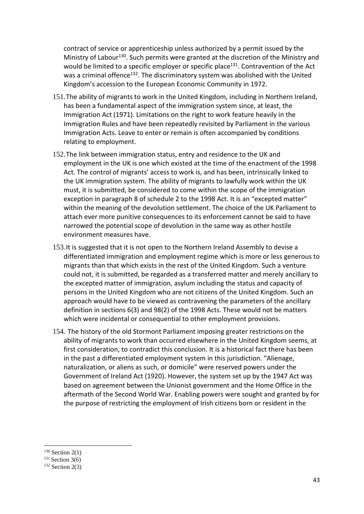contract of service or apprenticeship unless authorized by a permit issued by the Ministry of Labour<sup>130</sup>. Such permits were granted at the discretion of the Ministry and would be limited to a specific employer or specific place<sup>131</sup>. Contravention of the Act was a criminal offence<sup>132</sup>. The discriminatory system was abolished with the United Kingdom's accession to the European Economic Community in 1972.

- 151.The ability of migrants to work in the United Kingdom, including in Northern Ireland, has been a fundamental aspect of the immigration system since, at least, the Immigration Act (1971). Limitations on the right to work feature heavily in the Immigration Rules and have been repeatedly revisited by Parliament in the various Immigration Acts. Leave to enter or remain is often accompanied by conditions relating to employment.
- 152.The link between immigration status, entry and residence to the UK and employment in the UK is one which existed at the time of the enactment of the 1998 Act. The control of migrants' access to work is, and has been, intrinsically linked to the UK immigration system. The ability of migrants to lawfully work within the UK must, it is submitted, be considered to come within the scope of the immigration exception in paragraph 8 of schedule 2 to the 1998 Act. It is an "excepted matter" within the meaning of the devolution settlement. The choice of the UK Parliament to attach ever more punitive consequences to its enforcement cannot be said to have narrowed the potential scope of devolution in the same way as other hostile environment measures have.
- 153.It is suggested that it is not open to the Northern Ireland Assembly to devise a differentiated immigration and employment regime which is more or less generous to migrants than that which exists in the rest of the United Kingdom. Such a venture could not, it is submitted, be regarded as a transferred matter and merely ancillary to the excepted matter of immigration, asylum including the status and capacity of persons in the United Kingdom who are not citizens of the United Kingdom. Such an approach would have to be viewed as contravening the parameters of the ancillary definition in sections 6(3) and 98(2) of the 1998 Acts. These would not be matters which were incidental or consequential to other employment provisions.
- 154. The history of the old Stormont Parliament imposing greater restrictions on the ability of migrants to work than occurred elsewhere in the United Kingdom seems, at first consideration, to contradict this conclusion. It is a historical fact there has been in the past a differentiated employment system in this jurisdiction. "Alienage, naturalization, or aliens as such, or domicile" were reserved powers under the Government of Ireland Act (1920). However, the system set up by the 1947 Act was based on agreement between the Unionist government and the Home Office in the aftermath of the Second World War. Enabling powers were sought and granted by for the purpose of restricting the employment of Irish citizens born or resident in the

 $130$  Section 2(1)

 $131$  Section 3(6)

 $132$  Section 2(3)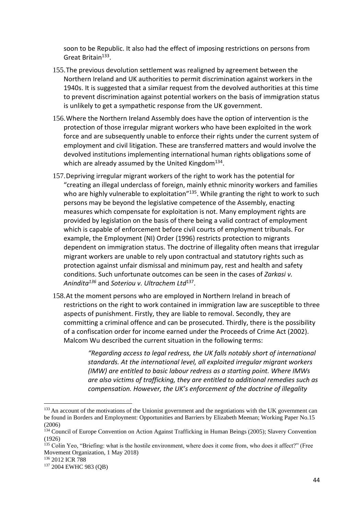soon to be Republic. It also had the effect of imposing restrictions on persons from Great Britain<sup>133</sup>.

- 155.The previous devolution settlement was realigned by agreement between the Northern Ireland and UK authorities to permit discrimination against workers in the 1940s. It is suggested that a similar request from the devolved authorities at this time to prevent discrimination against potential workers on the basis of immigration status is unlikely to get a sympathetic response from the UK government.
- 156.Where the Northern Ireland Assembly does have the option of intervention is the protection of those irregular migrant workers who have been exploited in the work force and are subsequently unable to enforce their rights under the current system of employment and civil litigation. These are transferred matters and would involve the devolved institutions implementing international human rights obligations some of which are already assumed by the United Kingdom<sup>134</sup>.
- 157.Depriving irregular migrant workers of the right to work has the potential for "creating an illegal underclass of foreign, mainly ethnic minority workers and families who are highly vulnerable to exploitation<sup>"135</sup>. While granting the right to work to such persons may be beyond the legislative competence of the Assembly, enacting measures which compensate for exploitation is not. Many employment rights are provided by legislation on the basis of there being a valid contract of employment which is capable of enforcement before civil courts of employment tribunals. For example, the Employment (NI) Order (1996) restricts protection to migrants dependent on immigration status. The doctrine of illegality often means that irregular migrant workers are unable to rely upon contractual and statutory rights such as protection against unfair dismissal and minimum pay, rest and health and safety conditions. Such unfortunate outcomes can be seen in the cases of *Zarkasi v. Anindita<sup>136</sup>* and *Soteriou v. Ultrachem Ltd*<sup>137</sup> .
- 158.At the moment persons who are employed in Northern Ireland in breach of restrictions on the right to work contained in immigration law are susceptible to three aspects of punishment. Firstly, they are liable to removal. Secondly, they are committing a criminal offence and can be prosecuted. Thirdly, there is the possibility of a confiscation order for income earned under the Proceeds of Crime Act (2002). Malcom Wu described the current situation in the following terms:

*"Regarding access to legal redress, the UK falls notably short of international standards. At the international level, all exploited irregular migrant workers (IMW) are entitled to basic labour redress as a starting point. Where IMWs are also victims of trafficking, they are entitled to additional remedies such as compensation. However, the UK's enforcement of the doctrine of illegality* 

<sup>&</sup>lt;sup>133</sup> An account of the motivations of the Unionist government and the negotiations with the UK government can be found in Borders and Employment: Opportunities and Barriers by Elizabeth Meenan; Working Paper No.15 (2006)

<sup>&</sup>lt;sup>134</sup> Council of Europe Convention on Action Against Trafficking in Human Beings (2005); Slavery Convention (1926)

<sup>&</sup>lt;sup>135</sup> Colin Yeo, "Briefing: what is the hostile environment, where does it come from, who does it affect?" (Free Movement Organization, 1 May 2018)

<sup>&</sup>lt;sup>136</sup> 2012 ICR 788

<sup>137</sup> 2004 EWHC 983 (QB)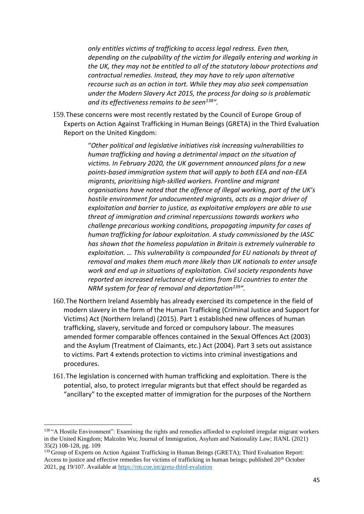*only entitles victims of trafficking to access legal redress. Even then, depending on the culpability of the victim for illegally entering and working in the UK, they may not be entitled to all of the statutory labour protections and contractual remedies. Instead, they may have to rely upon alternative recourse such as an action in tort. While they may also seek compensation under the Modern Slavery Act 2015, the process for doing so is problematic and its effectiveness remains to be seen<sup>138</sup>".* 

159.These concerns were most recently restated by the Council of Europe Group of Experts on Action Against Trafficking in Human Beings (GRETA) in the Third Evaluation Report on the United Kingdom:

> "*Other political and legislative initiatives risk increasing vulnerabilities to human trafficking and having a detrimental impact on the situation of victims. In February 2020, the UK government announced plans for a new points-based immigration system that will apply to both EEA and non-EEA migrants, prioritising high-skilled workers. Frontline and migrant organisations have noted that the offence of illegal working, part of the UK's hostile environment for undocumented migrants, acts as a major driver of exploitation and barrier to justice, as exploitative employers are able to use threat of immigration and criminal repercussions towards workers who challenge precarious working conditions, propagating impunity for cases of human trafficking for labour exploitation. A study commissioned by the IASC has shown that the homeless population in Britain is extremely vulnerable to exploitation. … This vulnerability is compounded for EU nationals by threat of removal and makes them much more likely than UK nationals to enter unsafe work and end up in situations of exploitation. Civil society respondents have reported an increased reluctance of victims from EU countries to enter the NRM system for fear of removal and deportation<sup>139</sup>".*

- 160.The Northern Ireland Assembly has already exercised its competence in the field of modern slavery in the form of the Human Trafficking (Criminal Justice and Support for Victims) Act (Northern Ireland) (2015). Part 1 established new offences of human trafficking, slavery, servitude and forced or compulsory labour. The measures amended former comparable offences contained in the Sexual Offences Act (2003) and the Asylum (Treatment of Claimants, etc.) Act (2004). Part 3 sets out assistance to victims. Part 4 extends protection to victims into criminal investigations and procedures.
- 161.The legislation is concerned with human trafficking and exploitation. There is the potential, also, to protect irregular migrants but that effect should be regarded as "ancillary" to the excepted matter of immigration for the purposes of the Northern

<sup>138 &</sup>quot;A Hostile Environment": Examining the rights and remedies afforded to exploited irregular migrant workers in the United Kingdom; Malcolm Wu; Journal of Immigration, Asylum and Nationality Law; JIANL (2021) 35(2) 108-128, pg. 109

<sup>&</sup>lt;sup>139</sup> Group of Experts on Action Against Trafficking in Human Beings (GRETA); Third Evaluation Report: Access to justice and effective remedies for victims of trafficking in human beings; published 20<sup>th</sup> October 2021, pg 19/107. Available at<https://rm.coe.int/greta-third-evalution>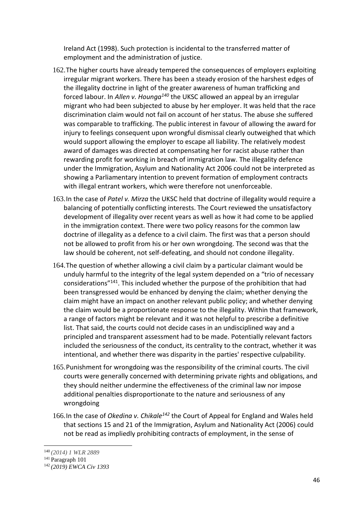Ireland Act (1998). Such protection is incidental to the transferred matter of employment and the administration of justice.

- 162.The higher courts have already tempered the consequences of employers exploiting irregular migrant workers. There has been a steady erosion of the harshest edges of the illegality doctrine in light of the greater awareness of human trafficking and forced labour. In *Allen v. Hounga<sup>140</sup>* the UKSC allowed an appeal by an irregular migrant who had been subjected to abuse by her employer. It was held that the race discrimination claim would not fail on account of her status. The abuse she suffered was comparable to trafficking. The public interest in favour of allowing the award for injury to feelings consequent upon wrongful dismissal clearly outweighed that which would support allowing the employer to escape all liability. The relatively modest award of damages was directed at compensating her for racist abuse rather than rewarding profit for working in breach of immigration law. The illegality defence under the Immigration, Asylum and Nationality Act 2006 could not be interpreted as showing a Parliamentary intention to prevent formation of employment contracts with illegal entrant workers, which were therefore not unenforceable.
- 163.In the case of *Patel v. Mirza* the UKSC held that doctrine of illegality would require a balancing of potentially conflicting interests. The Court reviewed the unsatisfactory development of illegality over recent years as well as how it had come to be applied in the immigration context. There were two policy reasons for the common law doctrine of illegality as a defence to a civil claim. The first was that a person should not be allowed to profit from his or her own wrongdoing. The second was that the law should be coherent, not self-defeating, and should not condone illegality.
- 164.The question of whether allowing a civil claim by a particular claimant would be unduly harmful to the integrity of the legal system depended on a "trio of necessary considerations"<sup>141</sup>. This included whether the purpose of the prohibition that had been transgressed would be enhanced by denying the claim; whether denying the claim might have an impact on another relevant public policy; and whether denying the claim would be a proportionate response to the illegality. Within that framework, a range of factors might be relevant and it was not helpful to prescribe a definitive list. That said, the courts could not decide cases in an undisciplined way and a principled and transparent assessment had to be made. Potentially relevant factors included the seriousness of the conduct, its centrality to the contract, whether it was intentional, and whether there was disparity in the parties' respective culpability.
- 165.Punishment for wrongdoing was the responsibility of the criminal courts. The civil courts were generally concerned with determining private rights and obligations, and they should neither undermine the effectiveness of the criminal law nor impose additional penalties disproportionate to the nature and seriousness of any wrongdoing
- 166.In the case of *Okedina v. Chikale<sup>142</sup>* the Court of Appeal for England and Wales held that sections 15 and 21 of the Immigration, Asylum and Nationality Act (2006) could not be read as impliedly prohibiting contracts of employment, in the sense of

<sup>140</sup> *(2014) 1 WLR 2889*

<sup>141</sup> Paragraph 101

<sup>142</sup> *(2019) EWCA Civ 1393*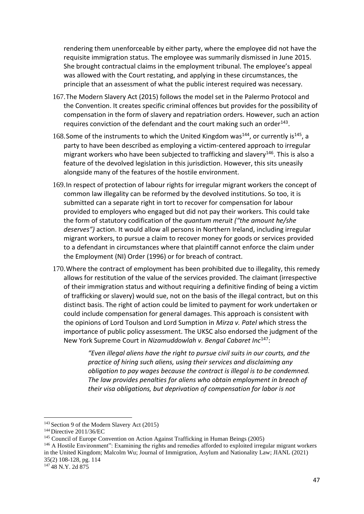rendering them unenforceable by either party, where the employee did not have the requisite immigration status. The employee was summarily dismissed in June 2015. She brought contractual claims in the employment tribunal. The employee's appeal was allowed with the Court restating, and applying in these circumstances, the principle that an assessment of what the public interest required was necessary.

- 167.The Modern Slavery Act (2015) follows the model set in the Palermo Protocol and the Convention. It creates specific criminal offences but provides for the possibility of compensation in the form of slavery and repatriation orders. However, such an action requires conviction of the defendant and the court making such an order $^{143}$ .
- 168. Some of the instruments to which the United Kingdom was<sup>144</sup>, or currently is<sup>145</sup>, a party to have been described as employing a victim-centered approach to irregular migrant workers who have been subjected to trafficking and slavery $146$ . This is also a feature of the devolved legislation in this jurisdiction. However, this sits uneasily alongside many of the features of the hostile environment.
- 169.In respect of protection of labour rights for irregular migrant workers the concept of common law illegality can be reformed by the devolved institutions. So too, it is submitted can a separate right in tort to recover for compensation for labour provided to employers who engaged but did not pay their workers. This could take the form of statutory codification of the *quantum meruit ("the amount he/she deserves")* action. It would allow all persons in Northern Ireland, including irregular migrant workers, to pursue a claim to recover money for goods or services provided to a defendant in circumstances where that plaintiff cannot enforce the claim under the Employment (NI) Order (1996) or for breach of contract.
- 170.Where the contract of employment has been prohibited due to illegality, this remedy allows for restitution of the value of the services provided. The claimant (irrespective of their immigration status and without requiring a definitive finding of being a victim of trafficking or slavery) would sue, not on the basis of the illegal contract, but on this distinct basis. The right of action could be limited to payment for work undertaken or could include compensation for general damages. This approach is consistent with the opinions of Lord Toulson and Lord Sumption in *Mirza v. Patel w*hich stress the importance of public policy assessment. The UKSC also endorsed the judgment of the New York Supreme Court in *Nizamuddowlah v. Bengal Cabaret Inc*<sup>147</sup>:

*"Even illegal aliens have the right to pursue civil suits in our courts, and the practice of hiring such aliens, using their services and disclaiming any obligation to pay wages because the contract is illegal is to be condemned. The law provides penalties for aliens who obtain employment in breach of their visa obligations, but deprivation of compensation for labor is not* 

<sup>147</sup> 48 N.Y. 2d 875

<sup>143</sup> Section 9 of the Modern Slavery Act (2015)

<sup>144</sup> Directive 2011/36/EC

<sup>145</sup> Council of Europe Convention on Action Against Trafficking in Human Beings (2005)

<sup>146</sup> A Hostile Environment": Examining the rights and remedies afforded to exploited irregular migrant workers in the United Kingdom; Malcolm Wu; Journal of Immigration, Asylum and Nationality Law; JIANL (2021) 35(2) 108-128, pg. 114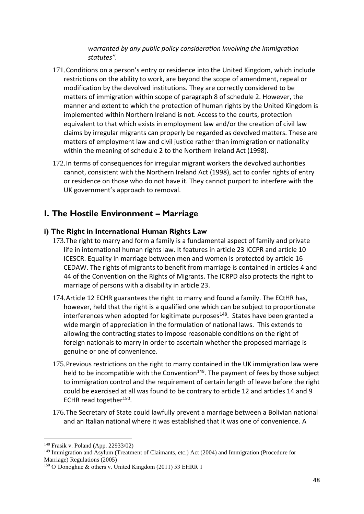*warranted by any public policy consideration involving the immigration statutes".*

- 171.Conditions on a person's entry or residence into the United Kingdom, which include restrictions on the ability to work, are beyond the scope of amendment, repeal or modification by the devolved institutions. They are correctly considered to be matters of immigration within scope of paragraph 8 of schedule 2. However, the manner and extent to which the protection of human rights by the United Kingdom is implemented within Northern Ireland is not. Access to the courts, protection equivalent to that which exists in employment law and/or the creation of civil law claims by irregular migrants can properly be regarded as devolved matters. These are matters of employment law and civil justice rather than immigration or nationality within the meaning of schedule 2 to the Northern Ireland Act (1998).
- 172.In terms of consequences for irregular migrant workers the devolved authorities cannot, consistent with the Northern Ireland Act (1998), act to confer rights of entry or residence on those who do not have it. They cannot purport to interfere with the UK government's approach to removal.

# **I. The Hostile Environment – Marriage**

## **i) The Right in International Human Rights Law**

- 173.The right to marry and form a family is a fundamental aspect of family and private life in international human rights law. It features in article 23 ICCPR and article 10 ICESCR. Equality in marriage between men and women is protected by article 16 CEDAW. The rights of migrants to benefit from marriage is contained in articles 4 and 44 of the Convention on the Rights of Migrants. The ICRPD also protects the right to marriage of persons with a disability in article 23.
- 174.Article 12 ECHR guarantees the right to marry and found a family. The ECtHR has, however, held that the right is a qualified one which can be subject to proportionate interferences when adopted for legitimate purposes<sup>148</sup>. States have been granted a wide margin of appreciation in the formulation of national laws. This extends to allowing the contracting states to impose reasonable conditions on the right of foreign nationals to marry in order to ascertain whether the proposed marriage is genuine or one of convenience.
- 175.Previous restrictions on the right to marry contained in the UK immigration law were held to be incompatible with the Convention<sup>149</sup>. The payment of fees by those subject to immigration control and the requirement of certain length of leave before the right could be exercised at all was found to be contrary to article 12 and articles 14 and 9 ECHR read together<sup>150</sup>.
- 176.The Secretary of State could lawfully prevent a marriage between a Bolivian national and an Italian national where it was established that it was one of convenience. A

<sup>148</sup> Frasik v. Poland (App. 22933/02)

<sup>149</sup> Immigration and Asylum (Treatment of Claimants, etc.) Act (2004) and Immigration (Procedure for Marriage) Regulations (2005)

<sup>150</sup> O'Donoghue & others v. United Kingdom (2011) 53 EHRR 1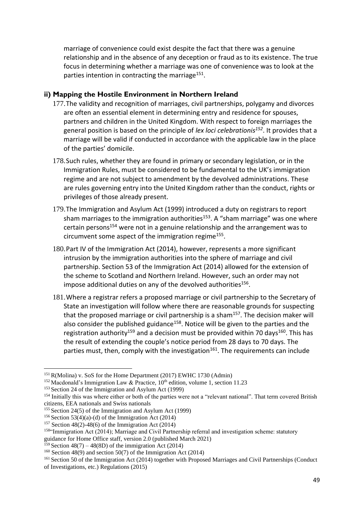marriage of convenience could exist despite the fact that there was a genuine relationship and in the absence of any deception or fraud as to its existence. The true focus in determining whether a marriage was one of convenience was to look at the parties intention in contracting the marriage<sup>151</sup>.

#### **ii) Mapping the Hostile Environment in Northern Ireland**

- 177.The validity and recognition of marriages, civil partnerships, polygamy and divorces are often an essential element in determining entry and residence for spouses, partners and children in the United Kingdom. With respect to foreign marriages the general position is based on the principle of *lex loci celebrationis<sup>152</sup>*. It provides that a marriage will be valid if conducted in accordance with the applicable law in the place of the parties' domicile.
- 178.Such rules, whether they are found in primary or secondary legislation, or in the Immigration Rules, must be considered to be fundamental to the UK's immigration regime and are not subject to amendment by the devolved administrations. These are rules governing entry into the United Kingdom rather than the conduct, rights or privileges of those already present.
- 179.The Immigration and Asylum Act (1999) introduced a duty on registrars to report sham marriages to the immigration authorities<sup>153</sup>. A "sham marriage" was one where certain persons<sup>154</sup> were not in a genuine relationship and the arrangement was to circumvent some aspect of the immigration regime<sup>155</sup>.
- 180.Part IV of the Immigration Act (2014), however, represents a more significant intrusion by the immigration authorities into the sphere of marriage and civil partnership. Section 53 of the Immigration Act (2014) allowed for the extension of the scheme to Scotland and Northern Ireland. However, such an order may not impose additional duties on any of the devolved authorities<sup>156</sup>.
- 181.Where a registrar refers a proposed marriage or civil partnership to the Secretary of State an investigation will follow where there are reasonable grounds for suspecting that the proposed marriage or civil partnership is a sham<sup>157</sup>. The decision maker will also consider the published guidance<sup>158</sup>. Notice will be given to the parties and the registration authority<sup>159</sup> and a decision must be provided within 70 days<sup>160</sup>. This has the result of extending the couple's notice period from 28 days to 70 days. The parties must, then, comply with the investigation<sup>161</sup>. The requirements can include

<sup>151</sup> R(Molina) v. SoS for the Home Department (2017) EWHC 1730 (Admin)

<sup>&</sup>lt;sup>152</sup> Macdonald's Immigration Law & Practice,  $10^{th}$  edition, volume 1, section 11.23

<sup>153</sup> Section 24 of the Immigration and Asylum Act (1999)

<sup>&</sup>lt;sup>154</sup> Initially this was where either or both of the parties were not a "relevant national". That term covered British citizens, EEA nationals and Swiss nationals

<sup>155</sup> Section 24(5) of the Immigration and Asylum Act (1999)

<sup>&</sup>lt;sup>156</sup> Section 53(4)(a)-(d) of the Immigration Act (2014)

<sup>&</sup>lt;sup>157</sup> Section 48(2)-48(6) of the Immigration Act (2014)

<sup>158</sup>"Immigration Act (2014); Marriage and Civil Partnership referral and investigation scheme: statutory

guidance for Home Office staff, version 2.0 (published March 2021)

<sup>&</sup>lt;sup>159</sup> Section 48(7) – 48(8D) of the immigration Act (2014)

<sup>&</sup>lt;sup>160</sup> Section 48(9) and section 50(7) of the Immigration Act (2014)

<sup>&</sup>lt;sup>161</sup> Section 50 of the Immigration Act (2014) together with Proposed Marriages and Civil Partnerships (Conduct of Investigations, etc.) Regulations (2015)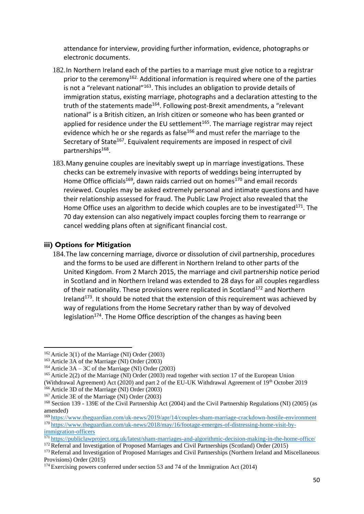attendance for interview, providing further information, evidence, photographs or electronic documents.

- 182.In Northern Ireland each of the parties to a marriage must give notice to a registrar prior to the ceremony<sup>162.</sup> Additional information is required where one of the parties is not a "relevant national"<sup>163</sup>. This includes an obligation to provide details of immigration status, existing marriage, photographs and a declaration attesting to the truth of the statements made<sup>164</sup>. Following post-Brexit amendments, a "relevant national" is a British citizen, an Irish citizen or someone who has been granted or applied for residence under the EU settlement $165$ . The marriage registrar may reject evidence which he or she regards as false<sup>166</sup> and must refer the marriage to the Secretary of State<sup>167</sup>. Equivalent requirements are imposed in respect of civil partnerships<sup>168</sup>.
- 183.Many genuine couples are inevitably swept up in marriage investigations. These checks can be extremely invasive with reports of weddings being interrupted by Home Office officials<sup>169</sup>, dawn raids carried out on homes<sup>170</sup> and email records reviewed. Couples may be asked extremely personal and intimate questions and have their relationship assessed for fraud. The Public Law Project also revealed that the Home Office uses an algorithm to decide which couples are to be investigated $171$ . The 70 day extension can also negatively impact couples forcing them to rearrange or cancel wedding plans often at significant financial cost.

## **iii) Options for Mitigation**

184.The law concerning marriage, divorce or dissolution of civil partnership, procedures and the forms to be used are different in Northern Ireland to other parts of the United Kingdom. From 2 March 2015, the marriage and civil partnership notice period in Scotland and in Northern Ireland was extended to 28 days for all couples regardless of their nationality. These provisions were replicated in Scotland<sup>172</sup> and Northern Ireland<sup>173</sup>. It should be noted that the extension of this requirement was achieved by way of regulations from the Home Secretary rather than by way of devolved legislation<sup>174</sup>. The Home Office description of the changes as having been

 $162$  Article 3(1) of the Marriage (NI) Order (2003)

<sup>163</sup> Article 3A of the Marriage (NI) Order (2003)

<sup>&</sup>lt;sup>164</sup> Article  $3A - 3C$  of the Marriage (NI) Order (2003)

<sup>165</sup> Article 2(2) of the Marriage (NI) Order (2003) read together with section 17 of the European Union (Withdrawal Agreement) Act (2020) and part 2 of the EU-UK Withdrawal Agreement of 19th October 2019

<sup>166</sup> Article 3D of the Marriage (NI) Order (2003)

<sup>167</sup> Article 3E of the Marriage (NI) Order (2003)

<sup>168</sup> Section 139 - 139E of the Civil Partnership Act (2004) and the Civil Partnership Regulations (NI) (2005) (as amended)

<sup>169</sup> <https://www.theguardian.com/uk-news/2019/apr/14/couples-sham-marriage-crackdown-hostile-environment> <sup>170</sup> [https://www.theguardian.com/uk-news/2018/may/16/footage-emerges-of-distressing-home-visit-by](https://www.theguardian.com/uk-news/2018/may/16/footage-emerges-of-distressing-home-visit-by-immigration-officers)[immigration-officers](https://www.theguardian.com/uk-news/2018/may/16/footage-emerges-of-distressing-home-visit-by-immigration-officers)

<sup>171</sup> <https://publiclawproject.org.uk/latest/sham-marriages-and-algorithmic-decision-making-in-the-home-office/>

<sup>172</sup> Referral and Investigation of Proposed Marriages and Civil Partnerships (Scotland) Order (2015)

<sup>173</sup> Referral and Investigation of Proposed Marriages and Civil Partnerships (Northern Ireland and Miscellaneous Provisions) Order (2015)

<sup>174</sup> Exercising powers conferred under section 53 and 74 of the Immigration Act (2014)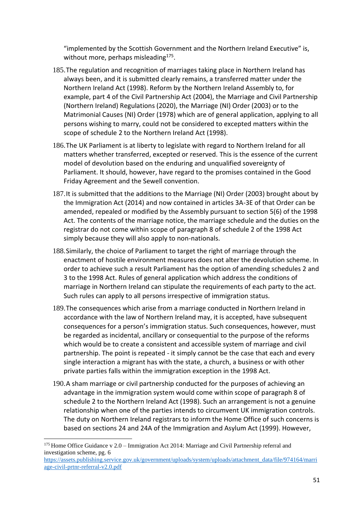"implemented by the Scottish Government and the Northern Ireland Executive" is, without more, perhaps misleading<sup>175</sup>.

- 185.The regulation and recognition of marriages taking place in Northern Ireland has always been, and it is submitted clearly remains, a transferred matter under the Northern Ireland Act (1998). Reform by the Northern Ireland Assembly to, for example, part 4 of the Civil Partnership Act (2004), the Marriage and Civil Partnership (Northern Ireland) Regulations (2020), the Marriage (NI) Order (2003) or to the Matrimonial Causes (NI) Order (1978) which are of general application, applying to all persons wishing to marry, could not be considered to excepted matters within the scope of schedule 2 to the Northern Ireland Act (1998).
- 186.The UK Parliament is at liberty to legislate with regard to Northern Ireland for all matters whether transferred, excepted or reserved. This is the essence of the current model of devolution based on the enduring and unqualified sovereignty of Parliament. It should, however, have regard to the promises contained in the Good Friday Agreement and the Sewell convention.
- 187.It is submitted that the additions to the Marriage (NI) Order (2003) brought about by the Immigration Act (2014) and now contained in articles 3A-3E of that Order can be amended, repealed or modified by the Assembly pursuant to section 5(6) of the 1998 Act. The contents of the marriage notice, the marriage schedule and the duties on the registrar do not come within scope of paragraph 8 of schedule 2 of the 1998 Act simply because they will also apply to non-nationals.
- 188.Similarly, the choice of Parliament to target the right of marriage through the enactment of hostile environment measures does not alter the devolution scheme. In order to achieve such a result Parliament has the option of amending schedules 2 and 3 to the 1998 Act. Rules of general application which address the conditions of marriage in Northern Ireland can stipulate the requirements of each party to the act. Such rules can apply to all persons irrespective of immigration status.
- 189.The consequences which arise from a marriage conducted in Northern Ireland in accordance with the law of Northern Ireland may, it is accepted, have subsequent consequences for a person's immigration status. Such consequences, however, must be regarded as incidental, ancillary or consequential to the purpose of the reforms which would be to create a consistent and accessible system of marriage and civil partnership. The point is repeated - it simply cannot be the case that each and every single interaction a migrant has with the state, a church, a business or with other private parties falls within the immigration exception in the 1998 Act.
- 190.A sham marriage or civil partnership conducted for the purposes of achieving an advantage in the immigration system would come within scope of paragraph 8 of schedule 2 to the Northern Ireland Act (1998). Such an arrangement is not a genuine relationship when one of the parties intends to circumvent UK immigration controls. The duty on Northern Ireland registrars to inform the Home Office of such concerns is based on sections 24 and 24A of the Immigration and Asylum Act (1999). However,

<sup>&</sup>lt;sup>175</sup> Home Office Guidance v 2.0 – Immigration Act 2014: Marriage and Civil Partnership referral and investigation scheme, pg. 6

[https://assets.publishing.service.gov.uk/government/uploads/system/uploads/attachment\\_data/file/974164/marri](https://assets.publishing.service.gov.uk/government/uploads/system/uploads/attachment_data/file/974164/marriage-civil-prtnr-referral-v2.0.pdf) [age-civil-prtnr-referral-v2.0.pdf](https://assets.publishing.service.gov.uk/government/uploads/system/uploads/attachment_data/file/974164/marriage-civil-prtnr-referral-v2.0.pdf)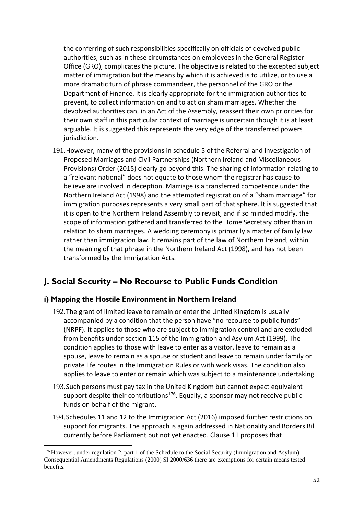the conferring of such responsibilities specifically on officials of devolved public authorities, such as in these circumstances on employees in the General Register Office (GRO), complicates the picture. The objective is related to the excepted subject matter of immigration but the means by which it is achieved is to utilize, or to use a more dramatic turn of phrase commandeer, the personnel of the GRO or the Department of Finance. It is clearly appropriate for the immigration authorities to prevent, to collect information on and to act on sham marriages. Whether the devolved authorities can, in an Act of the Assembly, reassert their own priorities for their own staff in this particular context of marriage is uncertain though it is at least arguable. It is suggested this represents the very edge of the transferred powers jurisdiction.

191.However, many of the provisions in schedule 5 of the Referral and Investigation of Proposed Marriages and Civil Partnerships (Northern Ireland and Miscellaneous Provisions) Order (2015) clearly go beyond this. The sharing of information relating to a "relevant national" does not equate to those whom the registrar has cause to believe are involved in deception. Marriage is a transferred competence under the Northern Ireland Act (1998) and the attempted registration of a "sham marriage" for immigration purposes represents a very small part of that sphere. It is suggested that it is open to the Northern Ireland Assembly to revisit, and if so minded modify, the scope of information gathered and transferred to the Home Secretary other than in relation to sham marriages. A wedding ceremony is primarily a matter of family law rather than immigration law. It remains part of the law of Northern Ireland, within the meaning of that phrase in the Northern Ireland Act (1998), and has not been transformed by the Immigration Acts.

# **J. Social Security – No Recourse to Public Funds Condition**

## **i) Mapping the Hostile Environment in Northern Ireland**

- 192.The grant of limited leave to remain or enter the United Kingdom is usually accompanied by a condition that the person have "no recourse to public funds" (NRPF). It applies to those who are subject to immigration control and are excluded from benefits under section 115 of the Immigration and Asylum Act (1999). The condition applies to those with leave to enter as a visitor, leave to remain as a spouse, leave to remain as a spouse or student and leave to remain under family or private life routes in the Immigration Rules or with work visas. The condition also applies to leave to enter or remain which was subject to a maintenance undertaking.
- 193.Such persons must pay tax in the United Kingdom but cannot expect equivalent support despite their contributions<sup>176</sup>. Equally, a sponsor may not receive public funds on behalf of the migrant.
- 194.Schedules 11 and 12 to the Immigration Act (2016) imposed further restrictions on support for migrants. The approach is again addressed in Nationality and Borders Bill currently before Parliament but not yet enacted. Clause 11 proposes that

<sup>176</sup> However, under regulation 2, part 1 of the Schedule to the Social Security (Immigration and Asylum) Consequential Amendments Regulations (2000) SI 2000/636 there are exemptions for certain means tested benefits.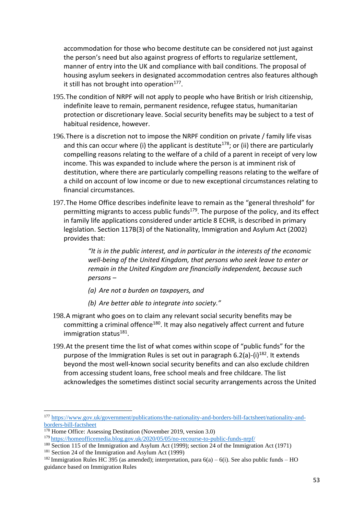accommodation for those who become destitute can be considered not just against the person's need but also against progress of efforts to regularize settlement, manner of entry into the UK and compliance with bail conditions. The proposal of housing asylum seekers in designated accommodation centres also features although it still has not brought into operation<sup>177</sup>.

- 195.The condition of NRPF will not apply to people who have British or Irish citizenship, indefinite leave to remain, permanent residence, refugee status, humanitarian protection or discretionary leave. Social security benefits may be subject to a test of habitual residence, however.
- 196.There is a discretion not to impose the NRPF condition on private / family life visas and this can occur where (i) the applicant is destitute<sup>178</sup>; or (ii) there are particularly compelling reasons relating to the welfare of a child of a parent in receipt of very low income. This was expanded to include where the person is at imminent risk of destitution, where there are particularly compelling reasons relating to the welfare of a child on account of low income or due to new exceptional circumstances relating to financial circumstances.
- 197.The Home Office describes indefinite leave to remain as the "general threshold" for permitting migrants to access public funds<sup>179</sup>. The purpose of the policy, and its effect in family life applications considered under article 8 ECHR, is described in primary legislation. Section 117B(3) of the Nationality, Immigration and Asylum Act (2002) provides that:

*"It is in the public interest, and in particular in the interests of the economic well-being of the United Kingdom, that persons who seek leave to enter or remain in the United Kingdom are financially independent, because such persons –*

- *(a) Are not a burden on taxpayers, and*
- *(b) Are better able to integrate into society."*
- 198.A migrant who goes on to claim any relevant social security benefits may be committing a criminal offence<sup>180</sup>. It may also negatively affect current and future immigration status<sup>181</sup>.
- 199.At the present time the list of what comes within scope of "public funds" for the purpose of the Immigration Rules is set out in paragraph  $6.2(a)$ - $(i)$ <sup>182</sup>. It extends beyond the most well-known social security benefits and can also exclude children from accessing student loans, free school meals and free childcare. The list acknowledges the sometimes distinct social security arrangements across the United

<sup>177</sup> [https://www.gov.uk/government/publications/the-nationality-and-borders-bill-factsheet/nationality-and](https://www.gov.uk/government/publications/the-nationality-and-borders-bill-factsheet/nationality-and-borders-bill-factsheet)[borders-bill-factsheet](https://www.gov.uk/government/publications/the-nationality-and-borders-bill-factsheet/nationality-and-borders-bill-factsheet)

<sup>178</sup> Home Office: Assessing Destitution (November 2019, version 3.0)

<sup>179</sup> <https://homeofficemedia.blog.gov.uk/2020/05/05/no-recourse-to-public-funds-nrpf/>

<sup>&</sup>lt;sup>180</sup> Section 115 of the Immigration and Asylum Act (1999); section 24 of the Immigration Act (1971)

<sup>&</sup>lt;sup>181</sup> Section 24 of the Immigration and Asylum Act (1999)

<sup>&</sup>lt;sup>182</sup> Immigration Rules HC 395 (as amended); interpretation, para  $6(a) - 6(i)$ . See also public funds – HO guidance based on Immigration Rules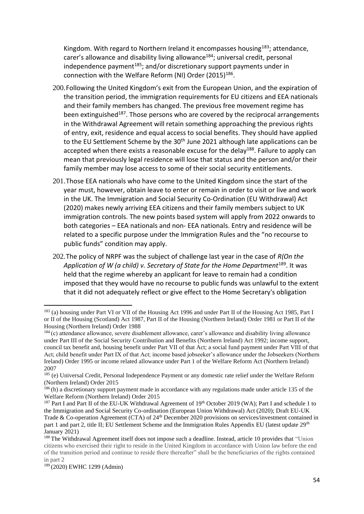Kingdom. With regard to Northern Ireland it encompasses housing<sup>183</sup>; attendance, carer's allowance and disability living allowance<sup>184</sup>; universal credit, personal independence payment<sup>185</sup>; and/or discretionary support payments under in connection with the Welfare Reform (NI) Order  $(2015)^{186}$ .

- 200.Following the United Kingdom's exit from the European Union, and the expiration of the transition period, the immigration requirements for EU citizens and EEA nationals and their family members has changed. The previous free movement regime has been extinguished<sup>187</sup>. Those persons who are covered by the reciprocal arrangements in the Withdrawal Agreement will retain something approaching the previous rights of entry, exit, residence and equal access to social benefits. They should have applied to the EU Settlement Scheme by the 30<sup>th</sup> June 2021 although late applications can be accepted when there exists a reasonable excuse for the delay<sup>188</sup>. Failure to apply can mean that previously legal residence will lose that status and the person and/or their family member may lose access to some of their social security entitlements.
- 201.Those EEA nationals who have come to the United Kingdom since the start of the year must, however, obtain leave to enter or remain in order to visit or live and work in the UK. The Immigration and Social Security Co-Ordination (EU Withdrawal) Act (2020) makes newly arriving EEA citizens and their family members subject to UK immigration controls. The new points based system will apply from 2022 onwards to both categories – EEA nationals and non- EEA nationals. Entry and residence will be related to a specific purpose under the Immigration Rules and the "no recourse to public funds" condition may apply.
- 202.The policy of NRPF was the subject of challenge last year in the case of *R(On the*  Application of W (a child) v. Secretary of State for the Home Department<sup>189</sup>. It was held that the regime whereby an applicant for leave to remain had a condition imposed that they would have no recourse to public funds was unlawful to the extent that it did not adequately reflect or give effect to the Home Secretary's obligation

<sup>&</sup>lt;sup>183</sup> (a) housing under Part VI or VII of the Housing Act 1996 and under Part II of the Housing Act 1985, Part I or II of the Housing (Scotland) Act 1987, Part II of the Housing (Northern Ireland) Order 1981 or Part II of the Housing (Northern Ireland) Order 1988

<sup>184</sup> (c) attendance allowance, severe disablement allowance, carer's allowance and disability living allowance under Part III of the Social Security Contribution and Benefits (Northern Ireland) Act 1992; income support, council tax benefit and, housing benefit under Part VII of that Act; a social fund payment under Part VIII of that Act; child benefit under Part IX of that Act; income based jobseeker's allowance under the Jobseekers (Northern Ireland) Order 1995 or income related allowance under Part 1 of the Welfare Reform Act (Northern Ireland) 2007

<sup>&</sup>lt;sup>185</sup> (e) Universal Credit, Personal Independence Payment or any domestic rate relief under the Welfare Reform (Northern Ireland) Order 2015

<sup>186</sup> (h) a discretionary support payment made in accordance with any regulations made under article 135 of the Welfare Reform (Northern Ireland) Order 2015

<sup>&</sup>lt;sup>187</sup> Part I and Part II of the EU-UK Withdrawal Agreement of 19<sup>th</sup> October 2019 (WA); Part I and schedule 1 to the Immigration and Social Security Co-ordination (European Union Withdrawal) Act (2020); Draft EU-UK Trade & Co-operation Agreement (CTA) of 24<sup>th</sup> December 2020 provisions on services/investment contained in part 1 and part 2, title II; EU Settlement Scheme and the Immigration Rules Appendix EU (latest update 29<sup>th</sup>) January 2021)

<sup>&</sup>lt;sup>188</sup> The Withdrawal Agreement itself does not impose such a deadline. Instead, article 10 provides that "Union" citizens who exercised their right to reside in the United Kingdom in accordance with Union law before the end of the transition period and continue to reside there thereafter" shall be the beneficiaries of the rights contained in part 2

<sup>189</sup> (2020) EWHC 1299 (Admin)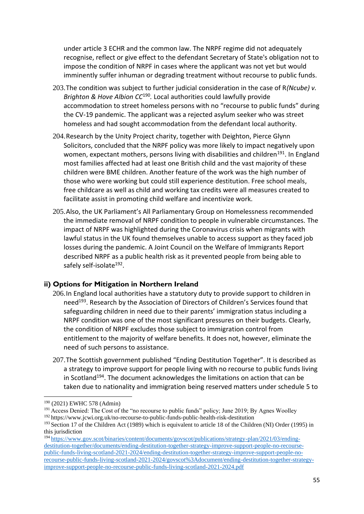under article 3 ECHR and the common law. The NRPF regime did not adequately recognise, reflect or give effect to the defendant Secretary of State's obligation not to impose the condition of NRPF in cases where the applicant was not yet but would imminently suffer inhuman or degrading treatment without recourse to public funds.

- 203.The condition was subject to further judicial consideration in the case of R*(Ncube) v. Brighton & Hove Albion CC*<sup>190</sup> *.* Local authorities could lawfully provide accommodation to street homeless persons with no "recourse to public funds" during the CV-19 pandemic. The applicant was a rejected asylum seeker who was street homeless and had sought accommodation from the defendant local authority.
- 204.Research by the Unity Project charity, together with Deighton, Pierce Glynn Solicitors, concluded that the NRPF policy was more likely to impact negatively upon women, expectant mothers, persons living with disabilities and children<sup>191</sup>. In England most families affected had at least one British child and the vast majority of these children were BME children. Another feature of the work was the high number of those who were working but could still experience destitution. Free school meals, free childcare as well as child and working tax credits were all measures created to facilitate assist in promoting child welfare and incentivize work.
- 205.Also, the UK Parliament's All Parliamentary Group on Homelessness recommended the immediate removal of NRPF condition to people in vulnerable circumstances*.* The impact of NRPF was highlighted during the Coronavirus crisis when migrants with lawful status in the UK found themselves unable to access support as they faced job losses during the pandemic. A Joint Council on the Welfare of Immigrants Report described NRPF as a public health risk as it prevented people from being able to safely self-isolate<sup>192</sup>.

## **ii) Options for Mitigation in Northern Ireland**

- 206.In England local authorities have a statutory duty to provide support to children in need<sup>193</sup>. Research by the Association of Directors of Children's Services found that safeguarding children in need due to their parents' immigration status including a NRPF condition was one of the most significant pressures on their budgets. Clearly, the condition of NRPF excludes those subject to immigration control from entitlement to the majority of welfare benefits. It does not, however, eliminate the need of such persons to assistance.
- 207.The Scottish government published "Ending Destitution Together". It is described as a strategy to improve support for people living with no recourse to public funds living in Scotland<sup>194</sup>. The document acknowledges the limitations on action that can be taken due to nationality and immigration being reserved matters under schedule 5 to

<sup>190</sup> (2021) EWHC 578 (Admin)

<sup>&</sup>lt;sup>191</sup> Access Denied: The Cost of the "no recourse to public funds" policy; June 2019; By Agnes Woolley <sup>192</sup> https://www.jcwi.org.uk/no-recourse-to-public-funds-public-health-risk-destitution

<sup>&</sup>lt;sup>193</sup> Section 17 of the Children Act (1989) which is equivalent to article 18 of the Children (NI) Order (1995) in this jurisdiction

<sup>194</sup> [https://www.gov.scot/binaries/content/documents/govscot/publications/strategy-plan/2021/03/ending](https://www.gov.scot/binaries/content/documents/govscot/publications/strategy-plan/2021/03/ending-destitution-together/documents/ending-destitution-together-strategy-improve-support-people-no-recourse-public-funds-living-scotland-2021-2024/ending-destitution-together-strategy-improve-support-people-no-recourse-public-funds-living-scotland-2021-2024/govscot%3Adocument/ending-destitution-together-strategy-improve-support-people-no-recourse-public-funds-living-scotland-2021-2024.pdf)[destitution-together/documents/ending-destitution-together-strategy-improve-support-people-no-recourse](https://www.gov.scot/binaries/content/documents/govscot/publications/strategy-plan/2021/03/ending-destitution-together/documents/ending-destitution-together-strategy-improve-support-people-no-recourse-public-funds-living-scotland-2021-2024/ending-destitution-together-strategy-improve-support-people-no-recourse-public-funds-living-scotland-2021-2024/govscot%3Adocument/ending-destitution-together-strategy-improve-support-people-no-recourse-public-funds-living-scotland-2021-2024.pdf)[public-funds-living-scotland-2021-2024/ending-destitution-together-strategy-improve-support-people-no](https://www.gov.scot/binaries/content/documents/govscot/publications/strategy-plan/2021/03/ending-destitution-together/documents/ending-destitution-together-strategy-improve-support-people-no-recourse-public-funds-living-scotland-2021-2024/ending-destitution-together-strategy-improve-support-people-no-recourse-public-funds-living-scotland-2021-2024/govscot%3Adocument/ending-destitution-together-strategy-improve-support-people-no-recourse-public-funds-living-scotland-2021-2024.pdf)[recourse-public-funds-living-scotland-2021-2024/govscot%3Adocument/ending-destitution-together-strategy](https://www.gov.scot/binaries/content/documents/govscot/publications/strategy-plan/2021/03/ending-destitution-together/documents/ending-destitution-together-strategy-improve-support-people-no-recourse-public-funds-living-scotland-2021-2024/ending-destitution-together-strategy-improve-support-people-no-recourse-public-funds-living-scotland-2021-2024/govscot%3Adocument/ending-destitution-together-strategy-improve-support-people-no-recourse-public-funds-living-scotland-2021-2024.pdf)[improve-support-people-no-recourse-public-funds-living-scotland-2021-2024.pdf](https://www.gov.scot/binaries/content/documents/govscot/publications/strategy-plan/2021/03/ending-destitution-together/documents/ending-destitution-together-strategy-improve-support-people-no-recourse-public-funds-living-scotland-2021-2024/ending-destitution-together-strategy-improve-support-people-no-recourse-public-funds-living-scotland-2021-2024/govscot%3Adocument/ending-destitution-together-strategy-improve-support-people-no-recourse-public-funds-living-scotland-2021-2024.pdf)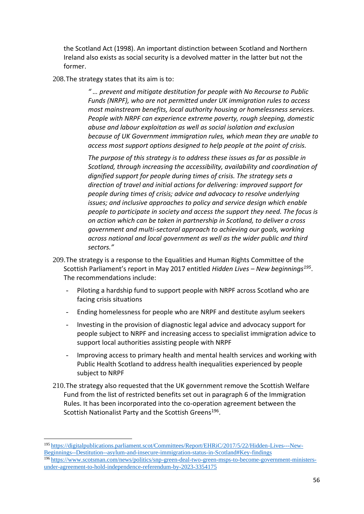the Scotland Act (1998). An important distinction between Scotland and Northern Ireland also exists as social security is a devolved matter in the latter but not the former.

208.The strategy states that its aim is to:

*" … prevent and mitigate destitution for people with No Recourse to Public Funds (NRPF), who are not permitted under UK immigration rules to access most mainstream benefits, local authority housing or homelessness services. People with NRPF can experience extreme poverty, rough sleeping, domestic abuse and labour exploitation as well as social isolation and exclusion because of UK Government immigration rules, which mean they are unable to access most support options designed to help people at the point of crisis.* 

*The purpose of this strategy is to address these issues as far as possible in Scotland, through increasing the accessibility, availability and coordination of dignified support for people during times of crisis. The strategy sets a direction of travel and initial actions for delivering: improved support for people during times of crisis; advice and advocacy to resolve underlying issues; and inclusive approaches to policy and service design which enable people to participate in society and access the support they need. The focus is on action which can be taken in partnership in Scotland, to deliver a cross government and multi-sectoral approach to achieving our goals, working across national and local government as well as the wider public and third sectors."*

- 209.The strategy is a response to the Equalities and Human Rights Committee of the Scottish Parliament's report in May 2017 entitled *Hidden Lives – New beginnings<sup>195</sup>* . The recommendations include:
	- Piloting a hardship fund to support people with NRPF across Scotland who are facing crisis situations
	- Ending homelessness for people who are NRPF and destitute asylum seekers
	- Investing in the provision of diagnostic legal advice and advocacy support for people subject to NRPF and increasing access to specialist immigration advice to support local authorities assisting people with NRPF
	- Improving access to primary health and mental health services and working with Public Health Scotland to address health inequalities experienced by people subject to NRPF
- 210.The strategy also requested that the UK government remove the Scottish Welfare Fund from the list of restricted benefits set out in paragraph 6 of the Immigration Rules. It has been incorporated into the co-operation agreement between the Scottish Nationalist Party and the Scottish Greens<sup>196</sup>.

<sup>195</sup> [https://digitalpublications.parliament.scot/Committees/Report/EHRiC/2017/5/22/Hidden-Lives---New-](https://digitalpublications.parliament.scot/Committees/Report/EHRiC/2017/5/22/Hidden-Lives---New-Beginnings--Destitution--asylum-and-insecure-immigration-status-in-Scotland#Key-findings)[Beginnings--Destitution--asylum-and-insecure-immigration-status-in-Scotland#Key-findings](https://digitalpublications.parliament.scot/Committees/Report/EHRiC/2017/5/22/Hidden-Lives---New-Beginnings--Destitution--asylum-and-insecure-immigration-status-in-Scotland#Key-findings) <sup>196</sup> [https://www.scotsman.com/news/politics/snp-green-deal-two-green-msps-to-become-government-ministers](https://www.scotsman.com/news/politics/snp-green-deal-two-green-msps-to-become-government-ministers-under-agreement-to-hold-independence-referendum-by-2023-3354175)[under-agreement-to-hold-independence-referendum-by-2023-3354175](https://www.scotsman.com/news/politics/snp-green-deal-two-green-msps-to-become-government-ministers-under-agreement-to-hold-independence-referendum-by-2023-3354175)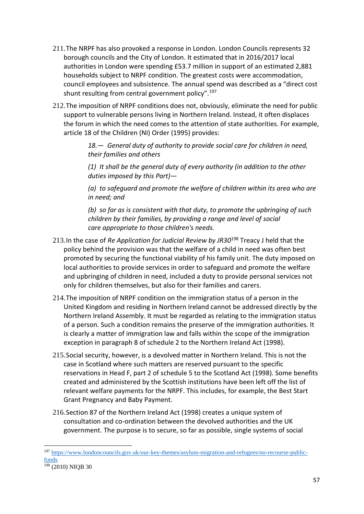- 211.The NRPF has also provoked a response in London. London Councils represents 32 borough councils and the City of London. It estimated that in 2016/2017 local authorities in London were spending £53.7 million in support of an estimated 2,881 households subject to NRPF condition. The greatest costs were accommodation, council employees and subsistence. The annual spend was described as a "direct cost shunt resulting from central government policy".<sup>197</sup>
- 212.The imposition of NRPF conditions does not, obviously, eliminate the need for public support to vulnerable persons living in Northern Ireland. Instead, it often displaces the forum in which the need comes to the attention of state authorities. For example, article 18 of the Children (NI) Order (1995) provides:

*18.— General duty of authority to provide social care for children in need, their families and others*

*(1) It shall be the general duty of every authority (in addition to the other duties imposed by this Part)—*

*(a) to safeguard and promote the welfare of children within its area who are in need; and*

*(b) so far as is consistent with that duty, to promote the upbringing of such children by their families, by providing a range and level of social care appropriate to those children's needs.*

- 213.In the case of *Re Application for Judicial Review by JR30*<sup>198</sup> Treacy J held that the policy behind the provision was that the welfare of a child in need was often best promoted by securing the functional viability of his family unit. The duty imposed on local authorities to provide services in order to safeguard and promote the welfare and upbringing of children in need, included a duty to provide personal services not only for children themselves, but also for their families and carers.
- 214.The imposition of NRPF condition on the immigration status of a person in the United Kingdom and residing in Northern Ireland cannot be addressed directly by the Northern Ireland Assembly. It must be regarded as relating to the immigration status of a person. Such a condition remains the preserve of the immigration authorities. It is clearly a matter of immigration law and falls within the scope of the immigration exception in paragraph 8 of schedule 2 to the Northern Ireland Act (1998).
- 215.Social security, however, is a devolved matter in Northern Ireland. This is not the case in Scotland where such matters are reserved pursuant to the specific reservations in Head F, part 2 of schedule 5 to the Scotland Act (1998). Some benefits created and administered by the Scottish institutions have been left off the list of relevant welfare payments for the NRPF. This includes, for example, the Best Start Grant Pregnancy and Baby Payment.
- 216.Section 87 of the Northern Ireland Act (1998) creates a unique system of consultation and co-ordination between the devolved authorities and the UK government. The purpose is to secure, so far as possible, single systems of social

<sup>197</sup> [https://www.londoncouncils.gov.uk/our-key-themes/asylum-migration-and-refugees/no-recourse-public](https://www.londoncouncils.gov.uk/our-key-themes/asylum-migration-and-refugees/no-recourse-public-funds)[funds](https://www.londoncouncils.gov.uk/our-key-themes/asylum-migration-and-refugees/no-recourse-public-funds)

 $198$  (2010) NIOB 30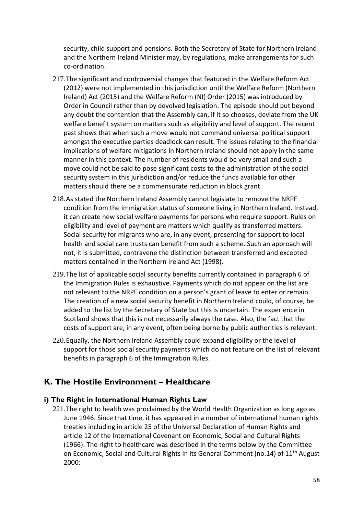security, child support and pensions. Both the Secretary of State for Northern Ireland and the Northern Ireland Minister may, by regulations, make arrangements for such co-ordination.

- 217.The significant and controversial changes that featured in the Welfare Reform Act (2012) were not implemented in this jurisdiction until the Welfare Reform (Northern Ireland) Act (2015) and the Welfare Reform (NI) Order (2015) was introduced by Order in Council rather than by devolved legislation. The episode should put beyond any doubt the contention that the Assembly can, if it so chooses, deviate from the UK welfare benefit system on matters such as eligibility and level of support. The recent past shows that when such a move would not command universal political support amongst the executive parties deadlock can result. The issues relating to the financial implications of welfare mitigations in Northern Ireland should not apply in the same manner in this context. The number of residents would be very small and such a move could not be said to pose significant costs to the administration of the social security system in this jurisdiction and/or reduce the funds available for other matters should there be a commensurate reduction in block grant.
- 218.As stated the Northern Ireland Assembly cannot legislate to remove the NRPF condition from the immigration status of someone living in Northern Ireland. Instead, it can create new social welfare payments for persons who require support. Rules on eligibility and level of payment are matters which qualify as transferred matters. Social security for migrants who are, in any event, presenting for support to local health and social care trusts can benefit from such a scheme. Such an approach will not, it is submitted, contravene the distinction between transferred and excepted matters contained in the Northern Ireland Act (1998).
- 219.The list of applicable social security benefits currently contained in paragraph 6 of the Immigration Rules is exhaustive. Payments which do not appear on the list are not relevant to the NRPF condition on a person's grant of leave to enter or remain. The creation of a new social security benefit in Northern Ireland could, of course, be added to the list by the Secretary of State but this is uncertain. The experience in Scotland shows that this is not necessarily always the case. Also, the fact that the costs of support are, in any event, often being borne by public authorities is relevant.
- 220.Equally, the Northern Ireland Assembly could expand eligibility or the level of support for those social security payments which do not feature on the list of relevant benefits in paragraph 6 of the Immigration Rules.

# **K. The Hostile Environment – Healthcare**

## **i) The Right in International Human Rights Law**

221.The right to health was proclaimed by the World Health Organization as long ago as June 1946. Since that time, it has appeared in a number of international human rights treaties including in article 25 of the Universal Declaration of Human Rights and article 12 of the International Covenant on Economic, Social and Cultural Rights (1966). The right to healthcare was described in the terms below by the Committee on Economic, Social and Cultural Rights in its General Comment (no.14) of 11<sup>th</sup> August 2000: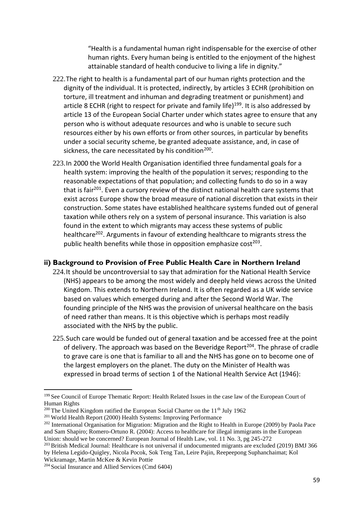"Health is a fundamental human right indispensable for the exercise of other human rights. Every human being is entitled to the enjoyment of the highest attainable standard of health conducive to living a life in dignity."

- 222.The right to health is a fundamental part of our human rights protection and the dignity of the individual. It is protected, indirectly, by articles 3 ECHR (prohibition on torture, ill treatment and inhuman and degrading treatment or punishment) and article 8 ECHR (right to respect for private and family life)<sup>199</sup>. It is also addressed by article 13 of the European Social Charter under which states agree to ensure that any person who is without adequate resources and who is unable to secure such resources either by his own efforts or from other sources, in particular by benefits under a social security scheme, be granted adequate assistance, and, in case of sickness, the care necessitated by his condition<sup>200</sup>.
- 223.In 2000 the World Health Organisation identified three fundamental goals for a health system: improving the health of the population it serves; responding to the reasonable expectations of that population; and collecting funds to do so in a way that is fair<sup>201</sup>. Even a cursory review of the distinct national health care systems that exist across Europe show the broad measure of national discretion that exists in their construction. Some states have established healthcare systems funded out of general taxation while others rely on a system of personal insurance. This variation is also found in the extent to which migrants may access these systems of public healthcare<sup>202</sup>. Arguments in favour of extending healthcare to migrants stress the public health benefits while those in opposition emphasize cost $^{203}$ .

#### **ii) Background to Provision of Free Public Health Care in Northern Ireland**

- 224.It should be uncontroversial to say that admiration for the National Health Service (NHS) appears to be among the most widely and deeply held views across the United Kingdom. This extends to Northern Ireland. It is often regarded as a UK wide service based on values which emerged during and after the Second World War. The founding principle of the NHS was the provision of universal healthcare on the basis of need rather than means. It is this objective which is perhaps most readily associated with the NHS by the public.
- 225. Such care would be funded out of general taxation and be accessed free at the point of delivery. The approach was based on the Beveridge Report<sup>204</sup>. The phrase of cradle to grave care is one that is familiar to all and the NHS has gone on to become one of the largest employers on the planet. The duty on the Minister of Health was expressed in broad terms of section 1 of the National Health Service Act (1946):

<sup>&</sup>lt;sup>199</sup> See Council of Europe Thematic Report: Health Related Issues in the case law of the European Court of Human Rights

<sup>&</sup>lt;sup>200</sup> The United Kingdom ratified the European Social Charter on the  $11<sup>th</sup>$  July 1962

<sup>&</sup>lt;sup>201</sup> World Health Report (2000) Health Systems: Improving Performance

<sup>&</sup>lt;sup>202</sup> International Organisation for Migration: Migration and the Right to Health in Europe (2009) by Paola Pace and Sam Shapiro; Romero-Ortuno R. (2004): Access to healthcare for illegal immigrants in the European Union: should we be concerned? European Journal of Health Law, vol. 11 No. 3, pg 245-272

<sup>&</sup>lt;sup>203</sup> British Medical Journal: Healthcare is not universal if undocumented migrants are excluded (2019) BMJ 366 by Helena Legido-Quigley, Nicola Pocok, Sok Teng Tan, Leire Pajin, Reepeepong Suphanchaimat; Kol Wickramage, Martin McKee & Kevin Pottie

<sup>204</sup> Social Insurance and Allied Services (Cmd 6404)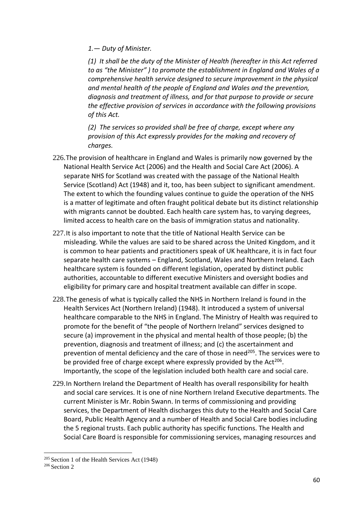*1.— Duty of Minister.*

*(1) It shall be the duty of the Minister of Health (hereafter in this Act referred to as "the Minister" ) to promote the establishment in England and Wales of a comprehensive health service designed to secure improvement in the physical and mental health of the people of England and Wales and the prevention, diagnosis and treatment of illness, and for that purpose to provide or secure the effective provision of services in accordance with the following provisions of this Act.*

*(2) The services so provided shall be free of charge, except where any provision of this Act expressly provides for the making and recovery of charges.*

- 226.The provision of healthcare in England and Wales is primarily now governed by the National Health Service Act (2006) and the Health and Social Care Act (2006). A separate NHS for Scotland was created with the passage of the National Health Service (Scotland) Act (1948) and it, too, has been subject to significant amendment. The extent to which the founding values continue to guide the operation of the NHS is a matter of legitimate and often fraught political debate but its distinct relationship with migrants cannot be doubted. Each health care system has, to varying degrees, limited access to health care on the basis of immigration status and nationality.
- 227.It is also important to note that the title of National Health Service can be misleading. While the values are said to be shared across the United Kingdom, and it is common to hear patients and practitioners speak of UK healthcare, it is in fact four separate health care systems – England, Scotland, Wales and Northern Ireland. Each healthcare system is founded on different legislation, operated by distinct public authorities, accountable to different executive Ministers and oversight bodies and eligibility for primary care and hospital treatment available can differ in scope.
- 228.The genesis of what is typically called the NHS in Northern Ireland is found in the Health Services Act (Northern Ireland) (1948). It introduced a system of universal healthcare comparable to the NHS in England. The Ministry of Health was required to promote for the benefit of "the people of Northern Ireland" services designed to secure (a) improvement in the physical and mental health of those people; (b) the prevention, diagnosis and treatment of illness; and (c) the ascertainment and prevention of mental deficiency and the care of those in need<sup>205</sup>. The services were to be provided free of charge except where expressly provided by the Act<sup>206</sup>. Importantly, the scope of the legislation included both health care and social care.
- 229.In Northern Ireland the Department of Health has overall responsibility for health and social care services. It is one of nine Northern Ireland Executive departments. The current Minister is Mr. Robin Swann. In terms of commissioning and providing services, the Department of Health discharges this duty to the Health and Social Care Board, Public Health Agency and a number of Health and Social Care bodies including the 5 regional trusts. Each public authority has specific functions. The Health and Social Care Board is responsible for commissioning services, managing resources and

<sup>205</sup> Section 1 of the Health Services Act (1948)

<sup>206</sup> Section 2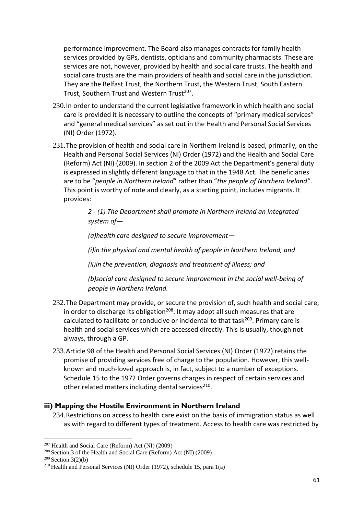performance improvement. The Board also manages contracts for family health services provided by GPs, dentists, opticians and community pharmacists. These are services are not, however, provided by health and social care trusts. The health and social care trusts are the main providers of health and social care in the jurisdiction. They are the Belfast Trust, the Northern Trust, the Western Trust, South Eastern Trust, Southern Trust and Western Trust<sup>207</sup>.

- 230.In order to understand the current legislative framework in which health and social care is provided it is necessary to outline the concepts of "primary medical services" and "general medical services" as set out in the Health and Personal Social Services (NI) Order (1972).
- 231.The provision of health and social care in Northern Ireland is based, primarily, on the Health and Personal Social Services (NI) Order (1972) and the Health and Social Care (Reform) Act (NI) (2009). In section 2 of the 2009 Act the Department's general duty is expressed in slightly different language to that in the 1948 Act. The beneficiaries are to be "*people in Northern Ireland*" rather than "*the people of Northern Ireland"*. This point is worthy of note and clearly, as a starting point, includes migrants. It provides:

*2 - (1) The Department shall promote in Northern Ireland an integrated system of—*

*(a)health care designed to secure improvement—*

*(i)in the physical and mental health of people in Northern Ireland, and*

*(ii)in the prevention, diagnosis and treatment of illness; and*

*(b)social care designed to secure improvement in the social well-being of people in Northern Ireland.*

- 232.The Department may provide, or secure the provision of, such health and social care, in order to discharge its obligation<sup>208</sup>. It may adopt all such measures that are calculated to facilitate or conducive or incidental to that task<sup>209</sup>. Primary care is health and social services which are accessed directly. This is usually, though not always, through a GP.
- 233.Article 98 of the Health and Personal Social Services (NI) Order (1972) retains the promise of providing services free of charge to the population. However, this wellknown and much-loved approach is, in fact, subject to a number of exceptions. Schedule 15 to the 1972 Order governs charges in respect of certain services and other related matters including dental services<sup>210</sup>.

## **iii) Mapping the Hostile Environment in Northern Ireland**

234.Restrictions on access to health care exist on the basis of immigration status as well as with regard to different types of treatment. Access to health care was restricted by

<sup>207</sup> Health and Social Care (Reform) Act (NI) (2009)

<sup>208</sup> Section 3 of the Health and Social Care (Reform) Act (NI) (2009)

 $209$  Section 3(2)(b)

<sup>210</sup> Health and Personal Services (NI) Order (1972), schedule 15, para 1(a)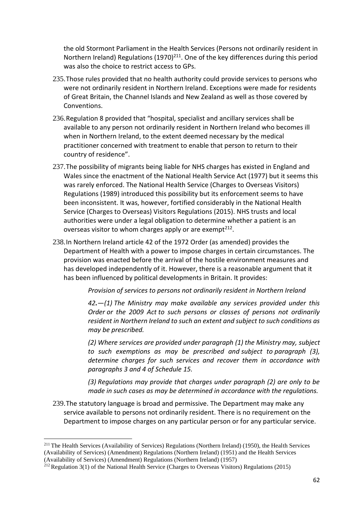the old Stormont Parliament in the Health Services (Persons not ordinarily resident in Northern Ireland) Regulations (1970)<sup>211</sup>. One of the key differences during this period was also the choice to restrict access to GPs.

- 235.Those rules provided that no health authority could provide services to persons who were not ordinarily resident in Northern Ireland. Exceptions were made for residents of Great Britain, the Channel Islands and New Zealand as well as those covered by Conventions.
- 236.Regulation 8 provided that "hospital, specialist and ancillary services shall be available to any person not ordinarily resident in Northern Ireland who becomes ill when in Northern Ireland, to the extent deemed necessary by the medical practitioner concerned with treatment to enable that person to return to their country of residence".
- 237.The possibility of migrants being liable for NHS charges has existed in England and Wales since the enactment of the National Health Service Act (1977) but it seems this was rarely enforced. The National Health Service (Charges to Overseas Visitors) Regulations (1989) introduced this possibility but its enforcement seems to have been inconsistent. It was, however, fortified considerably in the National Health Service (Charges to Overseas) Visitors Regulations (2015). NHS trusts and local authorities were under a legal obligation to determine whether a patient is an overseas visitor to whom charges apply or are exempt<sup>212</sup>.
- 238.In Northern Ireland article 42 of the 1972 Order (as amended) provides the Department of Health with a power to impose charges in certain circumstances. The provision was enacted before the arrival of the hostile environment measures and has developed independently of it. However, there is a reasonable argument that it has been influenced by political developments in Britain. It provides:

*Provision of services to persons not ordinarily resident in Northern Ireland*

*42.—(1) The Ministry may make available any services provided under this Order or the 2009 Act to such persons or classes of persons not ordinarily resident in Northern Ireland to such an extent and subject to such conditions as may be prescribed.*

*(2) Where services are provided under paragraph (1) the Ministry may, subject to such exemptions as may be prescribed and subject to paragraph (3), determine charges for such services and recover them in accordance with paragraphs 3 and 4 of Schedule 15.*

*(3) Regulations may provide that charges under paragraph (2) are only to be made in such cases as may be determined in accordance with the regulations.*

239.The statutory language is broad and permissive. The Department may make any service available to persons not ordinarily resident. There is no requirement on the Department to impose charges on any particular person or for any particular service.

<sup>&</sup>lt;sup>211</sup> The Health Services (Availability of Services) Regulations (Northern Ireland) (1950), the Health Services (Availability of Services) (Amendment) Regulations (Northern Ireland) (1951) and the Health Services (Availability of Services) (Amendment) Regulations (Northern Ireland) (1957)

<sup>212</sup> Regulation 3(1) of the National Health Service (Charges to Overseas Visitors) Regulations (2015)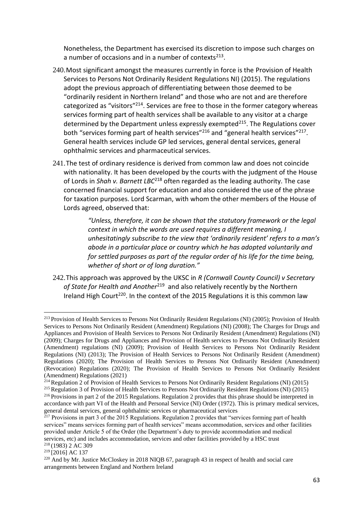Nonetheless, the Department has exercised its discretion to impose such charges on a number of occasions and in a number of contexts $213$ .

- 240.Most significant amongst the measures currently in force is the Provision of Health Services to Persons Not Ordinarily Resident Regulations NI) (2015). The regulations adopt the previous approach of differentiating between those deemed to be "ordinarily resident in Northern Ireland" and those who are not and are therefore categorized as "visitors"<sup>214</sup>. Services are free to those in the former category whereas services forming part of health services shall be available to any visitor at a charge determined by the Department unless expressly exempted $^{215}$ . The Regulations cover both "services forming part of health services"<sup>216</sup> and "general health services"<sup>217</sup>. General health services include GP led services, general dental services, general ophthalmic services and pharmaceutical services.
- 241.The test of ordinary residence is derived from common law and does not coincide with nationality. It has been developed by the courts with the judgment of the House of Lords in *Shah v. Barnett LBC*<sup>218</sup> often regarded as the leading authority. The case concerned financial support for education and also considered the use of the phrase for taxation purposes. Lord Scarman, with whom the other members of the House of Lords agreed, observed that:

*"Unless, therefore, it can be shown that the statutory framework or the legal context in which the words are used requires a different meaning, I unhesitatingly subscribe to the view that 'ordinarily resident' refers to a man's abode in a particular place or country which he has adopted voluntarily and for settled purposes as part of the regular order of his life for the time being, whether of short or of long duration."*

242.This approach was approved by the UKSC in *R (Cornwall County Council) v Secretary*  of State for Health and Another<sup>219</sup> and also relatively recently by the Northern Ireland High Court<sup>220</sup>. In the context of the 2015 Regulations it is this common law

<sup>&</sup>lt;sup>213</sup> Provision of Health Services to Persons Not Ordinarily Resident Regulations (NI) (2005); Provision of Health Services to Persons Not Ordinarily Resident (Amendment) Regulations (NI) (2008); The Charges for Drugs and Appliances and Provision of Health Services to Persons Not Ordinarily Resident (Amendment) Regulations (NI) (2009); Charges for Drugs and Appliances and Provision of Health services to Persons Not Ordinarily Resident (Amendment) regulations (NI) (2009); Provision of Health Services to Persons Not Ordinarily Resident Regulations (NI) (2013); The Provision of Health Services to Persons Not Ordinarily Resident (Amendment) Regulations (2020); The Provision of Health Services to Persons Not Ordinarily Resident (Amendment) (Revocation) Regulations (2020); The Provision of Health Services to Persons Not Ordinarily Resident (Amendment) Regulations (2021)

<sup>214</sup> Regulation 2 of Provision of Health Services to Persons Not Ordinarily Resident Regulations (NI) (2015)

<sup>215</sup> Regulation 3 of Provision of Health Services to Persons Not Ordinarily Resident Regulations (NI) (2015)

<sup>&</sup>lt;sup>216</sup> Provisions in part 2 of the 2015 Regulations. Regulation 2 provides that this phrase should be interpreted in accordance with part VI of the Health and Personal Service (NI) Order (1972). This is primary medical services, general dental services, general ophthalmic services or pharmaceutical services

 $^{217}$  Provisions in part 3 of the 2015 Regulations. Regulation 2 provides that "services forming part of health services" means services forming part of health services" means accommodation, services and other facilities provided under Article 5 of the Order (the Department's duty to provide accommodation and medical services, etc) and includes accommodation, services and other facilities provided by a HSC trust <sup>218</sup> (1983) 2 AC 309

<sup>&</sup>lt;sup>219</sup> [2016] AC 137

<sup>&</sup>lt;sup>220</sup> And by Mr. Justice McCloskey in 2018 NIQB 67, paragraph 43 in respect of health and social care arrangements between England and Northern Ireland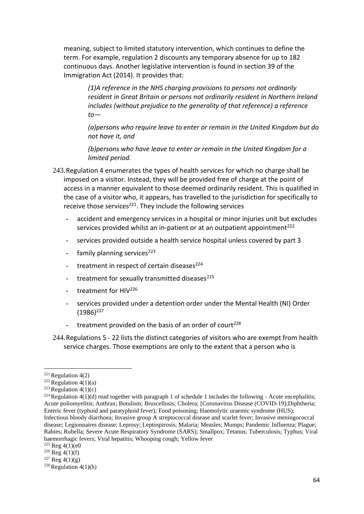meaning, subject to limited statutory intervention, which continues to define the term. For example, regulation 2 discounts any temporary absence for up to 182 continuous days. Another legislative intervention is found in section 39 of the Immigration Act (2014). It provides that:

> *(1)A reference in the NHS charging provisions to persons not ordinarily resident in Great Britain or persons not ordinarily resident in Northern Ireland includes (without prejudice to the generality of that reference) a reference to—*

> *(a)persons who require leave to enter or remain in the United Kingdom but do not have it, and*

*(b)persons who have leave to enter or remain in the United Kingdom for a limited period.*

- 243.Regulation 4 enumerates the types of health services for which no charge shall be imposed on a visitor. Instead, they will be provided free of charge at the point of access in a manner equivalent to those deemed ordinarily resident. This is qualified in the case of a visitor who, it appears, has travelled to the jurisdiction for specifically to receive those services<sup>221</sup>. They include the following services
	- accident and emergency services in a hospital or minor injuries unit but excludes services provided whilst an in-patient or at an outpatient appointment<sup>222</sup>
	- services provided outside a health service hospital unless covered by part 3
	- family planning services $223$
	- treatment in respect of certain diseases<sup>224</sup>
	- treatment for sexually transmitted diseases<sup>225</sup>
	- treatment for  $HIV^{226}$
	- services provided under a detention order under the Mental Health (NI) Order  $(1986)^{227}$
	- treatment provided on the basis of an order of court<sup>228</sup>

<sup>244.</sup>Regulations 5 - 22 lists the distinct categories of visitors who are exempt from health service charges. Those exemptions are only to the extent that a person who is

 $221$  Regulation 4(2)

<sup>&</sup>lt;sup>222</sup> Regulation  $4(1)(a)$ 

<sup>&</sup>lt;sup>223</sup> Regulation  $4(1)(c)$ 

<sup>&</sup>lt;sup>224</sup> Regulation 4(1)(d) read together with paragraph 1 of schedule 1 includes the following - Acute encephalitis; Acute poliomyelitis; Anthrax; Botulism; Bruscellosis; Cholera; [Coronavirus Disease (COVID-19);Diphtheria; Enteric fever (typhoid and paratyphoid fever); Food poisoning; Haemolytic uraemic syndrome (HUS); Infectious bloody diarrhoea; Invasive group A streptococcal disease and scarlet fever; Invasive meningococcal

disease; Legionnaires disease; Leprosy; Leptospirosis; Malaria; Measles; Mumps; Pandemic Influenza; Plague; Rabies; Rubella; Severe Acute Respiratory Syndrome (SARS); Smallpox; Tetanus; Tuberculosis; Typhus; Viral haemorrhagic fevers; Viral hepatitis; Whooping cough; Yellow fever

 $225$  Reg  $4(1)(e)$ 

 $226$  Reg 4(1)(f)

 $227$  Reg 4(1)(g)

<sup>&</sup>lt;sup>228</sup> Regulation  $4(1)(h)$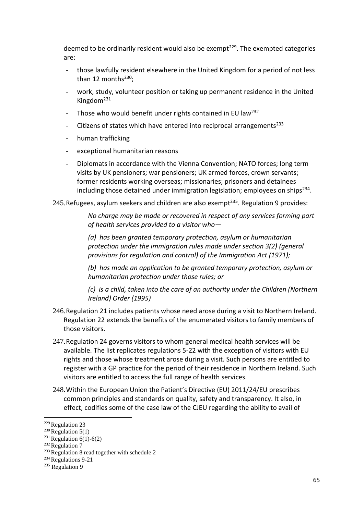deemed to be ordinarily resident would also be exempt<sup>229</sup>. The exempted categories are:

- those lawfully resident elsewhere in the United Kingdom for a period of not less than 12 months $^{230}$ :
- work, study, volunteer position or taking up permanent residence in the United Kingdom<sup>231</sup>
- Those who would benefit under rights contained in EU law<sup>232</sup>
- Citizens of states which have entered into reciprocal arrangements $^{233}$
- human trafficking
- exceptional humanitarian reasons
- Diplomats in accordance with the Vienna Convention; NATO forces; long term visits by UK pensioners; war pensioners; UK armed forces, crown servants; former residents working overseas; missionaries; prisoners and detainees including those detained under immigration legislation; employees on ships<sup>234</sup>.

245. Refugees, asylum seekers and children are also exempt<sup>235</sup>. Regulation 9 provides:

*No charge may be made or recovered in respect of any services forming part of health services provided to a visitor who—*

*(a) has been granted temporary protection, asylum or humanitarian protection under the immigration rules made under section 3(2) (general provisions for regulation and control) of the Immigration Act (1971);*

*(b) has made an application to be granted temporary protection, asylum or humanitarian protection under those rules; or*

*(c) is a child, taken into the care of an authority under the Children (Northern Ireland) Order (1995)* 

- 246.Regulation 21 includes patients whose need arose during a visit to Northern Ireland. Regulation 22 extends the benefits of the enumerated visitors to family members of those visitors.
- 247.Regulation 24 governs visitors to whom general medical health services will be available. The list replicates regulations 5-22 with the exception of visitors with EU rights and those whose treatment arose during a visit. Such persons are entitled to register with a GP practice for the period of their residence in Northern Ireland. Such visitors are entitled to access the full range of health services.
- 248.Within the European Union the Patient's Directive (EU) 2011/24/EU prescribes common principles and standards on quality, safety and transparency. It also, in effect, codifies some of the case law of the CJEU regarding the ability to avail of

<sup>229</sup> Regulation 23

<sup>&</sup>lt;sup>230</sup> Regulation  $5(1)$ 

<sup>&</sup>lt;sup>231</sup> Regulation  $6(1)$ -6(2)

 $232$  Regulation 7

<sup>&</sup>lt;sup>233</sup> Regulation 8 read together with schedule 2

<sup>234</sup> Regulations 9-21

<sup>&</sup>lt;sup>235</sup> Regulation 9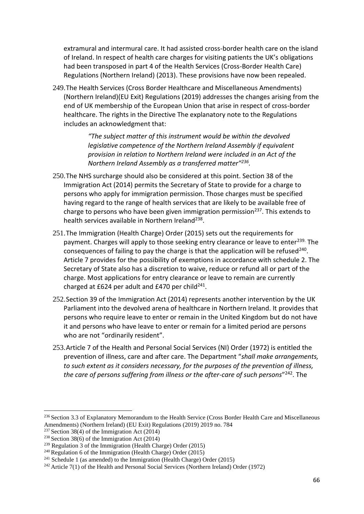extramural and intermural care. It had assisted cross-border health care on the island of Ireland. In respect of health care charges for visiting patients the UK's obligations had been transposed in part 4 of the Health Services (Cross-Border Health Care) Regulations (Northern Ireland) (2013). These provisions have now been repealed.

249.The Health Services (Cross Border Healthcare and Miscellaneous Amendments) (Northern Ireland)(EU Exit) Regulations (2019) addresses the changes arising from the end of UK membership of the European Union that arise in respect of cross-border healthcare. The rights in the Directive The explanatory note to the Regulations includes an acknowledgment that:

> *"The subject matter of this instrument would be within the devolved legislative competence of the Northern Ireland Assembly if equivalent provision in relation to Northern Ireland were included in an Act of the Northern Ireland Assembly as a transferred matter"<sup>236</sup> .*

- 250.The NHS surcharge should also be considered at this point. Section 38 of the Immigration Act (2014) permits the Secretary of State to provide for a charge to persons who apply for immigration permission. Those charges must be specified having regard to the range of health services that are likely to be available free of charge to persons who have been given immigration permission<sup>237</sup>. This extends to health services available in Northern Ireland<sup>238</sup>.
- 251.The Immigration (Health Charge) Order (2015) sets out the requirements for payment. Charges will apply to those seeking entry clearance or leave to enter<sup>239.</sup> The consequences of failing to pay the charge is that the application will be refused<sup>240</sup>. Article 7 provides for the possibility of exemptions in accordance with schedule 2. The Secretary of State also has a discretion to waive, reduce or refund all or part of the charge. Most applications for entry clearance or leave to remain are currently charged at £624 per adult and £470 per child $^{241}$ .
- 252.Section 39 of the Immigration Act (2014) represents another intervention by the UK Parliament into the devolved arena of healthcare in Northern Ireland. It provides that persons who require leave to enter or remain in the United Kingdom but do not have it and persons who have leave to enter or remain for a limited period are persons who are not "ordinarily resident".
- 253.Article 7 of the Health and Personal Social Services (NI) Order (1972) is entitled the prevention of illness, care and after care. The Department "*shall make arrangements, to such extent as it considers necessary, for the purposes of the prevention of illness, the care of persons suffering from illness or the after-care of such persons*" <sup>242</sup>. The

<sup>&</sup>lt;sup>236</sup> Section 3.3 of Explanatory Memorandum to the Health Service (Cross Border Health Care and Miscellaneous Amendments) (Northern Ireland) (EU Exit) Regulations (2019) 2019 no. 784

<sup>&</sup>lt;sup>237</sup> Section 38(4) of the Immigration Act (2014)

<sup>&</sup>lt;sup>238</sup> Section 38(6) of the Immigration Act  $(2014)$ 

<sup>&</sup>lt;sup>239</sup> Regulation  $\overline{3}$  of the Immigration (Health Charge) Order (2015)

<sup>&</sup>lt;sup>240</sup> Regulation 6 of the Immigration (Health Charge) Order (2015)

<sup>&</sup>lt;sup>241</sup> Schedule 1 (as amended) to the Immigration (Health Charge) Order (2015)

 $242$  Article 7(1) of the Health and Personal Social Services (Northern Ireland) Order (1972)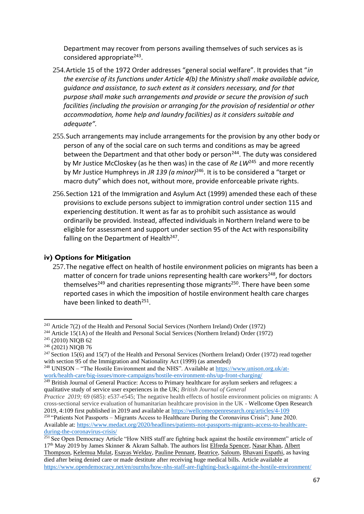Department may recover from persons availing themselves of such services as is considered appropriate<sup>243</sup>.

- 254.Article 15 of the 1972 Order addresses "general social welfare". It provides that "*in the exercise of its functions under Article 4(b) the Ministry shall make available advice, guidance and assistance, to such extent as it considers necessary, and for that purpose shall make such arrangements and provide or secure the provision of such facilities (including the provision or arranging for the provision of residential or other accommodation, home help and laundry facilities) as it considers suitable and adequate".*
- 255.Such arrangements may include arrangements for the provision by any other body or person of any of the social care on such terms and conditions as may be agreed between the Department and that other body or person<sup>244</sup>. The duty was considered by Mr Justice McCloskey (as he then was) in the case of *Re LW*<sup>245</sup> and more recently by Mr Justice Humphreys in *JR 139 (a minor)*<sup>246</sup>. It is to be considered a "target or macro duty" which does not, without more, provide enforceable private rights.
- 256.Section 121 of the Immigration and Asylum Act (1999) amended these each of these provisions to exclude persons subject to immigration control under section 115 and experiencing destitution. It went as far as to prohibit such assistance as would ordinarily be provided. Instead, affected individuals in Northern Ireland were to be eligible for assessment and support under section 95 of the Act with responsibility falling on the Department of Health<sup>247</sup>.

## **iv) Options for Mitigation**

257.The negative effect on health of hostile environment policies on migrants has been a matter of concern for trade unions representing health care workers<sup>248</sup>, for doctors themselves<sup>249</sup> and charities representing those migrants<sup>250</sup>. There have been some reported cases in which the imposition of hostile environment health care charges have been linked to death<sup>251</sup>.

<sup>&</sup>lt;sup>243</sup> Article 7(2) of the Health and Personal Social Services (Northern Ireland) Order (1972)

<sup>&</sup>lt;sup>244</sup> Article 15(1A) of the Health and Personal Social Services (Northern Ireland) Order (1972)

<sup>245</sup> (2010) NIQB 62

<sup>246</sup> (2021) NIQB 76

 $247$  Section 15(6) and 15(7) of the Health and Personal Services (Northern Ireland) Order (1972) read together with section 95 of the Immigration and Nationality Act (1999) (as amended)

<sup>248</sup> UNISON – "The Hostile Environment and the NHS". Available at [https://www.unison.org.uk/at](https://www.unison.org.uk/at-work/health-care/big-issues/more-campaigns/hostile-environment-nhs/up-front-charging/)[work/health-care/big-issues/more-campaigns/hostile-environment-nhs/up-front-charging/](https://www.unison.org.uk/at-work/health-care/big-issues/more-campaigns/hostile-environment-nhs/up-front-charging/)

<sup>&</sup>lt;sup>249</sup> British Journal of General Practice: Access to Primary healthcare for asylum seekers and refugees: a qualitative study of service user experiences in the UK; *British Journal of General*

*Practice 2019;* 69 (685): e537-e545; The negative health effects of hostile environment policies on migrants: A cross-sectional service evaluation of humanitarian healthcare provision in the UK - Wellcome Open Research 2019, 4:109 first published in 2019 and available at<https://wellcomeopenresearch.org/articles/4-109>

<sup>250</sup> "Patients Not Passports – Migrants Access to Healthcare During the Coronavirus Crisis"; June 2020. Available at: [https://www.medact.org/2020/headlines/patients-not-passports-migrants-access-to-healthcare](https://www.medact.org/2020/headlines/patients-not-passports-migrants-access-to-healthcare-during-the-coronavirus-crisis/)[during-the-coronavirus-crisis/](https://www.medact.org/2020/headlines/patients-not-passports-migrants-access-to-healthcare-during-the-coronavirus-crisis/)

<sup>&</sup>lt;sup>251</sup> See Open Democracy Article "How NHS staff are fighting back against the hostile environment" article of 17th May 2019 by James Skinner & Akram Salhab. The authors list [Elfreda Spencer,](https://www.theguardian.com/society/2018/nov/13/cancer-patient-died-after-nhs-demanded-30000-for-treatment) [Nasar Khan,](https://www.independent.co.uk/news/uk/home-news/man-dying-heart-failure-home-office-hostile-environment-immigration-pakistan-theresa-may-visa-a8734511.html) [Albert](https://www.theguardian.com/uk-news/2018/apr/19/windrush-albert-thompson-cancer-treatment-theresa-may)  [Thompson,](https://www.theguardian.com/uk-news/2018/apr/19/windrush-albert-thompson-cancer-treatment-theresa-may) [Kelemua Mulat,](https://www.theguardian.com/uk-news/2018/jun/07/home-office-prevented-asylum-seekers-urgent-cancer-treatment) [Esayas Welday,](https://www.theguardian.com/society/2019/jan/21/i-thought-they-were-killing-me-nhs-trust-stops-asylum-seekers-cancer-treatment) [Pauline Pennant,](https://www.theguardian.com/uk-news/2018/may/23/go-die-not-interested-windrush-citizen-feels-neglected-by-britain) [Beatrice,](https://inews.co.uk/news/health/nhs-migrant-charges/) [Saloum,](https://www.theguardian.com/society/2019/feb/08/anti-fgm-campaigner-denied-nhs-cancer-care) [Bhavani Espathi,](https://www.independent.co.uk/news/uk/home-news/uk-immigration-deportation-woman-coma-home-office-crohns-disease-bhavani-espathi-a8903271.html) as having died after being denied care or made destitute after receiving huge medical bills. Article available at <https://www.opendemocracy.net/en/ournhs/how-nhs-staff-are-fighting-back-against-the-hostile-environment/>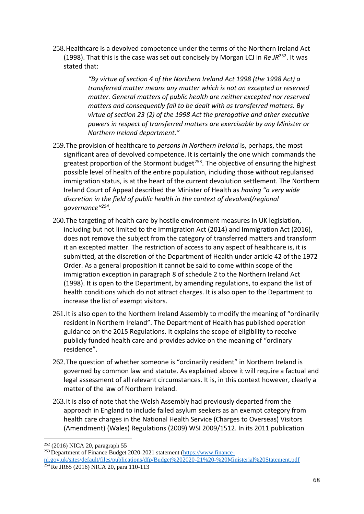258.Healthcare is a devolved competence under the terms of the Northern Ireland Act (1998). That this is the case was set out concisely by Morgan LCJ in *Re JR*<sup>252</sup>. It was stated that:

> *"By virtue of section 4 of the Northern Ireland Act 1998 (the 1998 Act) a transferred matter means any matter which is not an excepted or reserved matter. General matters of public health are neither excepted nor reserved matters and consequently fall to be dealt with as transferred matters. By virtue of section 23 (2) of the 1998 Act the prerogative and other executive powers in respect of transferred matters are exercisable by any Minister or Northern Ireland department."*

- 259.The provision of healthcare to *persons in Northern Ireland* is, perhaps, the most significant area of devolved competence. It is certainly the one which commands the greatest proportion of the Stormont budget<sup>253</sup>. The objective of ensuring the highest possible level of health of the entire population, including those without regularised immigration status, is at the heart of the current devolution settlement. The Northern Ireland Court of Appeal described the Minister of Health as *having "a very wide discretion in the field of public health in the context of devolved/regional governance"<sup>254</sup> .*
- 260.The targeting of health care by hostile environment measures in UK legislation, including but not limited to the Immigration Act (2014) and Immigration Act (2016), does not remove the subject from the category of transferred matters and transform it an excepted matter. The restriction of access to any aspect of healthcare is, it is submitted, at the discretion of the Department of Health under article 42 of the 1972 Order. As a general proposition it cannot be said to come within scope of the immigration exception in paragraph 8 of schedule 2 to the Northern Ireland Act (1998). It is open to the Department, by amending regulations, to expand the list of health conditions which do not attract charges. It is also open to the Department to increase the list of exempt visitors.
- 261.It is also open to the Northern Ireland Assembly to modify the meaning of "ordinarily resident in Northern Ireland". The Department of Health has published operation guidance on the 2015 Regulations. It explains the scope of eligibility to receive publicly funded health care and provides advice on the meaning of "ordinary residence".
- 262.The question of whether someone is "ordinarily resident" in Northern Ireland is governed by common law and statute. As explained above it will require a factual and legal assessment of all relevant circumstances. It is, in this context however, clearly a matter of the law of Northern Ireland.
- 263.It is also of note that the Welsh Assembly had previously departed from the approach in England to include failed asylum seekers as an exempt category from health care charges in the National Health Service (Charges to Overseas) Visitors (Amendment) (Wales) Regulations (2009) WSI 2009/1512. In its 2011 publication

<sup>252</sup> (2016) NICA 20, paragraph 55

 $^{253}$  Department of Finance Budget 2020-2021 statement [\(https://www.finance-](https://www.finance-ni.gov.uk/sites/default/files/publications/dfp/Budget%202020-21%20-%20Ministerial%20Statement.pdf)

[ni.gov.uk/sites/default/files/publications/dfp/Budget%202020-21%20-%20Ministerial%20Statement.pdf](https://www.finance-ni.gov.uk/sites/default/files/publications/dfp/Budget%202020-21%20-%20Ministerial%20Statement.pdf)  $254$  Re JR65 (2016) NICA 20, para 110-113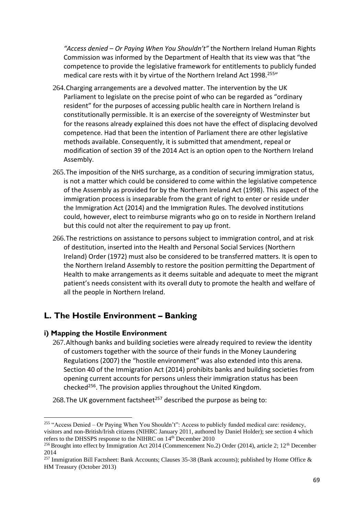*"Access denied – Or Paying When You Shouldn't"* the Northern Ireland Human Rights Commission was informed by the Department of Health that its view was that "the competence to provide the legislative framework for entitlements to publicly funded medical care rests with it by virtue of the Northern Ireland Act 1998.<sup>255</sup>

- 264.Charging arrangements are a devolved matter. The intervention by the UK Parliament to legislate on the precise point of who can be regarded as "ordinary resident" for the purposes of accessing public health care in Northern Ireland is constitutionally permissible. It is an exercise of the sovereignty of Westminster but for the reasons already explained this does not have the effect of displacing devolved competence. Had that been the intention of Parliament there are other legislative methods available. Consequently, it is submitted that amendment, repeal or modification of section 39 of the 2014 Act is an option open to the Northern Ireland Assembly.
- 265.The imposition of the NHS surcharge, as a condition of securing immigration status, is not a matter which could be considered to come within the legislative competence of the Assembly as provided for by the Northern Ireland Act (1998). This aspect of the immigration process is inseparable from the grant of right to enter or reside under the Immigration Act (2014) and the Immigration Rules. The devolved institutions could, however, elect to reimburse migrants who go on to reside in Northern Ireland but this could not alter the requirement to pay up front.
- 266.The restrictions on assistance to persons subject to immigration control, and at risk of destitution, inserted into the Health and Personal Social Services (Northern Ireland) Order (1972) must also be considered to be transferred matters. It is open to the Northern Ireland Assembly to restore the position permitting the Department of Health to make arrangements as it deems suitable and adequate to meet the migrant patient's needs consistent with its overall duty to promote the health and welfare of all the people in Northern Ireland.

# **L. The Hostile Environment – Banking**

#### **i) Mapping the Hostile Environment**

267.Although banks and building societies were already required to review the identity of customers together with the source of their funds in the Money Laundering Regulations (2007) the "hostile environment" was also extended into this arena. Section 40 of the Immigration Act (2014) prohibits banks and building societies from opening current accounts for persons unless their immigration status has been checked<sup>256</sup>. The provision applies throughout the United Kingdom.

268. The UK government factsheet<sup>257</sup> described the purpose as being to:

<sup>255</sup> "Access Denied – Or Paying When You Shouldn't": Access to publicly funded medical care: residency, visitors and non-British/Irish citizens (NIHRC January 2011, authored by Daniel Holder); see section 4 which refers to the DHSSPS response to the NIHRC on 14<sup>th</sup> December 2010

<sup>&</sup>lt;sup>256</sup> Brought into effect by Immigration Act 2014 (Commencement No.2) Order (2014), article 2; 12<sup>th</sup> December 2014

<sup>&</sup>lt;sup>257</sup> Immigration Bill Factsheet: Bank Accounts; Clauses 35-38 (Bank accounts); published by Home Office & HM Treasury (October 2013)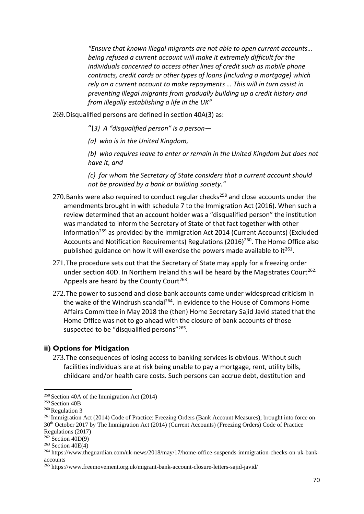*"Ensure that known illegal migrants are not able to open current accounts… being refused a current account will make it extremely difficult for the individuals concerned to access other lines of credit such as mobile phone contracts, credit cards or other types of loans (including a mortgage) which rely on a current account to make repayments … This will in turn assist in preventing illegal migrants from gradually building up a credit history and from illegally establishing a life in the UK"*

269.Disqualified persons are defined in section 40A(3) as:

"(*3) A "disqualified person" is a person—*

*(a) who is in the United Kingdom,*

*(b) who requires leave to enter or remain in the United Kingdom but does not have it, and*

*(c) for whom the Secretary of State considers that a current account should not be provided by a bank or building society."*

- 270. Banks were also required to conduct regular checks<sup>258</sup> and close accounts under the amendments brought in with schedule 7 to the Immigration Act (2016). When such a review determined that an account holder was a "disqualified person" the institution was mandated to inform the Secretary of State of that fact together with other information<sup>259</sup> as provided by the Immigration Act 2014 (Current Accounts) (Excluded Accounts and Notification Requirements) Regulations (2016)<sup>260</sup>. The Home Office also published guidance on how it will exercise the powers made available to it<sup>261</sup>.
- 271.The procedure sets out that the Secretary of State may apply for a freezing order under section 40D. In Northern Ireland this will be heard by the Magistrates Court<sup>262.</sup> Appeals are heard by the County Court<sup>263</sup>.
- 272.The power to suspend and close bank accounts came under widespread criticism in the wake of the Windrush scandal<sup>264</sup>. In evidence to the House of Commons Home Affairs Committee in May 2018 the (then) Home Secretary Sajid Javid stated that the Home Office was not to go ahead with the closure of bank accounts of those suspected to be "disqualified persons"<sup>265</sup>.

#### **ii) Options for Mitigation**

273.The consequences of losing access to banking services is obvious. Without such facilities individuals are at risk being unable to pay a mortgage, rent, utility bills, childcare and/or health care costs. Such persons can accrue debt, destitution and

<sup>258</sup> Section 40A of the Immigration Act (2014)

<sup>259</sup> Section 40B

<sup>260</sup> Regulation 3

<sup>261</sup> Immigration Act (2014) Code of Practice: Freezing Orders (Bank Account Measures); brought into force on 30th October 2017 by The Immigration Act (2014) (Current Accounts) (Freezing Orders) Code of Practice Regulations (2017)

 $262$  Section  $40D(9)$ 

 $263$  Section  $40E(4)$ 

<sup>264</sup> https://www.theguardian.com/uk-news/2018/may/17/home-office-suspends-immigration-checks-on-uk-bankaccounts

<sup>265</sup> https://www.freemovement.org.uk/migrant-bank-account-closure-letters-sajid-javid/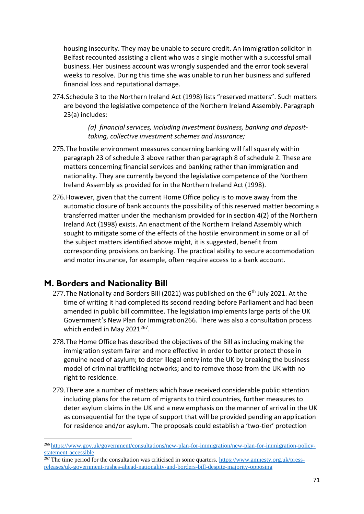housing insecurity. They may be unable to secure credit. An immigration solicitor in Belfast recounted assisting a client who was a single mother with a successful small business. Her business account was wrongly suspended and the error took several weeks to resolve. During this time she was unable to run her business and suffered financial loss and reputational damage.

274.Schedule 3 to the Northern Ireland Act (1998) lists "reserved matters". Such matters are beyond the legislative competence of the Northern Ireland Assembly. Paragraph 23(a) includes:

> *(a) financial services, including investment business, banking and deposittaking, collective investment schemes and insurance;*

- 275.The hostile environment measures concerning banking will fall squarely within paragraph 23 of schedule 3 above rather than paragraph 8 of schedule 2. These are matters concerning financial services and banking rather than immigration and nationality. They are currently beyond the legislative competence of the Northern Ireland Assembly as provided for in the Northern Ireland Act (1998).
- 276.However, given that the current Home Office policy is to move away from the automatic closure of bank accounts the possibility of this reserved matter becoming a transferred matter under the mechanism provided for in section 4(2) of the Northern Ireland Act (1998) exists. An enactment of the Northern Ireland Assembly which sought to mitigate some of the effects of the hostile environment in some or all of the subject matters identified above might, it is suggested, benefit from corresponding provisions on banking. The practical ability to secure accommodation and motor insurance, for example, often require access to a bank account.

# **M. Borders and Nationality Bill**

- 277. The Nationality and Borders Bill (2021) was published on the  $6<sup>th</sup>$  July 2021. At the time of writing it had completed its second reading before Parliament and had been amended in public bill committee. The legislation implements large parts of the UK Government's New Plan for Immigration266. There was also a consultation process which ended in May  $2021^{267}$ .
- 278.The Home Office has described the objectives of the Bill as including making the immigration system fairer and more effective in order to better protect those in genuine need of asylum; to deter illegal entry into the UK by breaking the business model of criminal trafficking networks; and to remove those from the UK with no right to residence.
- 279.There are a number of matters which have received considerable public attention including plans for the return of migrants to third countries, further measures to deter asylum claims in the UK and a new emphasis on the manner of arrival in the UK as consequential for the type of support that will be provided pending an application for residence and/or asylum. The proposals could establish a 'two-tier' protection

<sup>266</sup> [https://www.gov.uk/government/consultations/new-plan-for-immigration/new-plan-for-immigration-policy](https://www.gov.uk/government/consultations/new-plan-for-immigration/new-plan-for-immigration-policy-statement-accessible)[statement-accessible](https://www.gov.uk/government/consultations/new-plan-for-immigration/new-plan-for-immigration-policy-statement-accessible)

 $\frac{267}{267}$  The time period for the consultation was criticised in some quarters. [https://www.amnesty.org.uk/press](https://www.amnesty.org.uk/press-releases/uk-government-rushes-ahead-nationality-and-borders-bill-despite-majority-opposing)[releases/uk-government-rushes-ahead-nationality-and-borders-bill-despite-majority-opposing](https://www.amnesty.org.uk/press-releases/uk-government-rushes-ahead-nationality-and-borders-bill-despite-majority-opposing)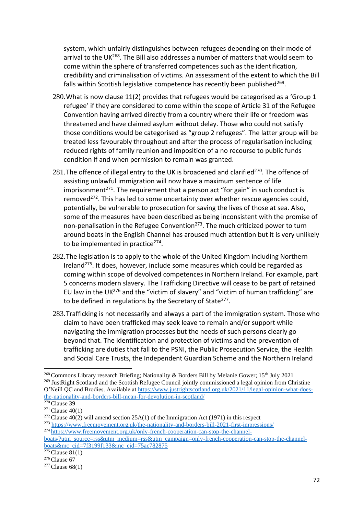system, which unfairly distinguishes between refugees depending on their mode of arrival to the UK<sup>268</sup>. The Bill also addresses a number of matters that would seem to come within the sphere of transferred competences such as the identification, credibility and criminalisation of victims. An assessment of the extent to which the Bill falls within Scottish legislative competence has recently been published<sup>269</sup>.

- 280.What is now clause 11(2) provides that refugees would be categorised as a 'Group 1 refugee' if they are considered to come within the scope of Article 31 of the Refugee Convention having arrived directly from a country where their life or freedom was threatened and have claimed asylum without delay. Those who could not satisfy those conditions would be categorised as "group 2 refugees". The latter group will be treated less favourably throughout and after the process of regularisation including reduced rights of family reunion and imposition of a no recourse to public funds condition if and when permission to remain was granted.
- 281. The offence of illegal entry to the UK is broadened and clarified<sup>270</sup>. The offence of assisting unlawful immigration will now have a maximum sentence of life imprisonment<sup>271</sup>. The requirement that a person act "for gain" in such conduct is removed $272$ . This has led to some uncertainty over whether rescue agencies could, potentially, be vulnerable to prosecution for saving the lives of those at sea. Also, some of the measures have been described as being inconsistent with the promise of non-penalisation in the Refugee Convention<sup>273</sup>. The much criticized power to turn around boats in the English Channel has aroused much attention but it is very unlikely to be implemented in practice<sup>274</sup>.
- 282.The legislation is to apply to the whole of the United Kingdom including Northern Ireland<sup>275</sup>. It does, however, include some measures which could be regarded as coming within scope of devolved competences in Northern Ireland. For example, part 5 concerns modern slavery. The Trafficking Directive will cease to be part of retained EU law in the UK $^{276}$  and the "victim of slavery" and "victim of human trafficking" are to be defined in regulations by the Secretary of State<sup>277</sup>.
- 283.Trafficking is not necessarily and always a part of the immigration system. Those who claim to have been trafficked may seek leave to remain and/or support while navigating the immigration processes but the needs of such persons clearly go beyond that. The identification and protection of victims and the prevention of trafficking are duties that fall to the PSNI, the Public Prosecution Service, the Health and Social Care Trusts, the Independent Guardian Scheme and the Northern Ireland

<sup>&</sup>lt;sup>268</sup> Commons Library research Briefing; Nationality & Borders Bill by Melanie Gower; 15<sup>th</sup> July 2021 <sup>269</sup> JustRight Scotland and the Scottish Refugee Council jointly commissioned a legal opinion from Christine O'Neill QC and Brodies. Available at [https://www.justrightscotland.org.uk/2021/11/legal-opinion-what-does](https://www.justrightscotland.org.uk/2021/11/legal-opinion-what-does-the-nationality-and-borders-bill-mean-for-devolution-in-scotland/)[the-nationality-and-borders-bill-mean-for-devolution-in-scotland/](https://www.justrightscotland.org.uk/2021/11/legal-opinion-what-does-the-nationality-and-borders-bill-mean-for-devolution-in-scotland/)  $270$  Clause 39

 $271$  Clause  $40(1)$ 

<sup>&</sup>lt;sup>272</sup> Clause 40(2) will amend section 25A(1) of the Immigration Act (1971) in this respect

<sup>273</sup> <https://www.freemovement.org.uk/the-nationality-and-borders-bill-2021-first-impressions/> <sup>274</sup> [https://www.freemovement.org.uk/only-french-cooperation-can-stop-the-channel-](https://www.freemovement.org.uk/only-french-cooperation-can-stop-the-channel-boats/?utm_source=rss&utm_medium=rss&utm_campaign=only-french-cooperation-can-stop-the-channel-boats&mc_cid=7f3199f133&mc_eid=75ac782875)

[boats/?utm\\_source=rss&utm\\_medium=rss&utm\\_campaign=only-french-cooperation-can-stop-the-channel](https://www.freemovement.org.uk/only-french-cooperation-can-stop-the-channel-boats/?utm_source=rss&utm_medium=rss&utm_campaign=only-french-cooperation-can-stop-the-channel-boats&mc_cid=7f3199f133&mc_eid=75ac782875)[boats&mc\\_cid=7f3199f133&mc\\_eid=75ac782875](https://www.freemovement.org.uk/only-french-cooperation-can-stop-the-channel-boats/?utm_source=rss&utm_medium=rss&utm_campaign=only-french-cooperation-can-stop-the-channel-boats&mc_cid=7f3199f133&mc_eid=75ac782875)

 $275$  Clause 81(1)

 $276$  Clause 67

 $277$  Clause 68(1)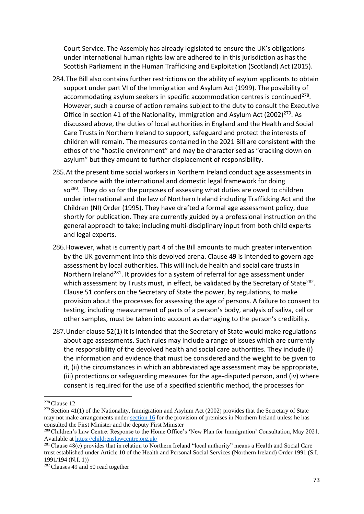Court Service. The Assembly has already legislated to ensure the UK's obligations under international human rights law are adhered to in this jurisdiction as has the Scottish Parliament in the Human Trafficking and Exploitation (Scotland) Act (2015).

- 284.The Bill also contains further restrictions on the ability of asylum applicants to obtain support under part VI of the Immigration and Asylum Act (1999). The possibility of accommodating asylum seekers in specific accommodation centres is continued<sup>278</sup>. However, such a course of action remains subject to the duty to consult the Executive Office in section 41 of the Nationality, Immigration and Asylum Act  $(2002)^{279}$ . As discussed above, the duties of local authorities in England and the Health and Social Care Trusts in Northern Ireland to support, safeguard and protect the interests of children will remain. The measures contained in the 2021 Bill are consistent with the ethos of the "hostile environment" and may be characterised as "cracking down on asylum" but they amount to further displacement of responsibility.
- 285.At the present time social workers in Northern Ireland conduct age assessments in accordance with the international and domestic legal framework for doing so<sup>280</sup>. They do so for the purposes of assessing what duties are owed to children under international and the law of Northern Ireland including Trafficking Act and the Children (NI) Order (1995). They have drafted a formal age assessment policy, due shortly for publication. They are currently guided by a professional instruction on the general approach to take; including multi-disciplinary input from both child experts and legal experts.
- 286.However, what is currently part 4 of the Bill amounts to much greater intervention by the UK government into this devolved arena. Clause 49 is intended to govern age assessment by local authorities. This will include health and social care trusts in Northern Ireland<sup>281</sup>. It provides for a system of referral for age assessment under which assessment by Trusts must, in effect, be validated by the Secretary of State<sup>282</sup>. Clause 51 confers on the Secretary of State the power, by regulations, to make provision about the processes for assessing the age of persons. A failure to consent to testing, including measurement of parts of a person's body, analysis of saliva, cell or other samples, must be taken into account as damaging to the person's credibility.
- 287.Under clause 52(1) it is intended that the Secretary of State would make regulations about age assessments. Such rules may include a range of issues which are currently the responsibility of the devolved health and social care authorities. They include (i) the information and evidence that must be considered and the weight to be given to it, (ii) the circumstances in which an abbreviated age assessment may be appropriate, (iii) protections or safeguarding measures for the age-disputed person, and (iv) where consent is required for the use of a specified scientific method, the processes for

<sup>278</sup> Clause 12

<sup>&</sup>lt;sup>279</sup> Section 41(1) of the Nationality, Immigration and Asylum Act (2002) provides that the Secretary of State may not make arrangements under [section](https://uk.westlaw.com/Document/I55921860E45211DA8D70A0E70A78ED65/View/FullText.html?originationContext=document&transitionType=DocumentItem&ppcid=94371ebb564e478289409a1d8b9edd6e&contextData=(sc.DocLink)) 16 for the provision of premises in Northern Ireland unless he has consulted the First Minister and the deputy First Minister

<sup>280</sup> Children's Law Centre: Response to the Home Office's 'New Plan for Immigration' Consultation, May 2021. Available at<https://childrenslawcentre.org.uk/>

<sup>281</sup> Clause 48(c) provides that in relation to Northern Ireland "local authority" means a Health and Social Care trust established under Article 10 of the Health and Personal Social Services (Northern Ireland) Order 1991 (S.I. 1991/194 (N.I. 1))

<sup>&</sup>lt;sup>282</sup> Clauses 49 and 50 read together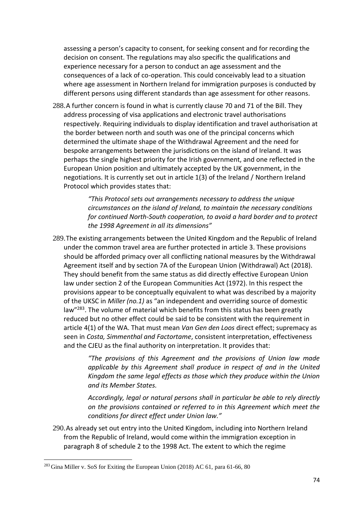assessing a person's capacity to consent, for seeking consent and for recording the decision on consent. The regulations may also specific the qualifications and experience necessary for a person to conduct an age assessment and the consequences of a lack of co-operation. This could conceivably lead to a situation where age assessment in Northern Ireland for immigration purposes is conducted by different persons using different standards than age assessment for other reasons.

288.A further concern is found in what is currently clause 70 and 71 of the Bill. They address processing of visa applications and electronic travel authorisations respectively. Requiring individuals to display identification and travel authorisation at the border between north and south was one of the principal concerns which determined the ultimate shape of the Withdrawal Agreement and the need for bespoke arrangements between the jurisdictions on the island of Ireland. It was perhaps the single highest priority for the Irish government, and one reflected in the European Union position and ultimately accepted by the UK government, in the negotiations. It is currently set out in article 1(3) of the Ireland / Northern Ireland Protocol which provides states that:

> *"This Protocol sets out arrangements necessary to address the unique circumstances on the island of Ireland, to maintain the necessary conditions for continued North-South cooperation, to avoid a hard border and to protect the 1998 Agreement in all its dimensions"*

289.The existing arrangements between the United Kingdom and the Republic of Ireland under the common travel area are further protected in article 3. These provisions should be afforded primacy over all conflicting national measures by the Withdrawal Agreement itself and by section 7A of the European Union (Withdrawal) Act (2018). They should benefit from the same status as did directly effective European Union law under section 2 of the European Communities Act (1972). In this respect the provisions appear to be conceptually equivalent to what was described by a majority of the UKSC in *Miller (no.1)* as "an independent and overriding source of domestic law"<sup>283</sup>. The volume of material which benefits from this status has been greatly reduced but no other effect could be said to be consistent with the requirement in article 4(1) of the WA. That must mean *Van Gen den Loos* direct effect; supremacy as seen in *Costa, Simmenthal and Factortame*, consistent interpretation, effectiveness and the CJEU as the final authority on interpretation. It provides that:

> *"The provisions of this Agreement and the provisions of Union law made applicable by this Agreement shall produce in respect of and in the United Kingdom the same legal effects as those which they produce within the Union and its Member States.*

> *Accordingly, legal or natural persons shall in particular be able to rely directly on the provisions contained or referred to in this Agreement which meet the conditions for direct effect under Union law."*

290.As already set out entry into the United Kingdom, including into Northern Ireland from the Republic of Ireland, would come within the immigration exception in paragraph 8 of schedule 2 to the 1998 Act. The extent to which the regime

<sup>283</sup> Gina Miller v. SoS for Exiting the European Union (2018) AC 61, para 61-66, 80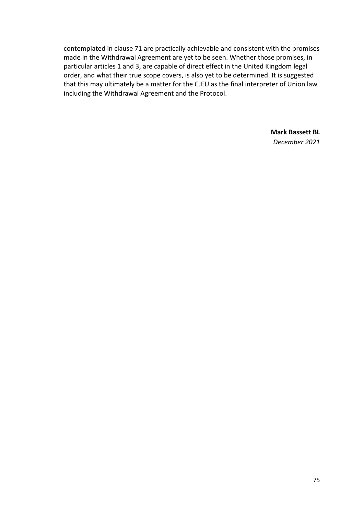contemplated in clause 71 are practically achievable and consistent with the promises made in the Withdrawal Agreement are yet to be seen. Whether those promises, in particular articles 1 and 3, are capable of direct effect in the United Kingdom legal order, and what their true scope covers, is also yet to be determined. It is suggested that this may ultimately be a matter for the CJEU as the final interpreter of Union law including the Withdrawal Agreement and the Protocol.

> **Mark Bassett BL** *December 2021*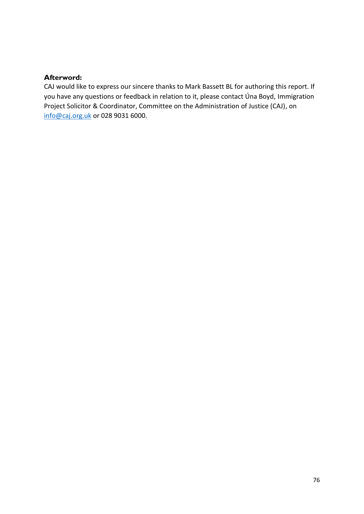## **Afterword:**

CAJ would like to express our sincere thanks to Mark Bassett BL for authoring this report. If you have any questions or feedback in relation to it, please contact Úna Boyd, Immigration Project Solicitor & Coordinator, Committee on the Administration of Justice (CAJ), on [info@caj.org.uk](mailto:info@caj.org.uk) or 028 9031 6000.